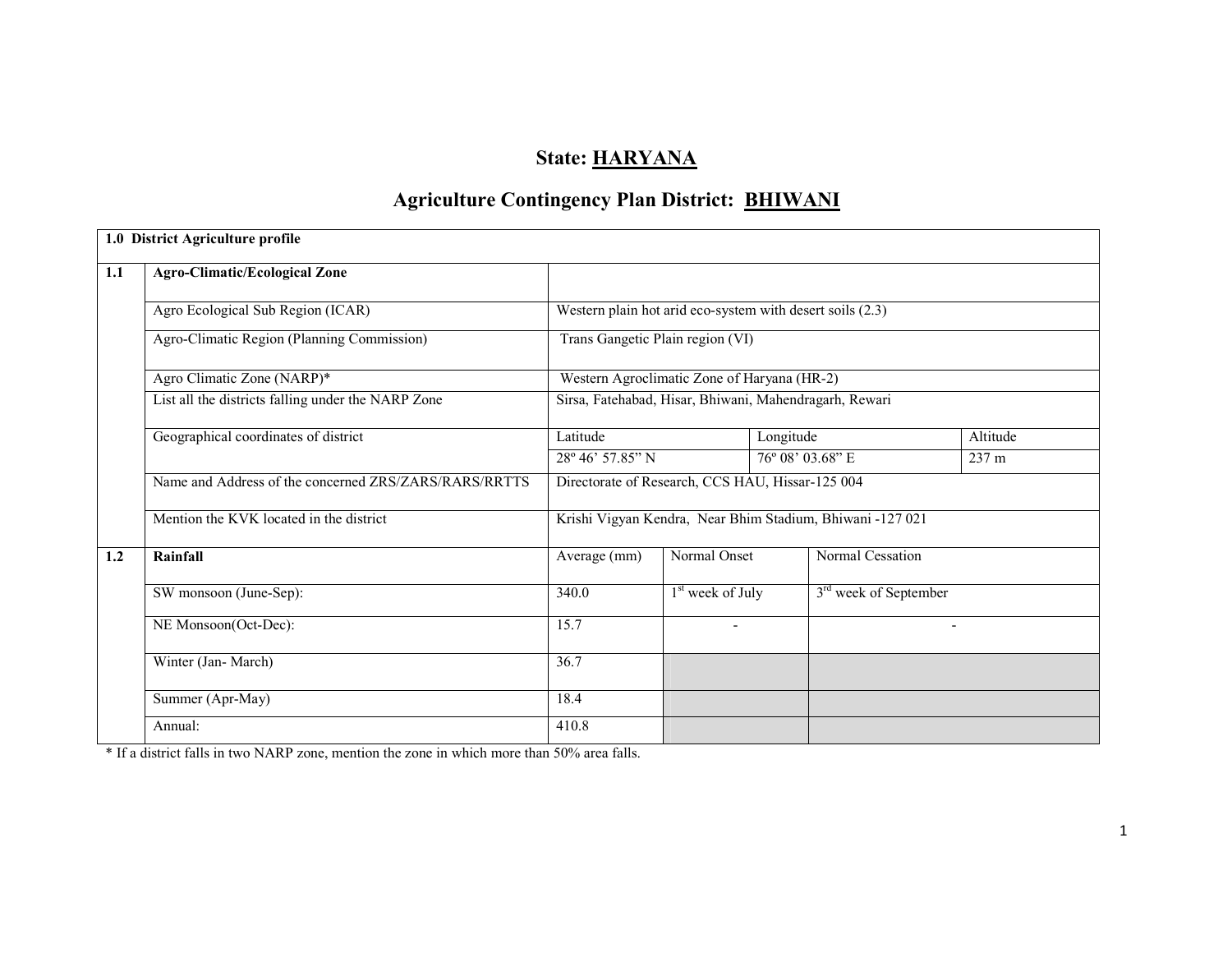# State: HARYANA

# Agriculture Contingency Plan District: BHIWANI

|     | 1.0 District Agriculture profile                      |                                                           |                    |                  |                                                           |                          |  |
|-----|-------------------------------------------------------|-----------------------------------------------------------|--------------------|------------------|-----------------------------------------------------------|--------------------------|--|
| 1.1 | <b>Agro-Climatic/Ecological Zone</b>                  |                                                           |                    |                  |                                                           |                          |  |
|     | Agro Ecological Sub Region (ICAR)                     | Western plain hot arid eco-system with desert soils (2.3) |                    |                  |                                                           |                          |  |
|     | Agro-Climatic Region (Planning Commission)            | Trans Gangetic Plain region (VI)                          |                    |                  |                                                           |                          |  |
|     | Agro Climatic Zone (NARP)*                            | Western Agroclimatic Zone of Haryana (HR-2)               |                    |                  |                                                           |                          |  |
|     | List all the districts falling under the NARP Zone    | Sirsa, Fatehabad, Hisar, Bhiwani, Mahendragarh, Rewari    |                    |                  |                                                           |                          |  |
|     | Geographical coordinates of district                  | Latitude                                                  |                    | Longitude        |                                                           | Altitude                 |  |
|     |                                                       | 28° 46' 57.85" N                                          |                    | 76° 08' 03.68" E |                                                           | 237 m                    |  |
|     | Name and Address of the concerned ZRS/ZARS/RARS/RRTTS | Directorate of Research, CCS HAU, Hissar-125 004          |                    |                  |                                                           |                          |  |
|     | Mention the KVK located in the district               |                                                           |                    |                  | Krishi Vigyan Kendra, Near Bhim Stadium, Bhiwani -127 021 |                          |  |
| 1.2 | Rainfall                                              | Average (mm)                                              | Normal Onset       |                  | Normal Cessation                                          |                          |  |
|     | SW monsoon (June-Sep):                                | 340.0                                                     | $1st$ week of July |                  | 3 <sup>rd</sup> week of September                         |                          |  |
|     | NE Monsoon(Oct-Dec):                                  | 15.7                                                      |                    |                  |                                                           | $\overline{\phantom{0}}$ |  |
|     | Winter (Jan-March)                                    | 36.7                                                      |                    |                  |                                                           |                          |  |
|     | Summer (Apr-May)                                      | 18.4                                                      |                    |                  |                                                           |                          |  |
|     | Annual:                                               | 410.8                                                     |                    |                  |                                                           |                          |  |

\* If a district falls in two NARP zone, mention the zone in which more than 50% area falls.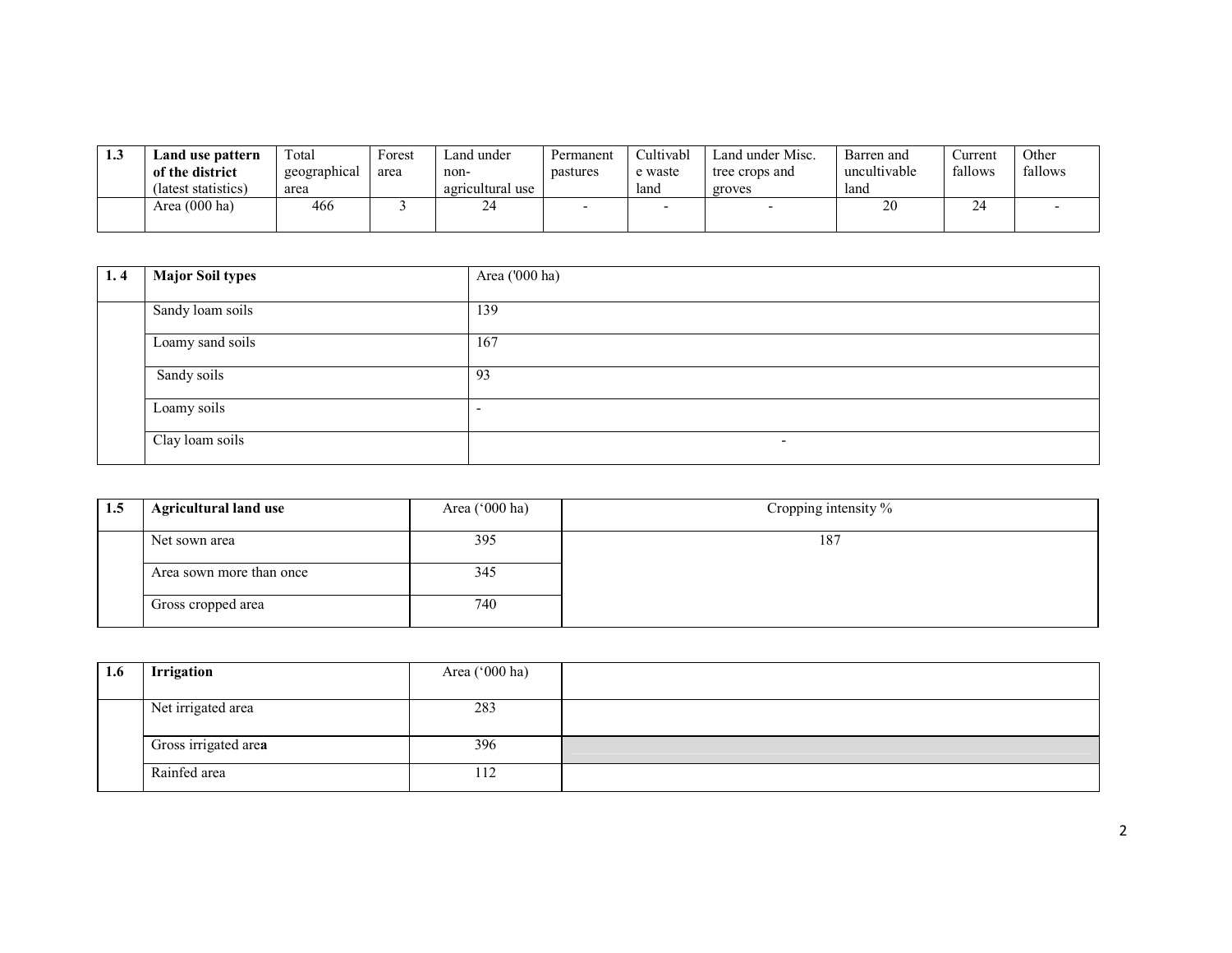| 1.3 | Land use pattern    | Total        | Forest | ∟and under       | Permanent | Cultivabl | Land under Misc. | Barren and   | ∠urrent | Other   |
|-----|---------------------|--------------|--------|------------------|-----------|-----------|------------------|--------------|---------|---------|
|     | of the district     | geographical | area   | non-             | pastures  | e waste   | tree crops and   | uncultivable | fallows | fallows |
|     | (latest statistics) | area         |        | agricultural use |           | land      | groves           | land         |         |         |
|     | Area (000 ha)       | 466          |        | 24               |           |           |                  | 20           | 24      |         |
|     |                     |              |        |                  |           |           |                  |              |         |         |

| 1.4 | Major Soil types | Area ('000 ha)           |
|-----|------------------|--------------------------|
|     | Sandy loam soils | 139                      |
|     | Loamy sand soils | 167                      |
|     | Sandy soils      | 93                       |
|     | Loamy soils      | -                        |
|     | Clay loam soils  | $\overline{\phantom{0}}$ |

| 1.5 | <b>Agricultural land use</b> | Area ('000 ha) | Cropping intensity % |
|-----|------------------------------|----------------|----------------------|
|     | Net sown area                | 395            | 187                  |
|     | Area sown more than once     | 345            |                      |
|     | Gross cropped area           | 740            |                      |

| 1.6 | Irrigation           | Area ('000 ha) |  |
|-----|----------------------|----------------|--|
|     | Net irrigated area   | 283            |  |
|     | Gross irrigated area | 396            |  |
|     | Rainfed area         | 112            |  |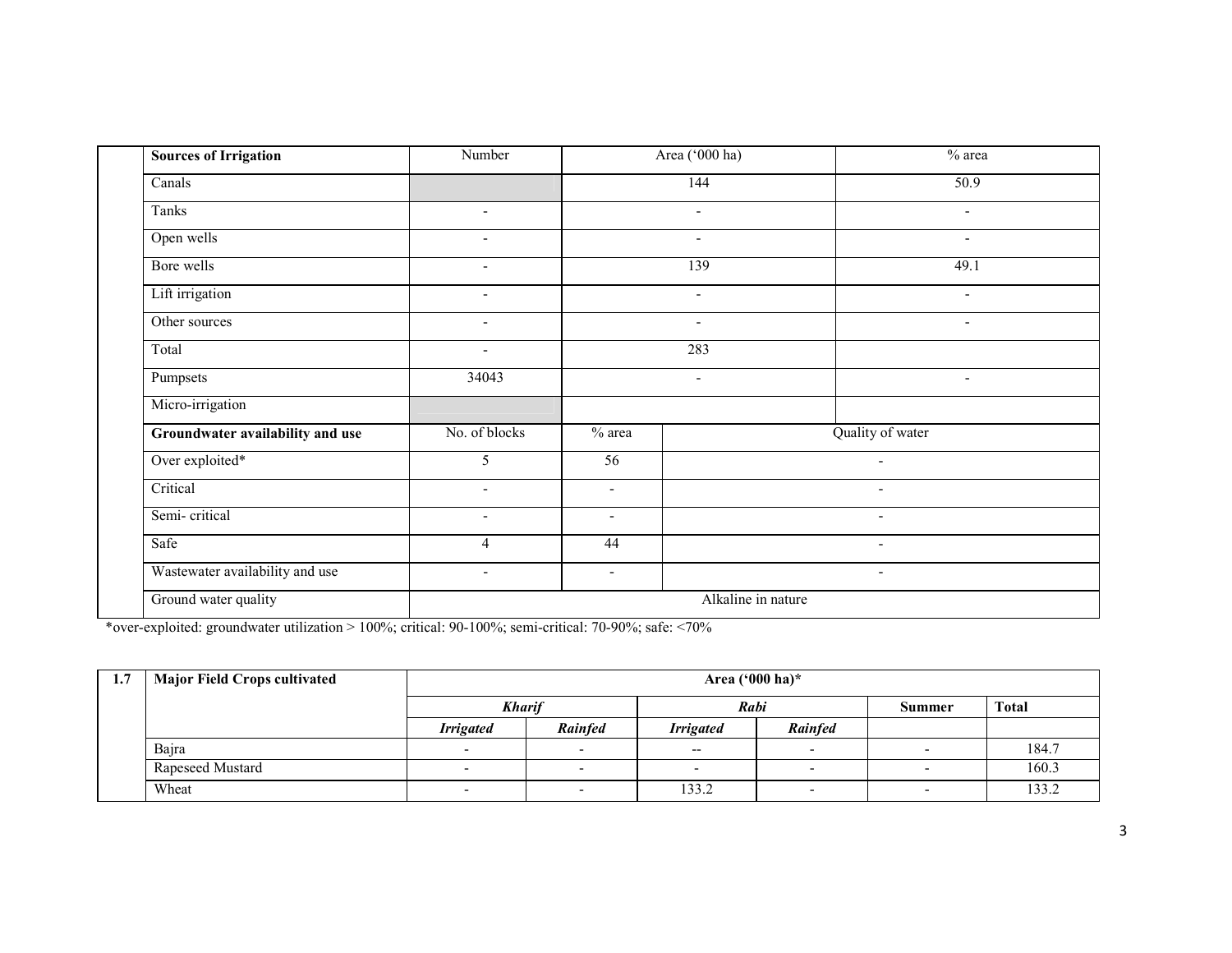| <b>Sources of Irrigation</b>     | Number                   |                          | Area ('000 ha)           | % area                   |
|----------------------------------|--------------------------|--------------------------|--------------------------|--------------------------|
| Canals                           |                          |                          | 144                      | 50.9                     |
| Tanks                            | $\blacksquare$           |                          | $\blacksquare$           | $\blacksquare$           |
| Open wells                       | $\overline{\phantom{a}}$ |                          | $\overline{\phantom{a}}$ | $\overline{\phantom{0}}$ |
| Bore wells                       | $\blacksquare$           |                          | 139                      | 49.1                     |
| Lift irrigation                  | $\blacksquare$           |                          | $\overline{\phantom{a}}$ | $\sim$                   |
| Other sources                    | $\sim$                   |                          | $\overline{\phantom{a}}$ | $\overline{\phantom{a}}$ |
| Total                            | $\overline{\phantom{a}}$ |                          | 283                      |                          |
| Pumpsets                         | 34043                    |                          | $\blacksquare$           | $\overline{\phantom{a}}$ |
| Micro-irrigation                 |                          |                          |                          |                          |
| Groundwater availability and use | No. of blocks            | $%$ area                 |                          | Quality of water         |
| Over exploited*                  | 5                        | $\overline{56}$          |                          | $\blacksquare$           |
| Critical                         | $\overline{\phantom{0}}$ | $\blacksquare$           |                          |                          |
| Semi-critical                    | $\overline{\phantom{a}}$ | $\blacksquare$           |                          | $\overline{\phantom{a}}$ |
| Safe                             | $\overline{4}$           | 44                       |                          | $\blacksquare$           |
| Wastewater availability and use  | $\overline{\phantom{a}}$ | $\overline{\phantom{a}}$ |                          | $\overline{\phantom{a}}$ |
| Ground water quality             |                          |                          | Alkaline in nature       |                          |

\*over-exploited: groundwater utilization > 100%; critical: 90-100%; semi-critical: 70-90%; safe: <70%

| $1.7\,$ | <b>Major Field Crops cultivated</b> | Area $(^{000}$ ha)* |                |                  |                          |               |              |  |  |
|---------|-------------------------------------|---------------------|----------------|------------------|--------------------------|---------------|--------------|--|--|
|         |                                     | <b>Kharif</b>       |                | Rabi             |                          | <b>Summer</b> | <b>Total</b> |  |  |
|         |                                     | <b>Irrigated</b>    | <b>Rainfed</b> | <b>Irrigated</b> | <b>Rainfed</b>           |               |              |  |  |
|         | Bajra                               |                     |                | $- -$            | $\overline{\phantom{0}}$ |               | 184.7        |  |  |
|         | <b>Rapeseed Mustard</b>             |                     |                |                  |                          |               | 160.3        |  |  |
|         | Wheat                               |                     |                | 133.2            |                          |               | 133.2        |  |  |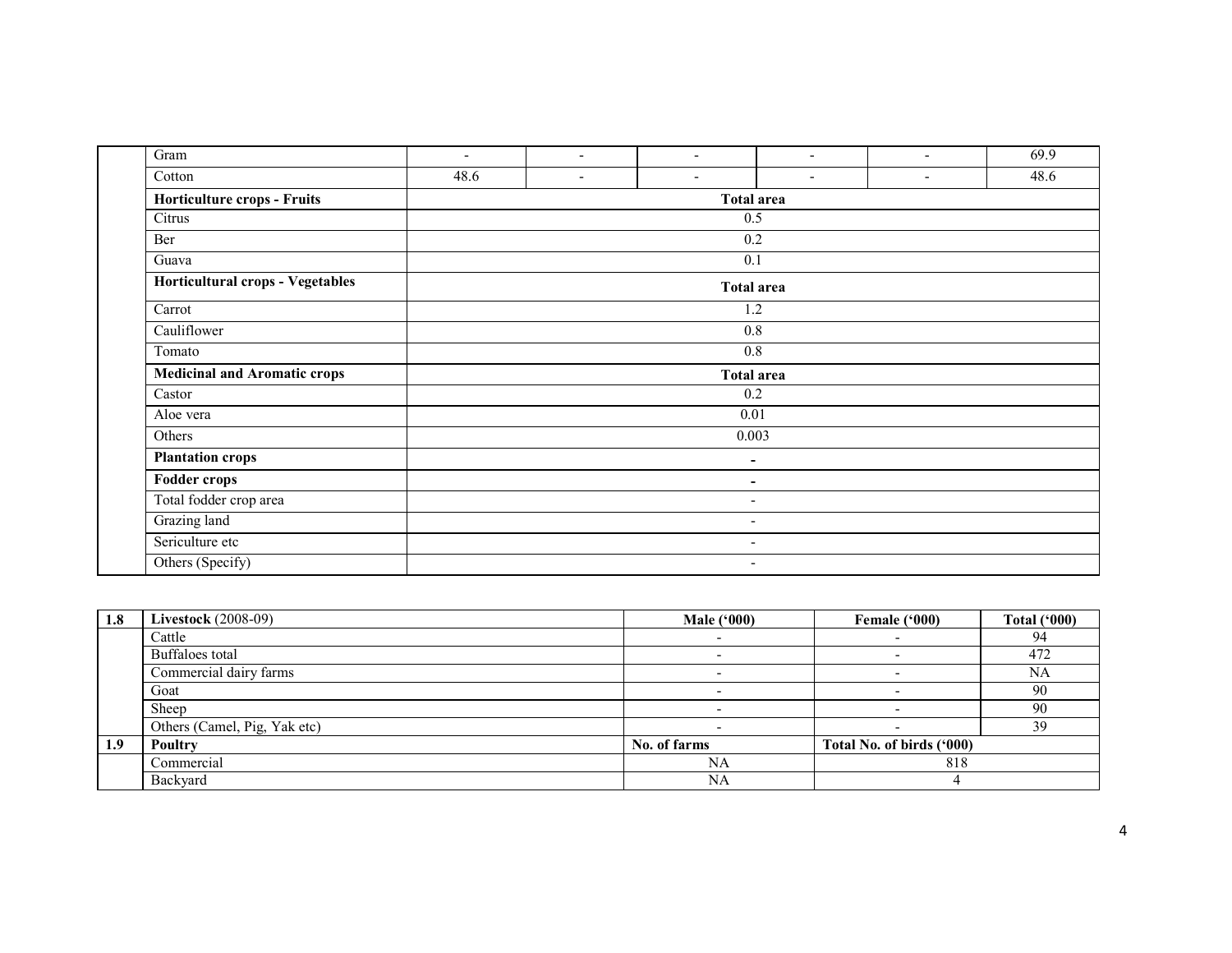| Gram                                | $\overline{\phantom{0}}$ | $\overline{\phantom{a}}$ | $\overline{\phantom{a}}$ | $\overline{\phantom{a}}$ | $\overline{\phantom{a}}$ | 69.9 |  |  |  |  |
|-------------------------------------|--------------------------|--------------------------|--------------------------|--------------------------|--------------------------|------|--|--|--|--|
| Cotton                              | 48.6                     | $\overline{\phantom{a}}$ | $\overline{\phantom{a}}$ | $\overline{\phantom{a}}$ | $\overline{\phantom{a}}$ | 48.6 |  |  |  |  |
| Horticulture crops - Fruits         |                          | <b>Total area</b>        |                          |                          |                          |      |  |  |  |  |
| Citrus                              |                          |                          | 0.5                      |                          |                          |      |  |  |  |  |
| Ber                                 |                          |                          | 0.2                      |                          |                          |      |  |  |  |  |
| Guava                               |                          |                          | 0.1                      |                          |                          |      |  |  |  |  |
| Horticultural crops - Vegetables    |                          |                          | <b>Total area</b>        |                          |                          |      |  |  |  |  |
| Carrot                              |                          |                          | 1.2                      |                          |                          |      |  |  |  |  |
| Cauliflower                         |                          |                          | 0.8                      |                          |                          |      |  |  |  |  |
| Tomato                              |                          |                          | $0.8\,$                  |                          |                          |      |  |  |  |  |
| <b>Medicinal and Aromatic crops</b> |                          |                          | <b>Total area</b>        |                          |                          |      |  |  |  |  |
| Castor                              |                          |                          | 0.2                      |                          |                          |      |  |  |  |  |
| Aloe vera                           |                          |                          | 0.01                     |                          |                          |      |  |  |  |  |
| Others                              |                          |                          | 0.003                    |                          |                          |      |  |  |  |  |
| <b>Plantation crops</b>             |                          |                          | ۰                        |                          |                          |      |  |  |  |  |
| <b>Fodder crops</b>                 |                          |                          | ۰                        |                          |                          |      |  |  |  |  |
| Total fodder crop area              | $\overline{\phantom{a}}$ |                          |                          |                          |                          |      |  |  |  |  |
| Grazing land                        |                          | $\overline{\phantom{a}}$ |                          |                          |                          |      |  |  |  |  |
| Sericulture etc                     |                          |                          | $\overline{\phantom{a}}$ |                          |                          |      |  |  |  |  |
| Others (Specify)                    |                          |                          | $\overline{\phantom{a}}$ |                          |                          |      |  |  |  |  |

| 1.8 | <b>Livestock</b> (2008-09)   | <b>Male</b> ('000) | Female ('000)             | <b>Total ('000)</b> |
|-----|------------------------------|--------------------|---------------------------|---------------------|
|     | Cattle                       |                    |                           | 94                  |
|     | Buffaloes total              |                    |                           | 472                 |
|     | Commercial dairy farms       |                    |                           | <b>NA</b>           |
|     | Goat                         |                    |                           | 90                  |
|     | Sheep                        |                    |                           | 90                  |
|     | Others (Camel, Pig, Yak etc) |                    |                           | 39                  |
| 1.9 | Poultry                      | No. of farms       | Total No. of birds ('000) |                     |
|     | Commercial                   | NA                 | 818                       |                     |
|     | Backyard                     | NA                 |                           |                     |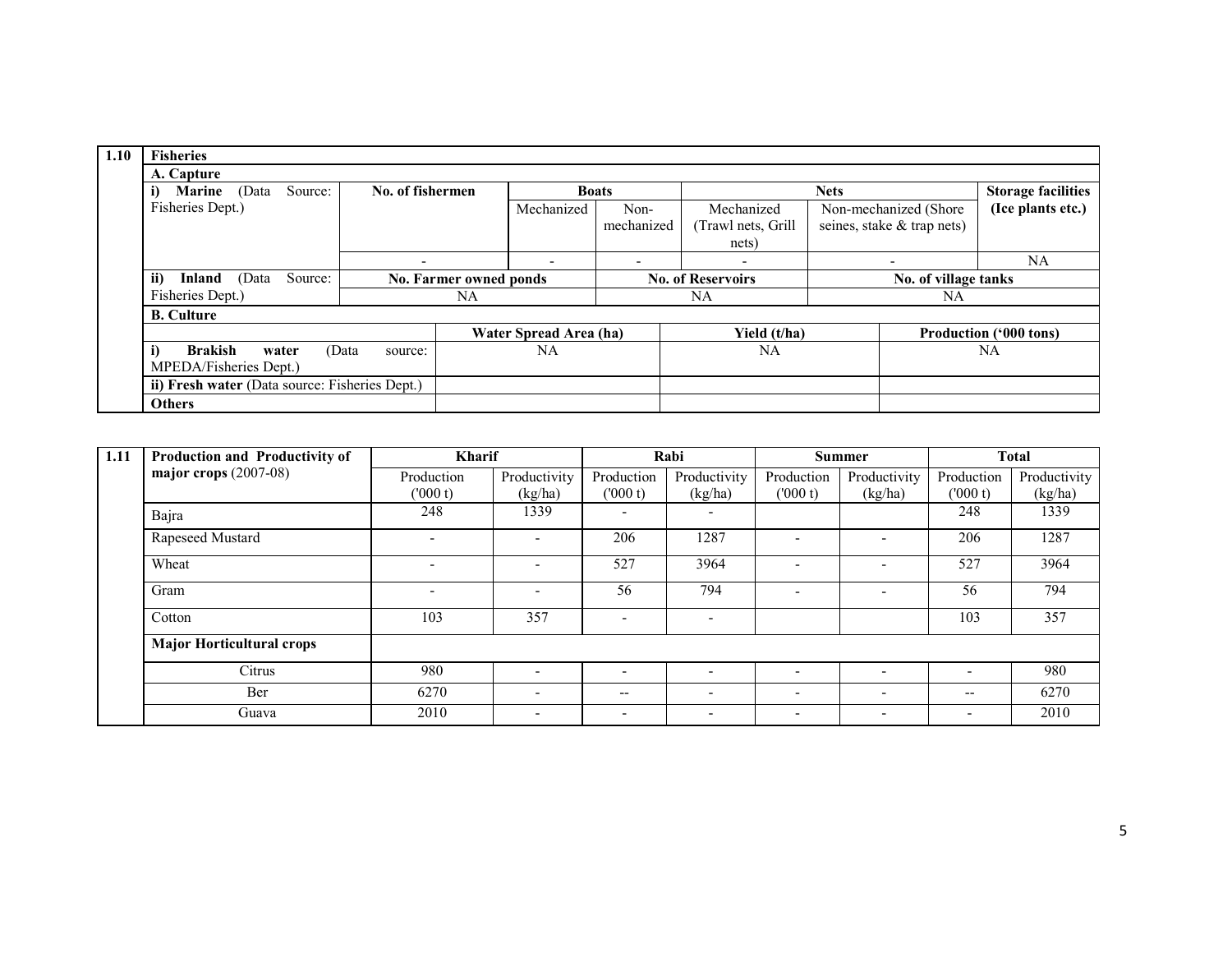| 1.10 | <b>Fisheries</b>                               |                          |                        |                          |                          |                          |                            |                               |
|------|------------------------------------------------|--------------------------|------------------------|--------------------------|--------------------------|--------------------------|----------------------------|-------------------------------|
|      | A. Capture                                     |                          |                        |                          |                          |                          |                            |                               |
|      | Source:<br><b>Marine</b><br>(Data              | No. of fishermen         |                        | <b>Boats</b>             |                          |                          | <b>Nets</b>                | <b>Storage facilities</b>     |
|      | Fisheries Dept.)                               |                          |                        | Mechanized               | Non-                     | Mechanized               | Non-mechanized (Shore      | (Ice plants etc.)             |
|      |                                                |                          |                        |                          | mechanized               | (Trawl nets, Grill       | seines, stake & trap nets) |                               |
|      |                                                |                          |                        |                          |                          | nets)                    |                            |                               |
|      |                                                | $\overline{\phantom{0}}$ |                        | $\overline{\phantom{a}}$ | $\overline{\phantom{a}}$ | $\overline{\phantom{0}}$ | $\overline{\phantom{0}}$   | NA                            |
|      | ii)<br>(Data<br>Source:<br>Inland              |                          | No. Farmer owned ponds |                          | <b>No. of Reservoirs</b> |                          | No. of village tanks       |                               |
|      | Fisheries Dept.)                               |                          | NA                     |                          | NA                       |                          | NA                         |                               |
|      | <b>B.</b> Culture                              |                          |                        |                          |                          |                          |                            |                               |
|      |                                                |                          |                        | Water Spread Area (ha)   |                          | Yield (t/ha)             |                            | <b>Production ('000 tons)</b> |
|      | i)<br><b>Brakish</b><br>water                  | (Data<br>source:         |                        | <b>NA</b>                |                          | <b>NA</b>                |                            | NA                            |
|      | MPEDA/Fisheries Dept.)                         |                          |                        |                          |                          |                          |                            |                               |
|      | ii) Fresh water (Data source: Fisheries Dept.) |                          |                        |                          |                          |                          |                            |                               |
|      | <b>Others</b>                                  |                          |                        |                          |                          |                          |                            |                               |

| 1.11 | <b>Production and Productivity of</b> |                          | <b>Kharif</b>            |                          | Rabi                     |                              | <b>Summer</b>            |                          | <b>Total</b> |  |
|------|---------------------------------------|--------------------------|--------------------------|--------------------------|--------------------------|------------------------------|--------------------------|--------------------------|--------------|--|
|      | major crops $(2007-08)$               | Production               | Productivity             | Production               | Productivity             | Production                   | Productivity             | Production               | Productivity |  |
|      |                                       | (000 t)                  | (kg/ha)                  | (1000 t)                 | (kg/ha)                  | (000 t)                      | (kg/ha)                  | (000 t)                  | (kg/ha)      |  |
|      | Bajra                                 | 248                      | 1339                     |                          |                          |                              |                          | 248                      | 1339         |  |
|      | Rapeseed Mustard                      | $\overline{\phantom{a}}$ |                          | 206                      | 1287                     |                              |                          | 206                      | 1287         |  |
|      | Wheat                                 | $\overline{\phantom{a}}$ | -                        | 527                      | 3964                     | -                            |                          | 527                      | 3964         |  |
|      | Gram                                  | $\overline{\phantom{a}}$ | -                        | 56                       | 794                      | $\overline{\phantom{a}}$     |                          | 56                       | 794          |  |
|      | Cotton                                | 103                      | 357                      | $\overline{\phantom{a}}$ |                          |                              |                          | 103                      | 357          |  |
|      | <b>Major Horticultural crops</b>      |                          |                          |                          |                          |                              |                          |                          |              |  |
|      | Citrus                                | 980                      |                          | $\overline{\phantom{0}}$ |                          | $\qquad \qquad \blacksquare$ |                          |                          | 980          |  |
|      | Ber                                   | 6270                     | -                        | $\qquad \qquad -$        |                          | $\overline{\phantom{0}}$     |                          | --                       | 6270         |  |
|      | Guava                                 | 2010                     | $\overline{\phantom{0}}$ | $\overline{\phantom{a}}$ | $\overline{\phantom{0}}$ | $\overline{\phantom{0}}$     | $\overline{\phantom{a}}$ | $\overline{\phantom{a}}$ | 2010         |  |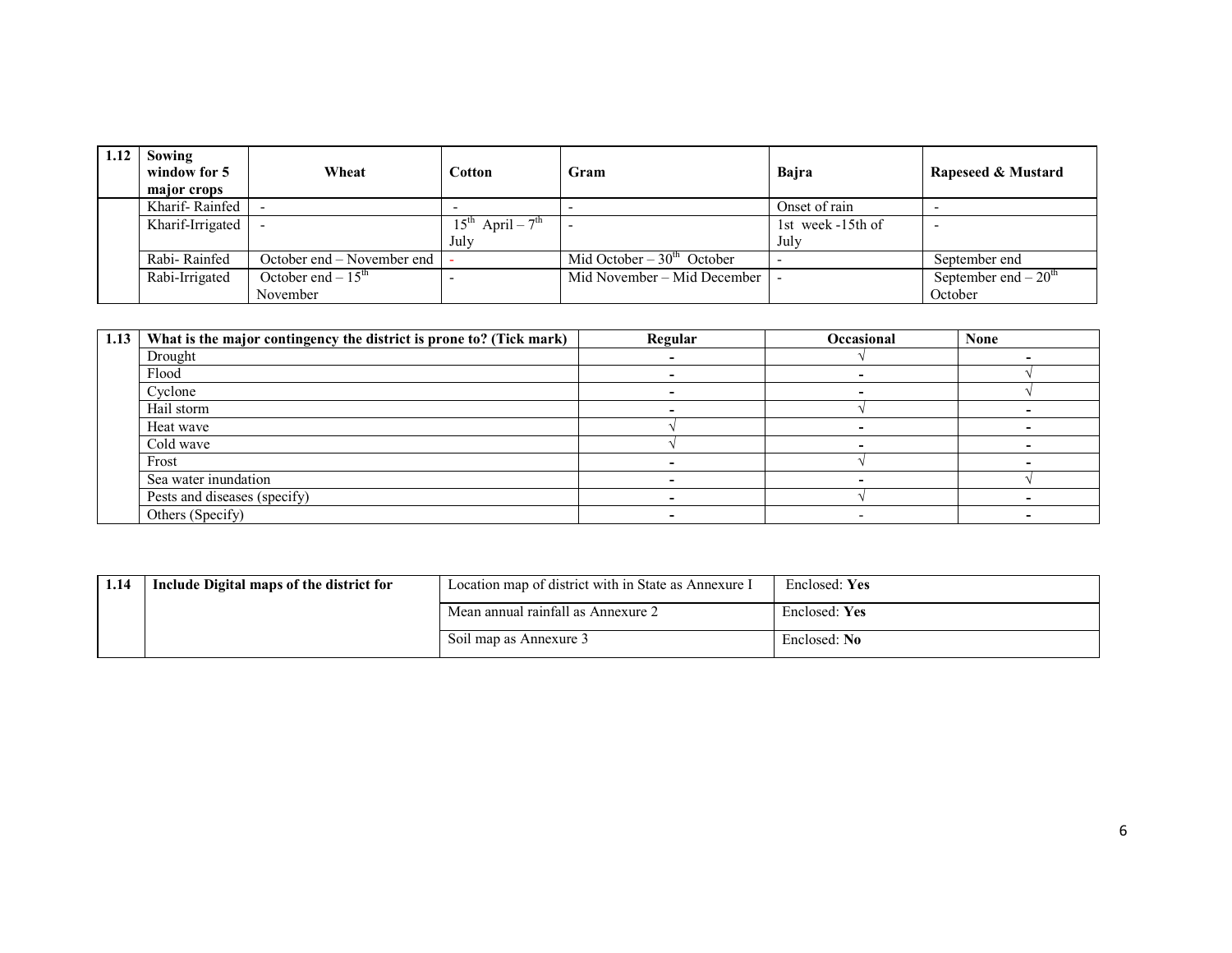| 1.12 | Sowing<br>window for 5<br>major crops | Wheat                                | Cotton                                   | Gram                        | Baira             | Rapeseed & Mustard    |
|------|---------------------------------------|--------------------------------------|------------------------------------------|-----------------------------|-------------------|-----------------------|
|      | Kharif-Rainfed                        |                                      |                                          |                             | Onset of rain     |                       |
|      | Kharif-Irrigated                      |                                      | $15^{\text{th}}$ April – $7^{\text{th}}$ |                             | 1st week -15th of |                       |
|      |                                       |                                      | July                                     |                             | July              |                       |
|      | Rabi-Rainfed                          | October end – November end $\vert$ - |                                          | Mid October $-30th$ October |                   | September end         |
|      | Rabi-Irrigated                        | October end $-15th$                  |                                          | Mid November – Mid December |                   | September end $-20th$ |
|      |                                       | November                             |                                          |                             |                   | October               |

| 1.13 | What is the major contingency the district is prone to? (Tick mark) | Regular | Occasional | <b>None</b> |
|------|---------------------------------------------------------------------|---------|------------|-------------|
|      | Drought                                                             |         |            |             |
|      | Flood                                                               |         |            |             |
|      | Cyclone                                                             |         |            |             |
|      | Hail storm                                                          |         |            |             |
|      | Heat wave                                                           |         |            |             |
|      | Cold wave                                                           |         |            |             |
|      | Frost                                                               |         |            |             |
|      | Sea water inundation                                                |         |            |             |
|      | Pests and diseases (specify)                                        |         |            |             |
|      | Others (Specify)                                                    |         |            |             |

| 1.14 | Include Digital maps of the district for | Location map of district with in State as Annexure I | Enclosed: Yes |
|------|------------------------------------------|------------------------------------------------------|---------------|
|      |                                          | Mean annual rainfall as Annexure 2                   | Enclosed: Yes |
|      |                                          | Soil map as Annexure 3                               | Enclosed: No  |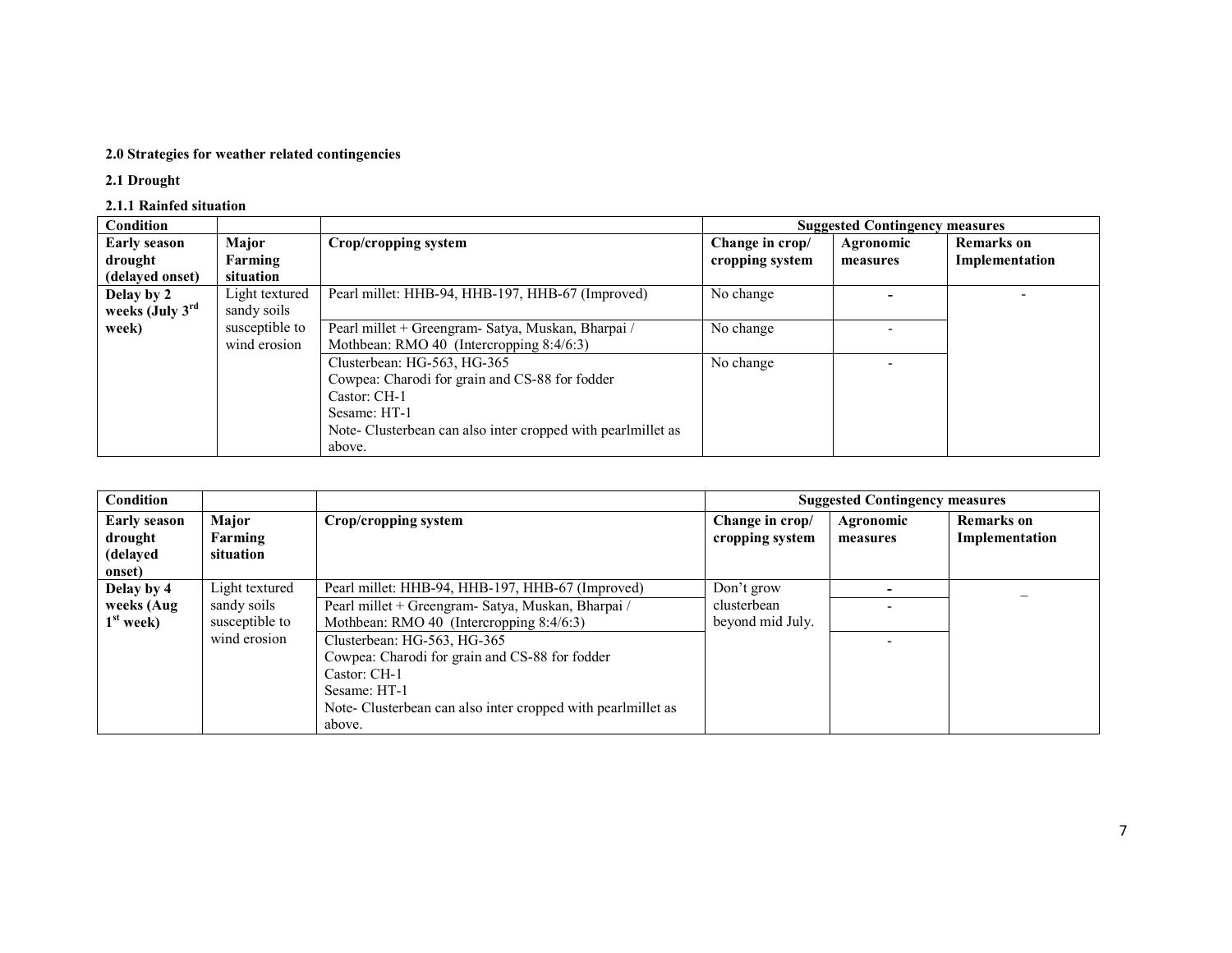#### 2.0 Strategies for weather related contingencies

2.1 Drought

## 2.1.1 Rainfed situation

| Condition           |                |                                                              |                 | <b>Suggested Contingency measures</b> |                   |
|---------------------|----------------|--------------------------------------------------------------|-----------------|---------------------------------------|-------------------|
| <b>Early season</b> | Major          | Crop/cropping system                                         | Change in crop/ | Agronomic                             | <b>Remarks</b> on |
| drought             | Farming        |                                                              | cropping system | measures                              | Implementation    |
| (delayed onset)     | situation      |                                                              |                 |                                       |                   |
| Delay by 2          | Light textured | Pearl millet: HHB-94, HHB-197, HHB-67 (Improved)             | No change       |                                       |                   |
| weeks (July $3rd$   | sandy soils    |                                                              |                 |                                       |                   |
| week)               | susceptible to | Pearl millet + Greengram- Satya, Muskan, Bharpai /           | No change       |                                       |                   |
|                     | wind erosion   | Mothbean: RMO 40 (Intercropping 8:4/6:3)                     |                 |                                       |                   |
|                     |                | Clusterbean: HG-563, HG-365                                  | No change       |                                       |                   |
|                     |                | Cowpea: Charodi for grain and CS-88 for fodder               |                 |                                       |                   |
|                     |                | Castor: CH-1                                                 |                 |                                       |                   |
|                     |                | Sesame: HT-1                                                 |                 |                                       |                   |
|                     |                | Note- Clusterbean can also inter cropped with pearlmillet as |                 |                                       |                   |
|                     |                | above.                                                       |                 |                                       |                   |

| Condition                                                                                                     |                |                                                                                                                                                                                         |                                    | <b>Suggested Contingency measures</b> |                                     |
|---------------------------------------------------------------------------------------------------------------|----------------|-----------------------------------------------------------------------------------------------------------------------------------------------------------------------------------------|------------------------------------|---------------------------------------|-------------------------------------|
| Major<br><b>Early season</b><br>Crop/cropping system<br>Farming<br>drought<br>(delayed<br>situation<br>onset) |                |                                                                                                                                                                                         | Change in crop/<br>cropping system | Agronomic<br>measures                 | <b>Remarks</b> on<br>Implementation |
| Delay by 4                                                                                                    | Light textured | Pearl millet: HHB-94, HHB-197, HHB-67 (Improved)                                                                                                                                        | Don't grow                         |                                       |                                     |
| weeks (Aug                                                                                                    | sandy soils    | Pearl millet + Greengram- Satya, Muskan, Bharpai /                                                                                                                                      | clusterbean                        |                                       |                                     |
| $1st$ week)                                                                                                   | susceptible to | Mothbean: RMO 40 (Intercropping 8:4/6:3)                                                                                                                                                | beyond mid July.                   |                                       |                                     |
|                                                                                                               | wind erosion   | Clusterbean: HG-563, HG-365<br>Cowpea: Charodi for grain and CS-88 for fodder<br>Castor: CH-1<br>Sesame: HT-1<br>Note- Clusterbean can also inter cropped with pearlmillet as<br>above. |                                    |                                       |                                     |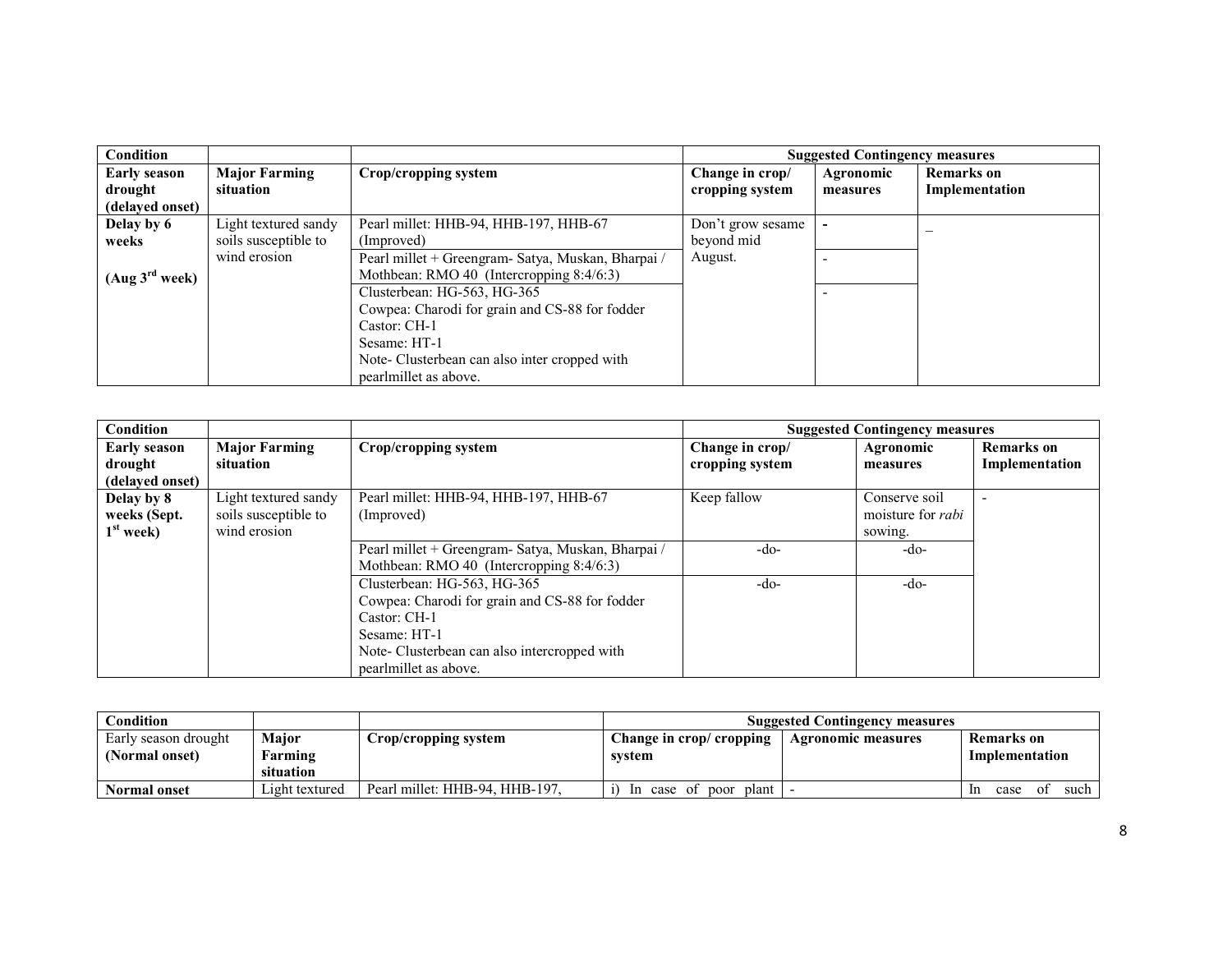| <b>Condition</b>           |                      |                                                    |                   | <b>Suggested Contingency measures</b> |                   |
|----------------------------|----------------------|----------------------------------------------------|-------------------|---------------------------------------|-------------------|
| <b>Early season</b>        | <b>Major Farming</b> | Crop/cropping system                               | Change in crop/   | Agronomic                             | <b>Remarks</b> on |
| drought                    | situation            |                                                    | cropping system   | measures                              | Implementation    |
| (delayed onset)            |                      |                                                    |                   |                                       |                   |
| Delay by 6                 | Light textured sandy | Pearl millet: HHB-94, HHB-197, HHB-67              | Don't grow sesame |                                       |                   |
| weeks                      | soils susceptible to | (Improved)                                         | beyond mid        |                                       |                   |
|                            | wind erosion         | Pearl millet + Greengram- Satya, Muskan, Bharpai / | August.           |                                       |                   |
| (Aug 3 <sup>rd</sup> week) |                      | Mothbean: RMO 40 (Intercropping 8:4/6:3)           |                   |                                       |                   |
|                            |                      | Clusterbean: HG-563, HG-365                        |                   |                                       |                   |
|                            |                      | Cowpea: Charodi for grain and CS-88 for fodder     |                   |                                       |                   |
|                            |                      | Castor: CH-1                                       |                   |                                       |                   |
|                            |                      | Sesame: HT-1                                       |                   |                                       |                   |
|                            |                      | Note-Clusterbean can also inter cropped with       |                   |                                       |                   |
|                            |                      | pearlmillet as above.                              |                   |                                       |                   |

| Condition           |                      |                                                    |                 | <b>Suggested Contingency measures</b> |                   |
|---------------------|----------------------|----------------------------------------------------|-----------------|---------------------------------------|-------------------|
| <b>Early season</b> | <b>Major Farming</b> | Crop/cropping system                               | Change in crop/ | Agronomic                             | <b>Remarks</b> on |
| drought             | situation            |                                                    | cropping system | measures                              | Implementation    |
| (delayed onset)     |                      |                                                    |                 |                                       |                   |
| Delay by 8          | Light textured sandy | Pearl millet: HHB-94, HHB-197, HHB-67              | Keep fallow     | Conserve soil                         |                   |
| weeks (Sept.        | soils susceptible to | (Improved)                                         |                 | moisture for <i>rabi</i>              |                   |
| $1st$ week)         | wind erosion         |                                                    |                 | sowing.                               |                   |
|                     |                      | Pearl millet + Greengram- Satya, Muskan, Bharpai / | -do-            | -do-                                  |                   |
|                     |                      | Mothbean: RMO 40 (Intercropping 8:4/6:3)           |                 |                                       |                   |
|                     |                      | Clusterbean: HG-563, HG-365                        | -do-            | -do-                                  |                   |
|                     |                      | Cowpea: Charodi for grain and CS-88 for fodder     |                 |                                       |                   |
|                     |                      | Castor: CH-1                                       |                 |                                       |                   |
|                     |                      | Sesame: HT-1                                       |                 |                                       |                   |
|                     |                      | Note-Clusterbean can also intercropped with        |                 |                                       |                   |
|                     |                      | pearlmillet as above.                              |                 |                                       |                   |

| Condition            |                      |                                |                                   | <b>Suggested Contingency measures</b> |                          |
|----------------------|----------------------|--------------------------------|-----------------------------------|---------------------------------------|--------------------------|
| Early season drought | Major                | Crop/cropping system           | Change in crop/ cropping          | <b>Agronomic measures</b>             | Remarks on               |
| (Normal onset)       | Farming<br>situation |                                | system                            |                                       | Implementation           |
| <b>Normal onset</b>  | ⊥ight textured       | Pearl millet: HHB-94, HHB-197. | poor<br>case of<br>plant l<br>-In |                                       | such<br>case<br>O1<br>1n |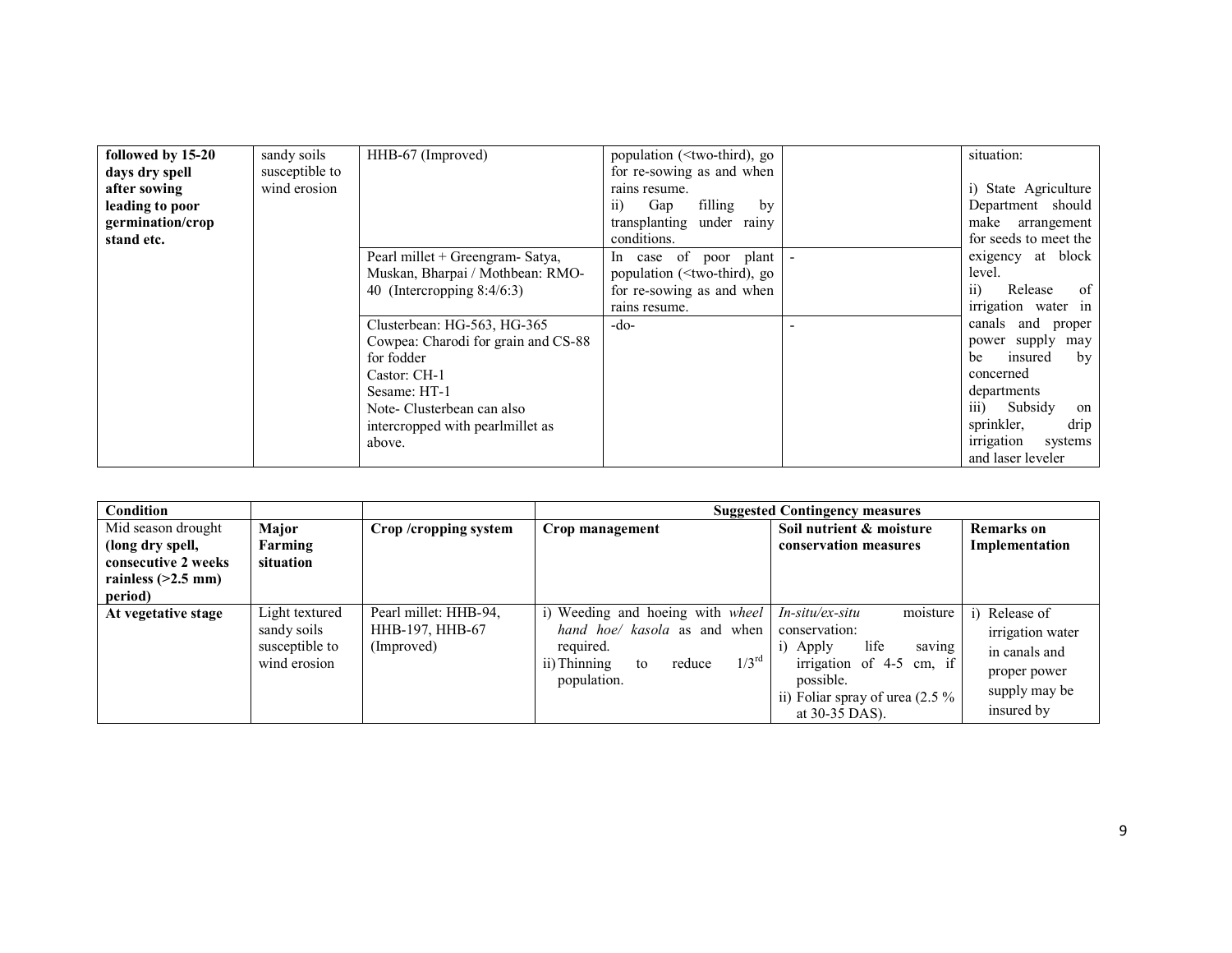| followed by 15-20 | sandy soils    | HHB-67 (Improved)                   | population ( <two-third), go<="" th=""><th>situation:</th></two-third),> | situation:                        |
|-------------------|----------------|-------------------------------------|--------------------------------------------------------------------------|-----------------------------------|
| days dry spell    | susceptible to |                                     | for re-sowing as and when                                                |                                   |
| after sowing      | wind erosion   |                                     | rains resume.                                                            | i) State Agriculture              |
| leading to poor   |                |                                     | filling<br>Gap<br>by<br>11)                                              | Department should                 |
| germination/crop  |                |                                     | transplanting under rainy                                                | make arrangement                  |
| stand etc.        |                |                                     | conditions.                                                              | for seeds to meet the             |
|                   |                | Pearl millet + Greengram- Satya,    | In case of poor plant                                                    | exigency at block                 |
|                   |                | Muskan, Bharpai / Mothbean: RMO-    | population ( $\leq$ two-third), go                                       | level.                            |
|                   |                | 40 (Intercropping $8:4/6:3$ )       | for re-sowing as and when                                                | $\overline{11}$<br>of<br>Release  |
|                   |                |                                     | rains resume.                                                            | irrigation water in               |
|                   |                | Clusterbean: HG-563, HG-365         | -do-                                                                     | canals<br>and<br>proper           |
|                   |                | Cowpea: Charodi for grain and CS-88 |                                                                          | power supply<br>may               |
|                   |                | for fodder                          |                                                                          | insured<br>by<br>be               |
|                   |                | Castor: CH-1                        |                                                                          | concerned                         |
|                   |                | Sesame: HT-1                        |                                                                          | departments                       |
|                   |                | Note-Clusterbean can also           |                                                                          | $\overline{iii}$<br>Subsidy<br>on |
|                   |                | intercropped with pearlmillet as    |                                                                          | sprinkler,<br>drip                |
|                   |                | above.                              |                                                                          | irrigation<br>systems             |
|                   |                |                                     |                                                                          | and laser leveler                 |

| Condition                                                                                        |                                                                 |                                                        |                                                                                                                                                       | <b>Suggested Contingency measures</b>                                                                                                                                         |                                                                                                |
|--------------------------------------------------------------------------------------------------|-----------------------------------------------------------------|--------------------------------------------------------|-------------------------------------------------------------------------------------------------------------------------------------------------------|-------------------------------------------------------------------------------------------------------------------------------------------------------------------------------|------------------------------------------------------------------------------------------------|
| Mid season drought<br>(long dry spell,<br>consecutive 2 weeks<br>rainless $(>2.5$ mm)<br>period) | Major<br>Farming<br>situation                                   | Crop/cropping system                                   | Crop management                                                                                                                                       | Soil nutrient & moisture<br>conservation measures                                                                                                                             | <b>Remarks</b> on<br>Implementation                                                            |
| At vegetative stage                                                                              | Light textured<br>sandy soils<br>susceptible to<br>wind erosion | Pearl millet: HHB-94,<br>HHB-197, HHB-67<br>(Improved) | Weeding and hoeing with <i>wheel</i><br>hand hoe/ kasola as and when<br>required.<br>$1/3^{\text{rd}}$<br>ii) Thinning<br>reduce<br>to<br>population. | moisture<br>In-situ/ex-situ<br>conservation:<br>life<br>Apply<br>saving<br>1)<br>irrigation of 4-5 cm, if<br>possible.<br>ii) Foliar spray of urea $(2.5\%$<br>at 30-35 DAS). | Release of<br>irrigation water<br>in canals and<br>proper power<br>supply may be<br>insured by |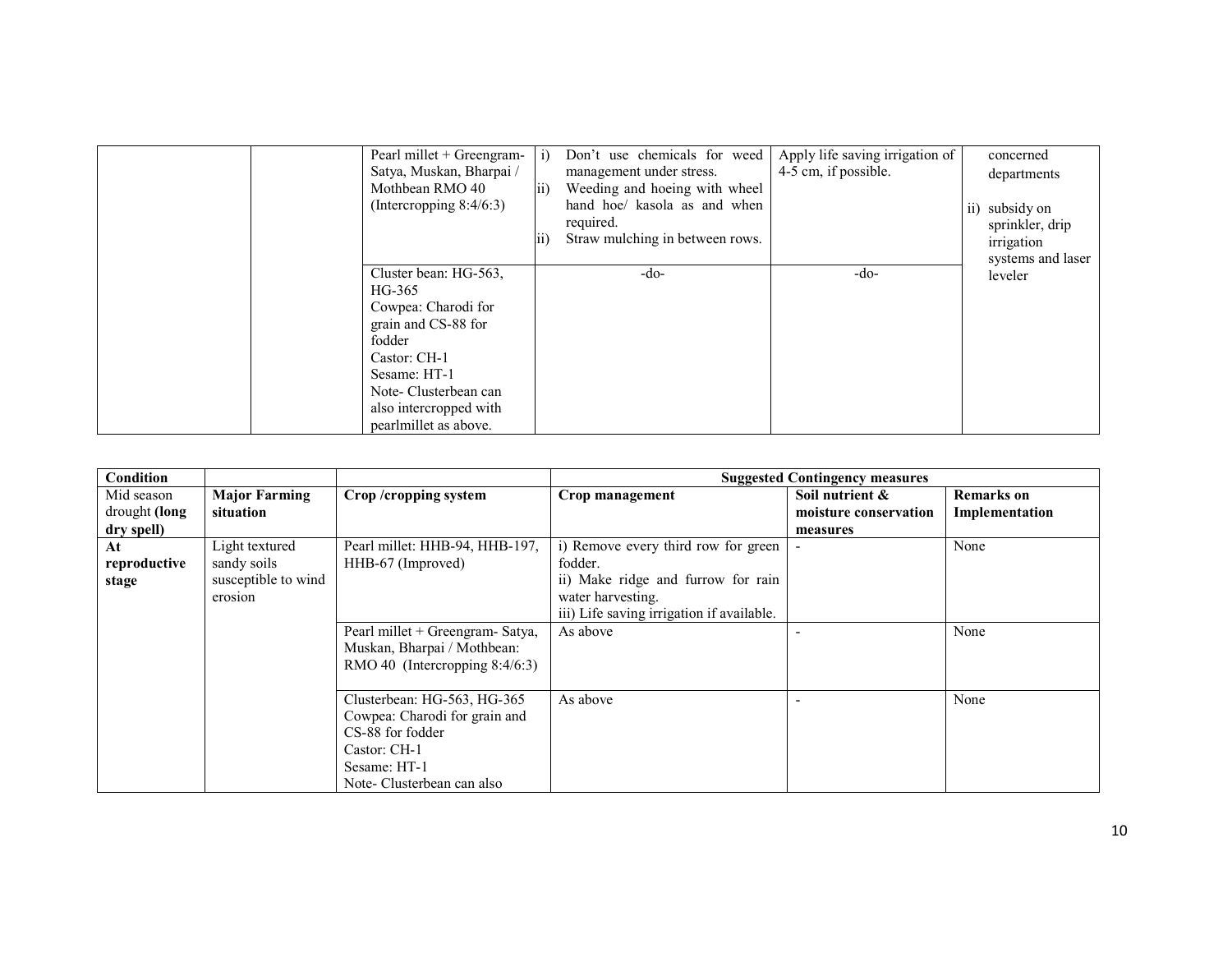| Pearl millet + Greengram-<br>Satya, Muskan, Bharpai /<br>Mothbean RMO 40<br>(Intercropping $8:4/6:3$ )                                                                                             | $\overline{11}$ | Don't use chemicals for weed<br>management under stress.<br>Weeding and hoeing with wheel<br>hand hoe/ kasola as and when<br>required.<br>Straw mulching in between rows. | Apply life saving irrigation of<br>4-5 cm, if possible. | concerned<br>departments<br>subsidy on<br>$\overline{ii}$<br>sprinkler, drip<br>irrigation<br>systems and laser |
|----------------------------------------------------------------------------------------------------------------------------------------------------------------------------------------------------|-----------------|---------------------------------------------------------------------------------------------------------------------------------------------------------------------------|---------------------------------------------------------|-----------------------------------------------------------------------------------------------------------------|
| Cluster bean: HG-563.<br>HG-365<br>Cowpea: Charodi for<br>grain and CS-88 for<br>fodder<br>Castor: CH-1<br>Sesame: HT-1<br>Note-Clusterbean can<br>also intercropped with<br>pearlmillet as above. |                 | -do-                                                                                                                                                                      | $-do-$                                                  | leveler                                                                                                         |

| <b>Condition</b> |                      |                                  |                                           | <b>Suggested Contingency measures</b> |                |
|------------------|----------------------|----------------------------------|-------------------------------------------|---------------------------------------|----------------|
| Mid season       | <b>Major Farming</b> | Crop/cropping system             | Crop management                           | Soil nutrient &                       | Remarks on     |
| drought (long    | situation            |                                  |                                           | moisture conservation                 | Implementation |
| dry spell)       |                      |                                  |                                           | measures                              |                |
| At               | Light textured       | Pearl millet: HHB-94, HHB-197,   | i) Remove every third row for green       | $\blacksquare$                        | None           |
| reproductive     | sandy soils          | HHB-67 (Improved)                | fodder.                                   |                                       |                |
| stage            | susceptible to wind  |                                  | ii) Make ridge and furrow for rain        |                                       |                |
|                  | erosion              |                                  | water harvesting.                         |                                       |                |
|                  |                      |                                  | iii) Life saving irrigation if available. |                                       |                |
|                  |                      | Pearl millet + Greengram- Satya, | As above                                  |                                       | None           |
|                  |                      | Muskan, Bharpai / Mothbean:      |                                           |                                       |                |
|                  |                      | RMO 40 (Intercropping 8:4/6:3)   |                                           |                                       |                |
|                  |                      |                                  |                                           |                                       |                |
|                  |                      | Clusterbean: HG-563, HG-365      | As above                                  |                                       | None           |
|                  |                      | Cowpea: Charodi for grain and    |                                           |                                       |                |
|                  |                      | CS-88 for fodder                 |                                           |                                       |                |
|                  |                      | Castor: CH-1                     |                                           |                                       |                |
|                  |                      | Sesame: HT-1                     |                                           |                                       |                |
|                  |                      | Note- Clusterbean can also       |                                           |                                       |                |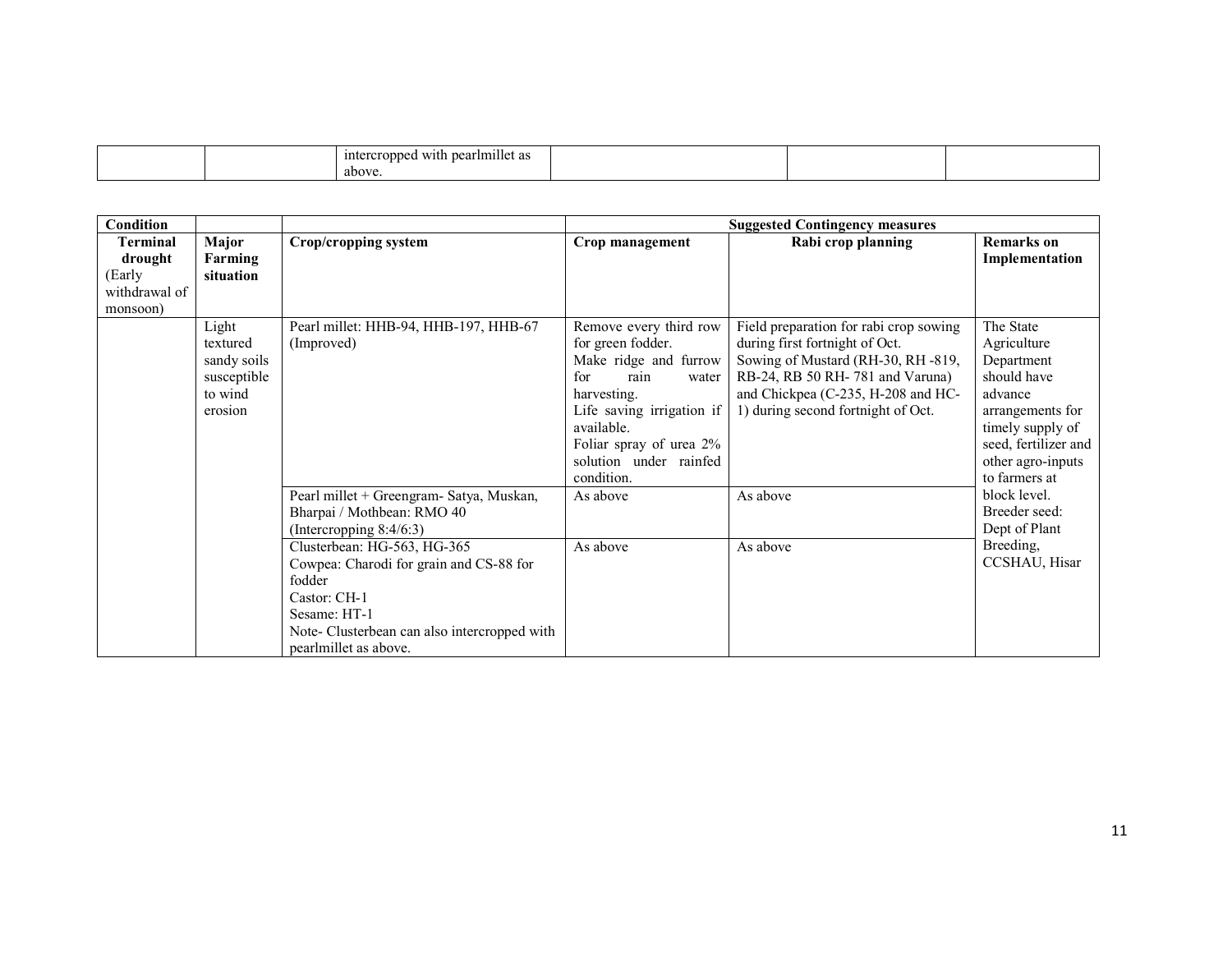|  | $\cdots$<br>ercroppeo<br>d with pearlmillet as<br>interc. |  |  |
|--|-----------------------------------------------------------|--|--|
|  | above                                                     |  |  |

| <b>Condition</b>                                           |                                                                       |                                                                                                                                                                                                                                                                                                   | <b>Suggested Contingency measures</b>                                                                                                                                                                                     |                                                                                                                                                                                                                              |                                                                                                                                                                        |  |  |
|------------------------------------------------------------|-----------------------------------------------------------------------|---------------------------------------------------------------------------------------------------------------------------------------------------------------------------------------------------------------------------------------------------------------------------------------------------|---------------------------------------------------------------------------------------------------------------------------------------------------------------------------------------------------------------------------|------------------------------------------------------------------------------------------------------------------------------------------------------------------------------------------------------------------------------|------------------------------------------------------------------------------------------------------------------------------------------------------------------------|--|--|
| Terminal<br>drought<br>(Early<br>withdrawal of<br>monsoon) | Major<br>Farming<br>situation                                         | <b>Crop/cropping system</b>                                                                                                                                                                                                                                                                       | Crop management                                                                                                                                                                                                           | Rabi crop planning                                                                                                                                                                                                           | <b>Remarks</b> on<br>Implementation                                                                                                                                    |  |  |
|                                                            | Light<br>textured<br>sandy soils<br>susceptible<br>to wind<br>erosion | Pearl millet: HHB-94, HHB-197, HHB-67<br>(Improved)                                                                                                                                                                                                                                               | Remove every third row<br>for green fodder.<br>Make ridge and furrow<br>for<br>rain<br>water<br>harvesting.<br>Life saving irrigation if<br>available.<br>Foliar spray of urea 2%<br>solution under rainfed<br>condition. | Field preparation for rabi crop sowing<br>during first fortnight of Oct.<br>Sowing of Mustard (RH-30, RH-819,<br>RB-24, RB 50 RH-781 and Varuna)<br>and Chickpea (C-235, H-208 and HC-<br>1) during second fortnight of Oct. | The State<br>Agriculture<br>Department<br>should have<br>advance<br>arrangements for<br>timely supply of<br>seed, fertilizer and<br>other agro-inputs<br>to farmers at |  |  |
|                                                            |                                                                       | Pearl millet + Greengram- Satya, Muskan,<br>Bharpai / Mothbean: RMO 40<br>(Intercropping $8:4/6:3$ )<br>Clusterbean: HG-563, HG-365<br>Cowpea: Charodi for grain and CS-88 for<br>fodder<br>Castor: CH-1<br>Sesame: HT-1<br>Note- Clusterbean can also intercropped with<br>pearlmillet as above. | As above<br>As above                                                                                                                                                                                                      | As above<br>As above                                                                                                                                                                                                         | block level.<br>Breeder seed:<br>Dept of Plant<br>Breeding,<br>CCSHAU, Hisar                                                                                           |  |  |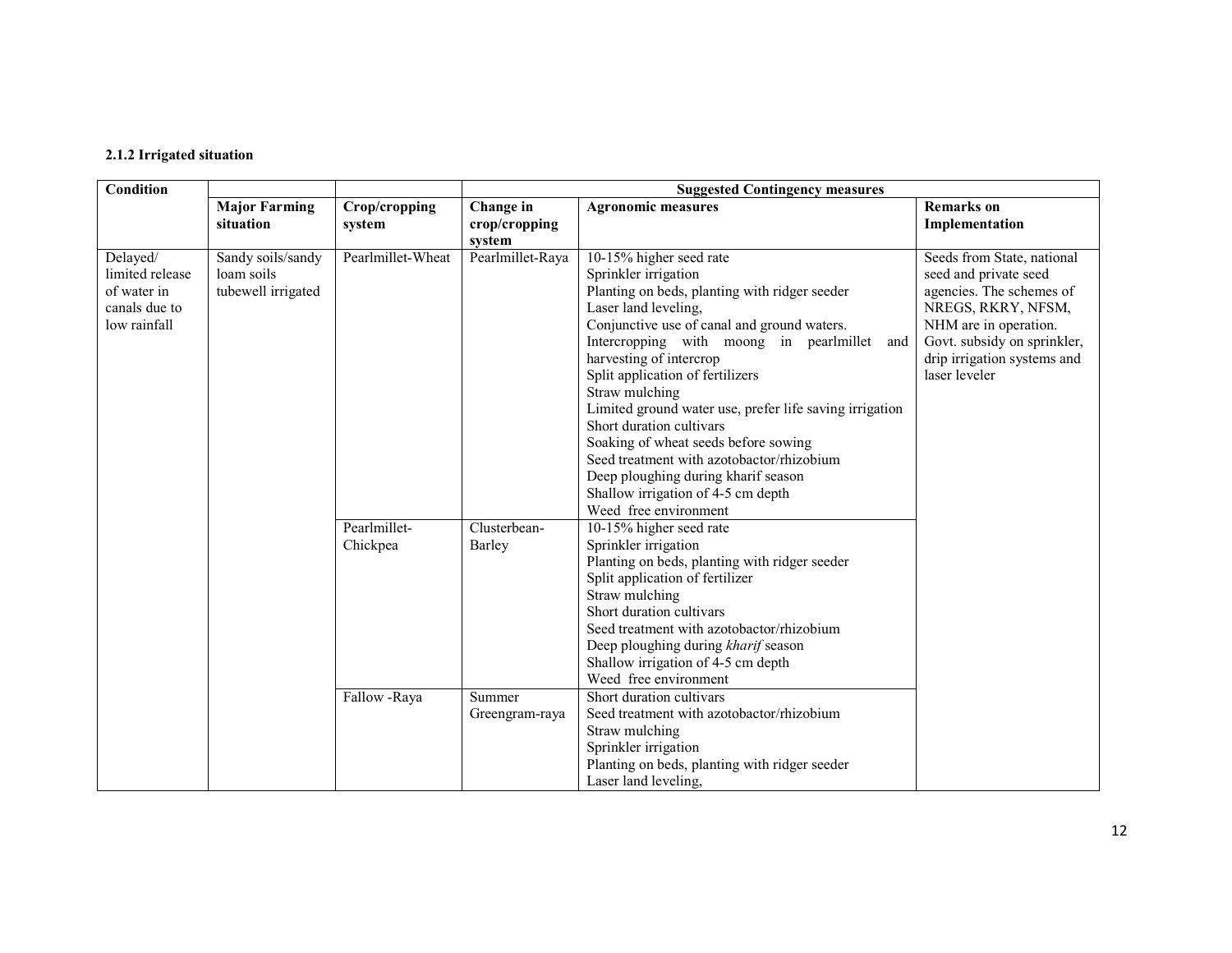### 2.1.2 Irrigated situation

| Condition                                                                   |                                                       |                          |                          | <b>Suggested Contingency measures</b>                                                                                                                                                                                                                                                                                                                                                                                                                                                                                                                                                        |                                                                                                                                                                                                               |  |  |
|-----------------------------------------------------------------------------|-------------------------------------------------------|--------------------------|--------------------------|----------------------------------------------------------------------------------------------------------------------------------------------------------------------------------------------------------------------------------------------------------------------------------------------------------------------------------------------------------------------------------------------------------------------------------------------------------------------------------------------------------------------------------------------------------------------------------------------|---------------------------------------------------------------------------------------------------------------------------------------------------------------------------------------------------------------|--|--|
|                                                                             | <b>Major Farming</b>                                  | Crop/cropping            | Change in                | <b>Agronomic measures</b>                                                                                                                                                                                                                                                                                                                                                                                                                                                                                                                                                                    | <b>Remarks</b> on                                                                                                                                                                                             |  |  |
|                                                                             | situation                                             | system                   | crop/cropping<br>system  |                                                                                                                                                                                                                                                                                                                                                                                                                                                                                                                                                                                              | Implementation                                                                                                                                                                                                |  |  |
| Delayed/<br>limited release<br>of water in<br>canals due to<br>low rainfall | Sandy soils/sandy<br>loam soils<br>tubewell irrigated | Pearlmillet-Wheat        | Pearlmillet-Raya         | 10-15% higher seed rate<br>Sprinkler irrigation<br>Planting on beds, planting with ridger seeder<br>Laser land leveling,<br>Conjunctive use of canal and ground waters.<br>Intercropping with moong in pearlmillet<br>and<br>harvesting of intercrop<br>Split application of fertilizers<br>Straw mulching<br>Limited ground water use, prefer life saving irrigation<br>Short duration cultivars<br>Soaking of wheat seeds before sowing<br>Seed treatment with azotobactor/rhizobium<br>Deep ploughing during kharif season<br>Shallow irrigation of 4-5 cm depth<br>Weed free environment | Seeds from State, national<br>seed and private seed<br>agencies. The schemes of<br>NREGS, RKRY, NFSM,<br>NHM are in operation.<br>Govt. subsidy on sprinkler,<br>drip irrigation systems and<br>laser leveler |  |  |
|                                                                             |                                                       | Pearlmillet-<br>Chickpea | Clusterbean-<br>Barley   | 10-15% higher seed rate<br>Sprinkler irrigation<br>Planting on beds, planting with ridger seeder<br>Split application of fertilizer<br>Straw mulching<br>Short duration cultivars<br>Seed treatment with azotobactor/rhizobium<br>Deep ploughing during kharif season<br>Shallow irrigation of 4-5 cm depth<br>Weed free environment                                                                                                                                                                                                                                                         |                                                                                                                                                                                                               |  |  |
|                                                                             |                                                       | Fallow -Raya             | Summer<br>Greengram-raya | Short duration cultivars<br>Seed treatment with azotobactor/rhizobium<br>Straw mulching<br>Sprinkler irrigation<br>Planting on beds, planting with ridger seeder<br>Laser land leveling,                                                                                                                                                                                                                                                                                                                                                                                                     |                                                                                                                                                                                                               |  |  |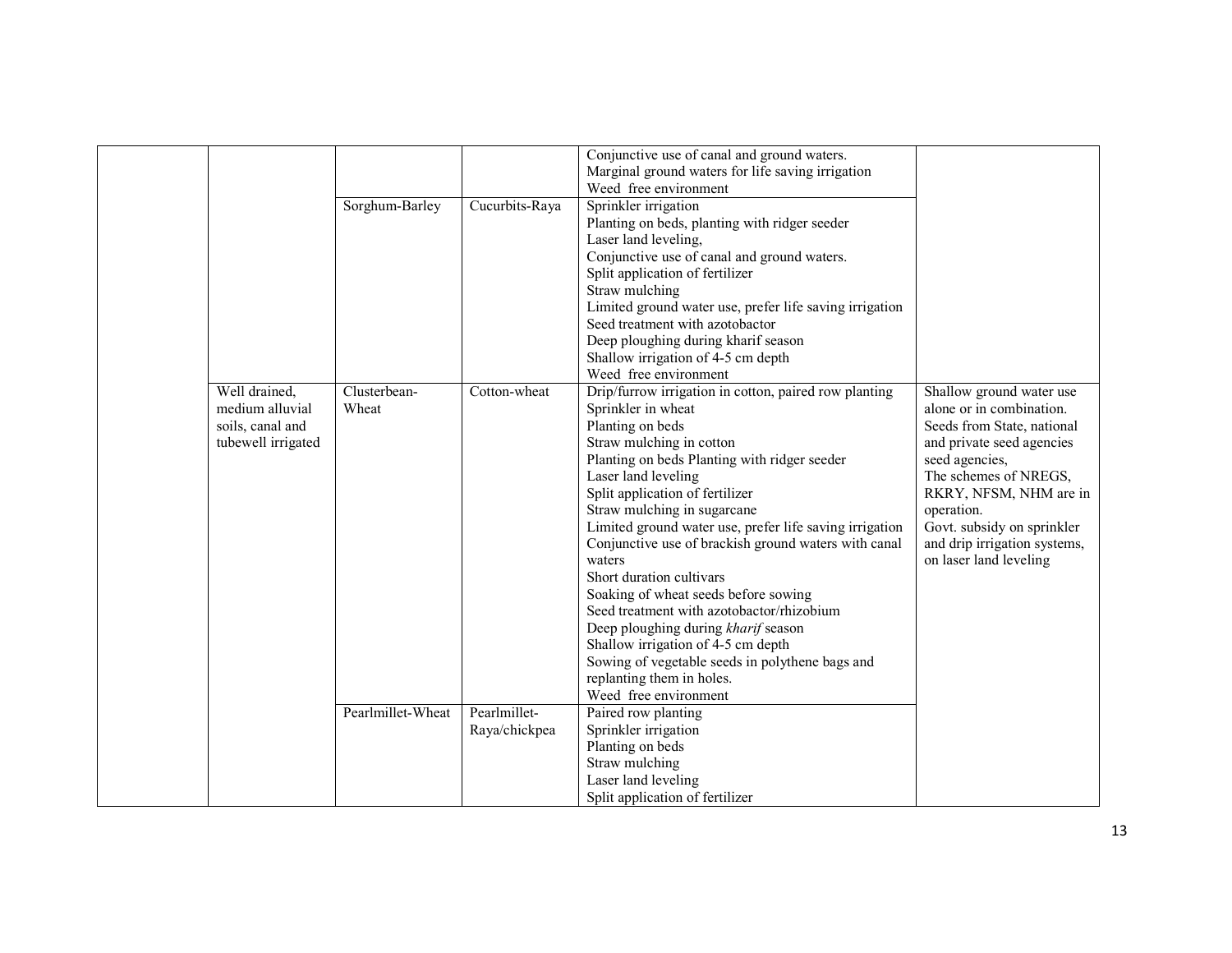|                    |                   |                | Conjunctive use of canal and ground waters.                                |                                         |
|--------------------|-------------------|----------------|----------------------------------------------------------------------------|-----------------------------------------|
|                    |                   |                | Marginal ground waters for life saving irrigation<br>Weed free environment |                                         |
|                    | Sorghum-Barley    | Cucurbits-Raya | Sprinkler irrigation                                                       |                                         |
|                    |                   |                | Planting on beds, planting with ridger seeder                              |                                         |
|                    |                   |                | Laser land leveling,                                                       |                                         |
|                    |                   |                | Conjunctive use of canal and ground waters.                                |                                         |
|                    |                   |                | Split application of fertilizer                                            |                                         |
|                    |                   |                | Straw mulching                                                             |                                         |
|                    |                   |                | Limited ground water use, prefer life saving irrigation                    |                                         |
|                    |                   |                | Seed treatment with azotobactor                                            |                                         |
|                    |                   |                | Deep ploughing during kharif season                                        |                                         |
|                    |                   |                | Shallow irrigation of 4-5 cm depth                                         |                                         |
|                    |                   |                | Weed free environment                                                      |                                         |
| Well drained,      | Clusterbean-      | Cotton-wheat   | Drip/furrow irrigation in cotton, paired row planting                      | Shallow ground water use                |
| medium alluvial    | Wheat             |                | Sprinkler in wheat                                                         | alone or in combination.                |
| soils, canal and   |                   |                | Planting on beds                                                           | Seeds from State, national              |
| tubewell irrigated |                   |                | Straw mulching in cotton                                                   | and private seed agencies               |
|                    |                   |                | Planting on beds Planting with ridger seeder<br>Laser land leveling        | seed agencies,<br>The schemes of NREGS, |
|                    |                   |                | Split application of fertilizer                                            | RKRY, NFSM, NHM are in                  |
|                    |                   |                | Straw mulching in sugarcane                                                | operation.                              |
|                    |                   |                | Limited ground water use, prefer life saving irrigation                    | Govt. subsidy on sprinkler              |
|                    |                   |                | Conjunctive use of brackish ground waters with canal                       | and drip irrigation systems,            |
|                    |                   |                | waters                                                                     | on laser land leveling                  |
|                    |                   |                | Short duration cultivars                                                   |                                         |
|                    |                   |                | Soaking of wheat seeds before sowing                                       |                                         |
|                    |                   |                | Seed treatment with azotobactor/rhizobium                                  |                                         |
|                    |                   |                | Deep ploughing during kharif season                                        |                                         |
|                    |                   |                | Shallow irrigation of 4-5 cm depth                                         |                                         |
|                    |                   |                | Sowing of vegetable seeds in polythene bags and                            |                                         |
|                    |                   |                | replanting them in holes.                                                  |                                         |
|                    |                   |                | Weed free environment                                                      |                                         |
|                    | Pearlmillet-Wheat | Pearlmillet-   | Paired row planting                                                        |                                         |
|                    |                   | Raya/chickpea  | Sprinkler irrigation                                                       |                                         |
|                    |                   |                | Planting on beds                                                           |                                         |
|                    |                   |                | Straw mulching<br>Laser land leveling                                      |                                         |
|                    |                   |                | Split application of fertilizer                                            |                                         |
|                    |                   |                |                                                                            |                                         |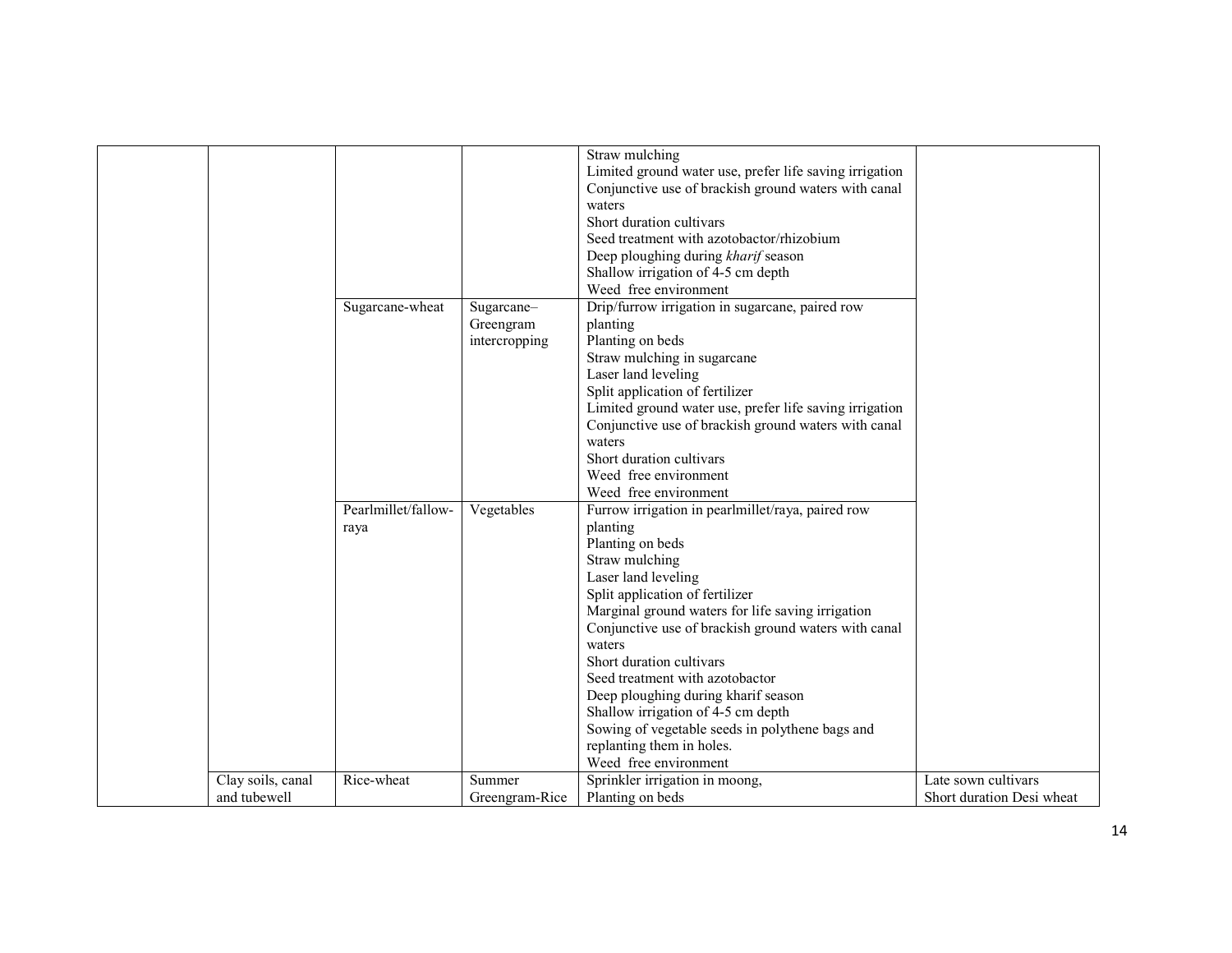|                   | Sugarcane-wheat     | Sugarcane-<br>Greengram<br>intercropping | Straw mulching<br>Limited ground water use, prefer life saving irrigation<br>Conjunctive use of brackish ground waters with canal<br>waters<br>Short duration cultivars<br>Seed treatment with azotobactor/rhizobium<br>Deep ploughing during kharif season<br>Shallow irrigation of 4-5 cm depth<br>Weed free environment<br>Drip/furrow irrigation in sugarcane, paired row<br>planting<br>Planting on beds<br>Straw mulching in sugarcane<br>Laser land leveling<br>Split application of fertilizer<br>Limited ground water use, prefer life saving irrigation<br>Conjunctive use of brackish ground waters with canal<br>waters<br>Short duration cultivars<br>Weed free environment |                           |
|-------------------|---------------------|------------------------------------------|------------------------------------------------------------------------------------------------------------------------------------------------------------------------------------------------------------------------------------------------------------------------------------------------------------------------------------------------------------------------------------------------------------------------------------------------------------------------------------------------------------------------------------------------------------------------------------------------------------------------------------------------------------------------------------------|---------------------------|
|                   |                     |                                          |                                                                                                                                                                                                                                                                                                                                                                                                                                                                                                                                                                                                                                                                                          |                           |
|                   |                     |                                          | Weed free environment                                                                                                                                                                                                                                                                                                                                                                                                                                                                                                                                                                                                                                                                    |                           |
|                   | Pearlmillet/fallow- | Vegetables                               | Furrow irrigation in pearlmillet/raya, paired row                                                                                                                                                                                                                                                                                                                                                                                                                                                                                                                                                                                                                                        |                           |
|                   | raya                |                                          | planting<br>Planting on beds                                                                                                                                                                                                                                                                                                                                                                                                                                                                                                                                                                                                                                                             |                           |
|                   |                     |                                          | Straw mulching                                                                                                                                                                                                                                                                                                                                                                                                                                                                                                                                                                                                                                                                           |                           |
|                   |                     |                                          | Laser land leveling                                                                                                                                                                                                                                                                                                                                                                                                                                                                                                                                                                                                                                                                      |                           |
|                   |                     |                                          | Split application of fertilizer                                                                                                                                                                                                                                                                                                                                                                                                                                                                                                                                                                                                                                                          |                           |
|                   |                     |                                          | Marginal ground waters for life saving irrigation                                                                                                                                                                                                                                                                                                                                                                                                                                                                                                                                                                                                                                        |                           |
|                   |                     |                                          | Conjunctive use of brackish ground waters with canal                                                                                                                                                                                                                                                                                                                                                                                                                                                                                                                                                                                                                                     |                           |
|                   |                     |                                          | waters                                                                                                                                                                                                                                                                                                                                                                                                                                                                                                                                                                                                                                                                                   |                           |
|                   |                     |                                          | Short duration cultivars                                                                                                                                                                                                                                                                                                                                                                                                                                                                                                                                                                                                                                                                 |                           |
|                   |                     |                                          | Seed treatment with azotobactor                                                                                                                                                                                                                                                                                                                                                                                                                                                                                                                                                                                                                                                          |                           |
|                   |                     |                                          | Deep ploughing during kharif season                                                                                                                                                                                                                                                                                                                                                                                                                                                                                                                                                                                                                                                      |                           |
|                   |                     |                                          | Shallow irrigation of 4-5 cm depth                                                                                                                                                                                                                                                                                                                                                                                                                                                                                                                                                                                                                                                       |                           |
|                   |                     |                                          | Sowing of vegetable seeds in polythene bags and                                                                                                                                                                                                                                                                                                                                                                                                                                                                                                                                                                                                                                          |                           |
|                   |                     |                                          | replanting them in holes.                                                                                                                                                                                                                                                                                                                                                                                                                                                                                                                                                                                                                                                                |                           |
|                   |                     |                                          | Weed free environment                                                                                                                                                                                                                                                                                                                                                                                                                                                                                                                                                                                                                                                                    |                           |
| Clay soils, canal | Rice-wheat          | Summer                                   | Sprinkler irrigation in moong,                                                                                                                                                                                                                                                                                                                                                                                                                                                                                                                                                                                                                                                           | Late sown cultivars       |
| and tubewell      |                     | Greengram-Rice                           | Planting on beds                                                                                                                                                                                                                                                                                                                                                                                                                                                                                                                                                                                                                                                                         | Short duration Desi wheat |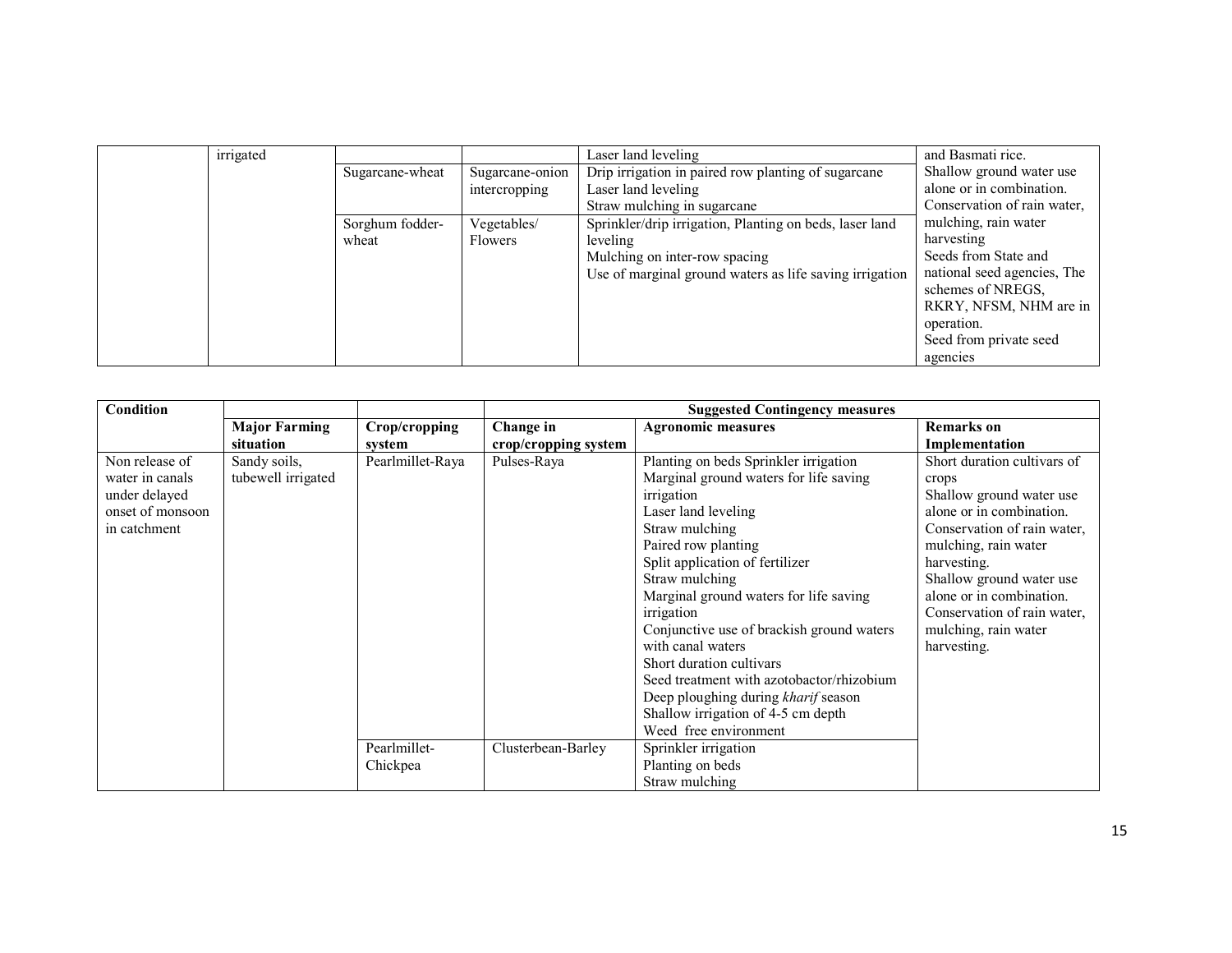| irrigated |                 |                 | Laser land leveling                                     | and Basmati rice.                                |
|-----------|-----------------|-----------------|---------------------------------------------------------|--------------------------------------------------|
|           | Sugarcane-wheat | Sugarcane-onion | Drip irrigation in paired row planting of sugarcane     | Shallow ground water use                         |
|           |                 | intercropping   | Laser land leveling                                     | alone or in combination.                         |
|           |                 |                 | Straw mulching in sugarcane                             | Conservation of rain water,                      |
|           | Sorghum fodder- | Vegetables/     | Sprinkler/drip irrigation, Planting on beds, laser land | mulching, rain water                             |
|           | wheat           | Flowers         | leveling                                                | harvesting                                       |
|           |                 |                 | Mulching on inter-row spacing                           | Seeds from State and                             |
|           |                 |                 | Use of marginal ground waters as life saving irrigation | national seed agencies, The<br>schemes of NREGS, |
|           |                 |                 |                                                         | RKRY, NFSM, NHM are in                           |
|           |                 |                 |                                                         | operation.                                       |
|           |                 |                 |                                                         | Seed from private seed                           |
|           |                 |                 |                                                         | agencies                                         |

| Condition                                                                              |                                    |                          | <b>Suggested Contingency measures</b> |                                                                                                                                                                                                                                                                                                                                                                                                                                                                                                    |                                                                                                                                                                                                                                                                                                  |  |
|----------------------------------------------------------------------------------------|------------------------------------|--------------------------|---------------------------------------|----------------------------------------------------------------------------------------------------------------------------------------------------------------------------------------------------------------------------------------------------------------------------------------------------------------------------------------------------------------------------------------------------------------------------------------------------------------------------------------------------|--------------------------------------------------------------------------------------------------------------------------------------------------------------------------------------------------------------------------------------------------------------------------------------------------|--|
|                                                                                        | <b>Major Farming</b>               | Crop/cropping            | Change in                             | <b>Agronomic measures</b>                                                                                                                                                                                                                                                                                                                                                                                                                                                                          | <b>Remarks</b> on                                                                                                                                                                                                                                                                                |  |
|                                                                                        | situation                          | system                   | crop/cropping system                  |                                                                                                                                                                                                                                                                                                                                                                                                                                                                                                    | Implementation                                                                                                                                                                                                                                                                                   |  |
| Non release of<br>water in canals<br>under delayed<br>onset of monsoon<br>in catchment | Sandy soils,<br>tubewell irrigated | Pearlmillet-Raya         | Pulses-Raya                           | Planting on beds Sprinkler irrigation<br>Marginal ground waters for life saving<br>irrigation<br>Laser land leveling<br>Straw mulching<br>Paired row planting<br>Split application of fertilizer<br>Straw mulching<br>Marginal ground waters for life saving<br>irrigation<br>Conjunctive use of brackish ground waters<br>with canal waters<br>Short duration cultivars<br>Seed treatment with azotobactor/rhizobium<br>Deep ploughing during kharif season<br>Shallow irrigation of 4-5 cm depth | Short duration cultivars of<br>crops<br>Shallow ground water use<br>alone or in combination.<br>Conservation of rain water,<br>mulching, rain water<br>harvesting.<br>Shallow ground water use<br>alone or in combination.<br>Conservation of rain water,<br>mulching, rain water<br>harvesting. |  |
|                                                                                        |                                    | Pearlmillet-<br>Chickpea | Clusterbean-Barley                    | Weed free environment<br>Sprinkler irrigation<br>Planting on beds<br>Straw mulching                                                                                                                                                                                                                                                                                                                                                                                                                |                                                                                                                                                                                                                                                                                                  |  |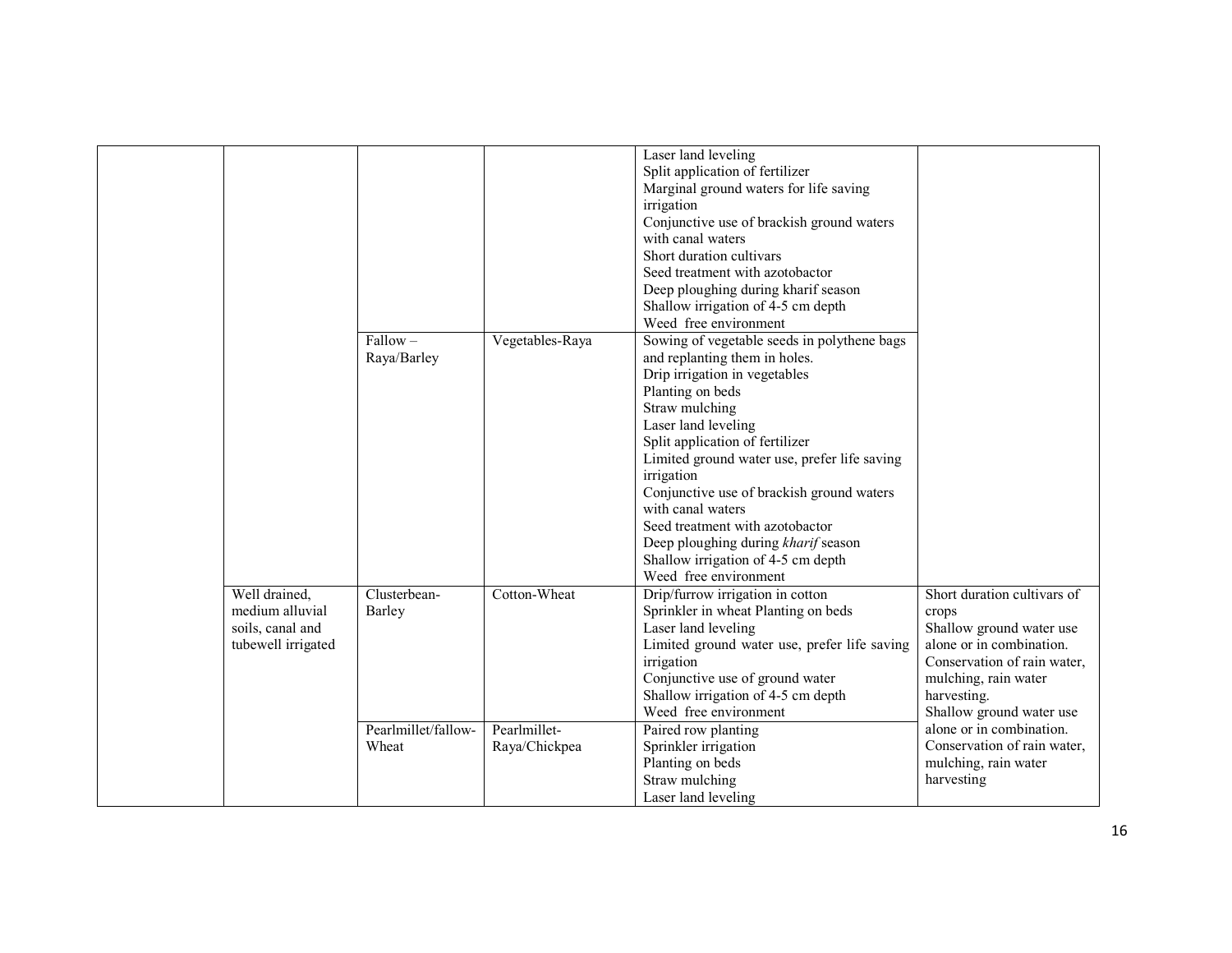|                    |                     |                 | Laser land leveling                          |                             |
|--------------------|---------------------|-----------------|----------------------------------------------|-----------------------------|
|                    |                     |                 | Split application of fertilizer              |                             |
|                    |                     |                 | Marginal ground waters for life saving       |                             |
|                    |                     |                 | irrigation                                   |                             |
|                    |                     |                 | Conjunctive use of brackish ground waters    |                             |
|                    |                     |                 | with canal waters                            |                             |
|                    |                     |                 | Short duration cultivars                     |                             |
|                    |                     |                 | Seed treatment with azotobactor              |                             |
|                    |                     |                 | Deep ploughing during kharif season          |                             |
|                    |                     |                 | Shallow irrigation of 4-5 cm depth           |                             |
|                    |                     |                 | Weed free environment                        |                             |
|                    | $Fallow -$          | Vegetables-Raya | Sowing of vegetable seeds in polythene bags  |                             |
|                    | Raya/Barley         |                 | and replanting them in holes.                |                             |
|                    |                     |                 | Drip irrigation in vegetables                |                             |
|                    |                     |                 | Planting on beds                             |                             |
|                    |                     |                 | Straw mulching                               |                             |
|                    |                     |                 | Laser land leveling                          |                             |
|                    |                     |                 | Split application of fertilizer              |                             |
|                    |                     |                 | Limited ground water use, prefer life saving |                             |
|                    |                     |                 | irrigation                                   |                             |
|                    |                     |                 | Conjunctive use of brackish ground waters    |                             |
|                    |                     |                 | with canal waters                            |                             |
|                    |                     |                 | Seed treatment with azotobactor              |                             |
|                    |                     |                 | Deep ploughing during kharif season          |                             |
|                    |                     |                 | Shallow irrigation of 4-5 cm depth           |                             |
|                    |                     |                 | Weed free environment                        |                             |
| Well drained,      | Clusterbean-        | Cotton-Wheat    | Drip/furrow irrigation in cotton             | Short duration cultivars of |
| medium alluvial    | Barley              |                 | Sprinkler in wheat Planting on beds          | crops                       |
| soils, canal and   |                     |                 | Laser land leveling                          | Shallow ground water use    |
| tubewell irrigated |                     |                 | Limited ground water use, prefer life saving | alone or in combination.    |
|                    |                     |                 | irrigation                                   | Conservation of rain water, |
|                    |                     |                 | Conjunctive use of ground water              | mulching, rain water        |
|                    |                     |                 | Shallow irrigation of 4-5 cm depth           | harvesting.                 |
|                    |                     |                 | Weed free environment                        | Shallow ground water use    |
|                    | Pearlmillet/fallow- | Pearlmillet-    | Paired row planting                          | alone or in combination.    |
|                    | Wheat               | Raya/Chickpea   | Sprinkler irrigation                         | Conservation of rain water, |
|                    |                     |                 | Planting on beds                             | mulching, rain water        |
|                    |                     |                 | Straw mulching                               | harvesting                  |
|                    |                     |                 | Laser land leveling                          |                             |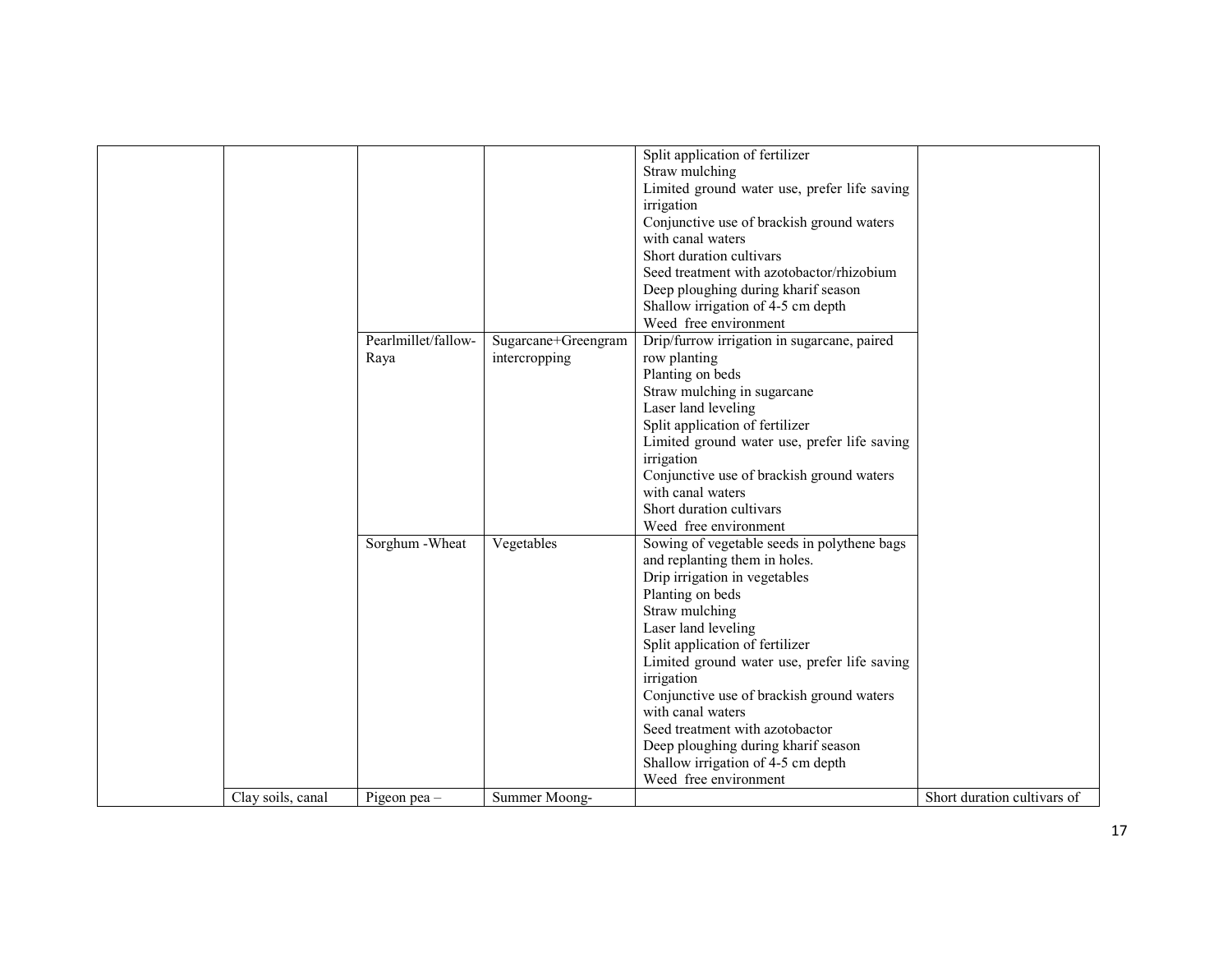|                   |                             |                                      | Split application of fertilizer<br>Straw mulching<br>Limited ground water use, prefer life saving<br>irrigation<br>Conjunctive use of brackish ground waters<br>with canal waters<br>Short duration cultivars<br>Seed treatment with azotobactor/rhizobium<br>Deep ploughing during kharif season<br>Shallow irrigation of 4-5 cm depth<br>Weed free environment                                                                                                                       |                             |
|-------------------|-----------------------------|--------------------------------------|----------------------------------------------------------------------------------------------------------------------------------------------------------------------------------------------------------------------------------------------------------------------------------------------------------------------------------------------------------------------------------------------------------------------------------------------------------------------------------------|-----------------------------|
|                   | Pearlmillet/fallow-<br>Raya | Sugarcane+Greengram<br>intercropping | Drip/furrow irrigation in sugarcane, paired<br>row planting<br>Planting on beds<br>Straw mulching in sugarcane<br>Laser land leveling<br>Split application of fertilizer<br>Limited ground water use, prefer life saving<br>irrigation<br>Conjunctive use of brackish ground waters<br>with canal waters<br>Short duration cultivars<br>Weed free environment                                                                                                                          |                             |
|                   | Sorghum - Wheat             | Vegetables                           | Sowing of vegetable seeds in polythene bags<br>and replanting them in holes.<br>Drip irrigation in vegetables<br>Planting on beds<br>Straw mulching<br>Laser land leveling<br>Split application of fertilizer<br>Limited ground water use, prefer life saving<br>irrigation<br>Conjunctive use of brackish ground waters<br>with canal waters<br>Seed treatment with azotobactor<br>Deep ploughing during kharif season<br>Shallow irrigation of 4-5 cm depth<br>Weed free environment |                             |
| Clay soils, canal | Pigeon pea -                | Summer Moong-                        |                                                                                                                                                                                                                                                                                                                                                                                                                                                                                        | Short duration cultivars of |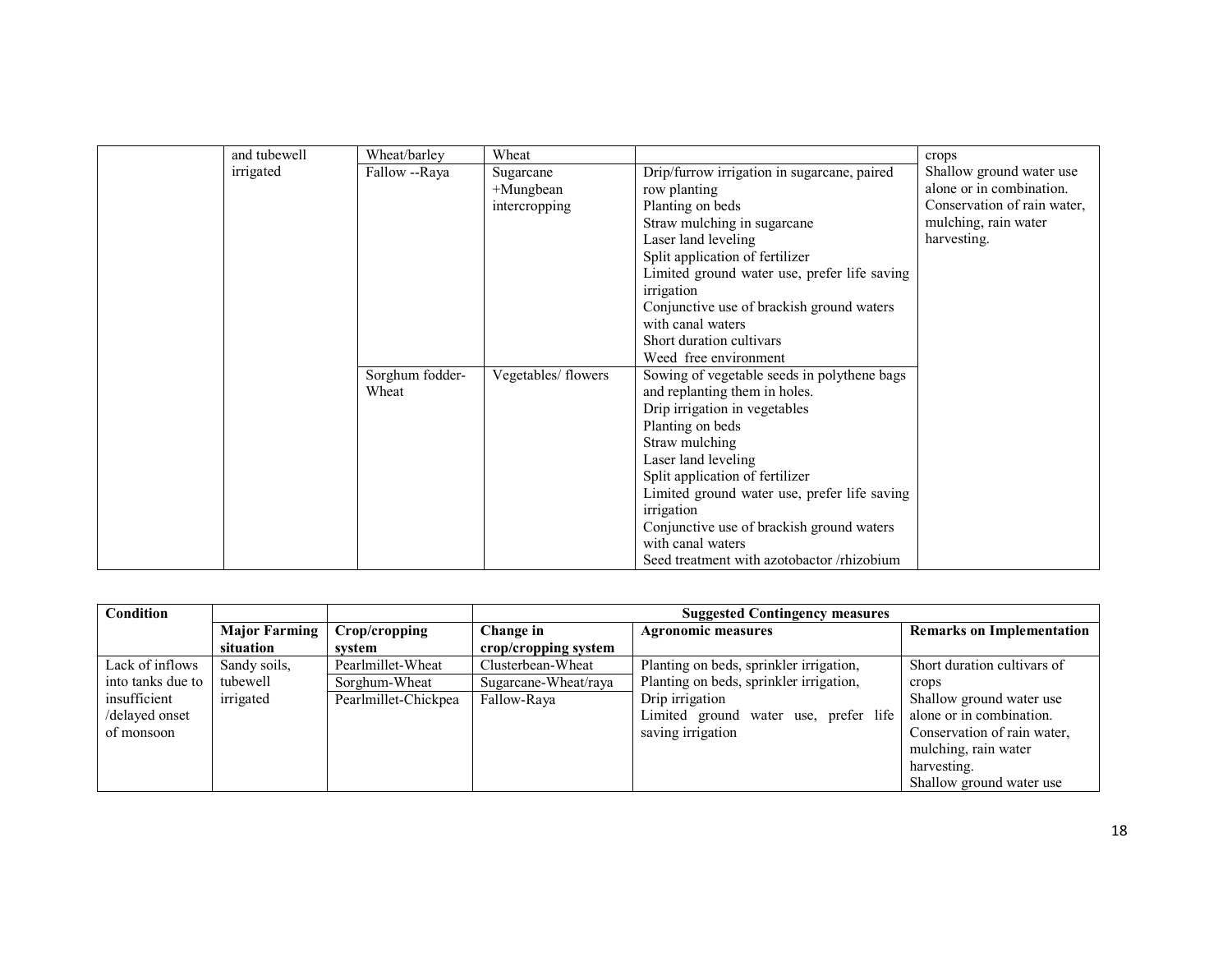| and tubewell | Wheat/barley    | Wheat               |                                              | crops                       |
|--------------|-----------------|---------------------|----------------------------------------------|-----------------------------|
| irrigated    | Fallow --Raya   | Sugarcane           | Drip/furrow irrigation in sugarcane, paired  | Shallow ground water use    |
|              |                 | $+$ Mungbean        | row planting                                 | alone or in combination.    |
|              |                 | intercropping       | Planting on beds                             | Conservation of rain water, |
|              |                 |                     | Straw mulching in sugarcane                  | mulching, rain water        |
|              |                 |                     | Laser land leveling                          | harvesting.                 |
|              |                 |                     | Split application of fertilizer              |                             |
|              |                 |                     | Limited ground water use, prefer life saving |                             |
|              |                 |                     | irrigation                                   |                             |
|              |                 |                     | Conjunctive use of brackish ground waters    |                             |
|              |                 |                     | with canal waters                            |                             |
|              |                 |                     | Short duration cultivars                     |                             |
|              |                 |                     | Weed free environment                        |                             |
|              | Sorghum fodder- | Vegetables/ flowers | Sowing of vegetable seeds in polythene bags  |                             |
|              | Wheat           |                     | and replanting them in holes.                |                             |
|              |                 |                     | Drip irrigation in vegetables                |                             |
|              |                 |                     | Planting on beds                             |                             |
|              |                 |                     | Straw mulching                               |                             |
|              |                 |                     | Laser land leveling                          |                             |
|              |                 |                     | Split application of fertilizer              |                             |
|              |                 |                     | Limited ground water use, prefer life saving |                             |
|              |                 |                     | irrigation                                   |                             |
|              |                 |                     | Conjunctive use of brackish ground waters    |                             |
|              |                 |                     | with canal waters                            |                             |
|              |                 |                     | Seed treatment with azotobactor /rhizobium   |                             |

| Condition         |                      |                      | <b>Suggested Contingency measures</b> |                                                               |                             |  |  |
|-------------------|----------------------|----------------------|---------------------------------------|---------------------------------------------------------------|-----------------------------|--|--|
|                   | <b>Major Farming</b> | Crop/cropping        | Change in                             | <b>Remarks on Implementation</b><br><b>Agronomic measures</b> |                             |  |  |
|                   | situation            | svstem               | crop/cropping system                  |                                                               |                             |  |  |
| Lack of inflows   | Sandy soils,         | Pearlmillet-Wheat    | Clusterbean-Wheat                     | Planting on beds, sprinkler irrigation,                       | Short duration cultivars of |  |  |
| into tanks due to | tubewell             | Sorghum-Wheat        | Sugarcane-Wheat/raya                  | Planting on beds, sprinkler irrigation,                       | crops                       |  |  |
| insufficient      | irrigated            | Pearlmillet-Chickpea | Fallow-Raya                           | Drip irrigation                                               | Shallow ground water use    |  |  |
| /delayed onset    |                      |                      |                                       | Limited ground water use, prefer life                         | alone or in combination.    |  |  |
| of monsoon        |                      |                      |                                       | saving irrigation                                             | Conservation of rain water, |  |  |
|                   |                      |                      |                                       |                                                               | mulching, rain water        |  |  |
|                   |                      |                      |                                       |                                                               | harvesting.                 |  |  |
|                   |                      |                      |                                       |                                                               | Shallow ground water use    |  |  |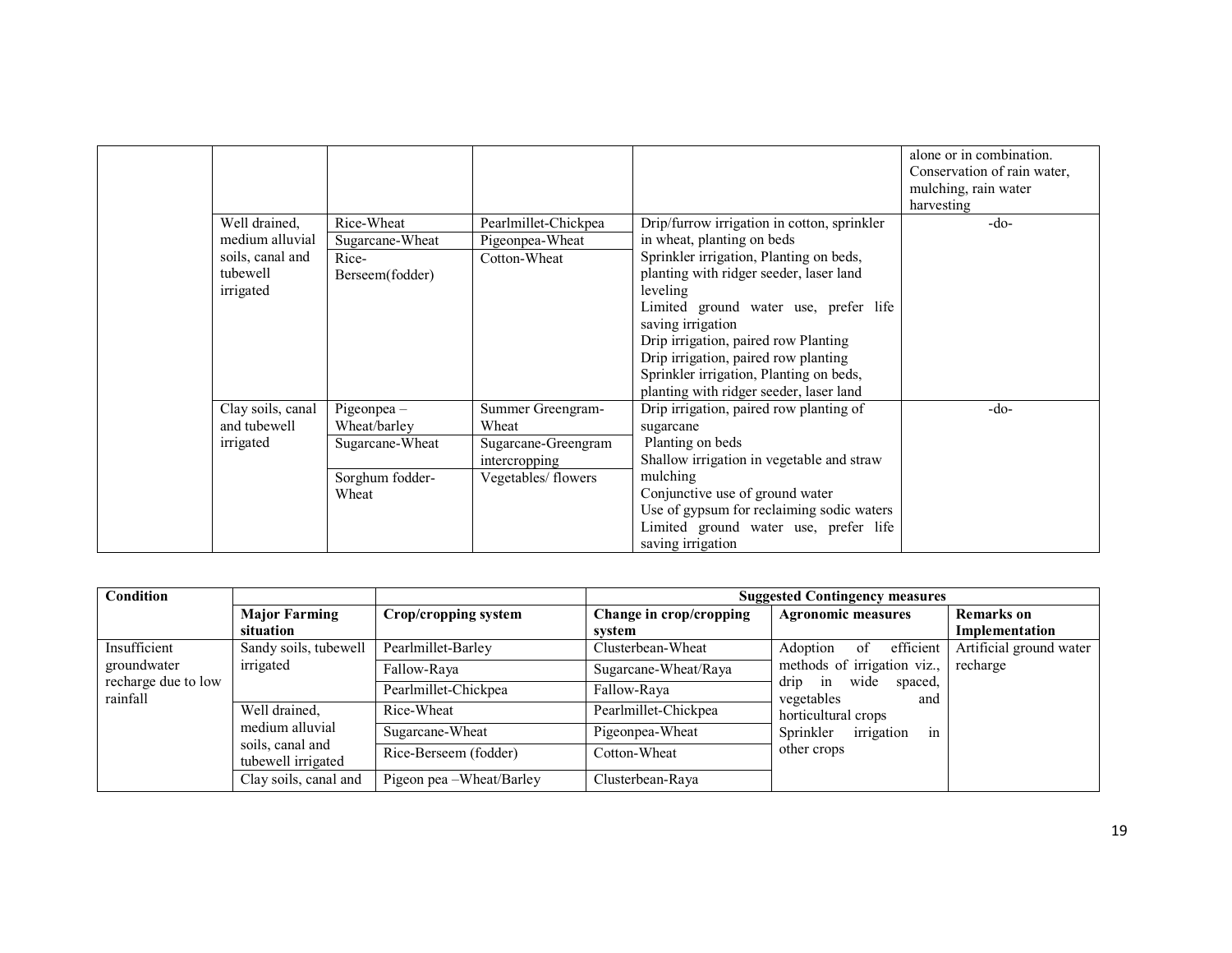|                   |                 |                      |                                             | alone or in combination.    |
|-------------------|-----------------|----------------------|---------------------------------------------|-----------------------------|
|                   |                 |                      |                                             | Conservation of rain water, |
|                   |                 |                      |                                             | mulching, rain water        |
|                   |                 |                      |                                             | harvesting                  |
| Well drained,     | Rice-Wheat      | Pearlmillet-Chickpea | Drip/furrow irrigation in cotton, sprinkler | $-do-$                      |
| medium alluvial   | Sugarcane-Wheat | Pigeonpea-Wheat      | in wheat, planting on beds                  |                             |
| soils, canal and  | Rice-           | Cotton-Wheat         | Sprinkler irrigation, Planting on beds,     |                             |
| tubewell          | Berseem(fodder) |                      | planting with ridger seeder, laser land     |                             |
| irrigated         |                 |                      | leveling                                    |                             |
|                   |                 |                      | Limited ground water use, prefer life       |                             |
|                   |                 |                      | saving irrigation                           |                             |
|                   |                 |                      | Drip irrigation, paired row Planting        |                             |
|                   |                 |                      | Drip irrigation, paired row planting        |                             |
|                   |                 |                      | Sprinkler irrigation, Planting on beds,     |                             |
|                   |                 |                      | planting with ridger seeder, laser land     |                             |
| Clay soils, canal | Pigeonpea -     | Summer Greengram-    | Drip irrigation, paired row planting of     | $-do-$                      |
| and tubewell      | Wheat/barley    | Wheat                | sugarcane                                   |                             |
| irrigated         | Sugarcane-Wheat | Sugarcane-Greengram  | Planting on beds                            |                             |
|                   |                 | intercropping        | Shallow irrigation in vegetable and straw   |                             |
|                   | Sorghum fodder- | Vegetables/ flowers  | mulching                                    |                             |
|                   | Wheat           |                      | Conjunctive use of ground water             |                             |
|                   |                 |                      | Use of gypsum for reclaiming sodic waters   |                             |
|                   |                 |                      | Limited ground water use, prefer life       |                             |
|                   |                 |                      | saving irrigation                           |                             |

| Condition                       |                                        |                             | <b>Suggested Contingency measures</b> |                                                                  |                         |  |
|---------------------------------|----------------------------------------|-----------------------------|---------------------------------------|------------------------------------------------------------------|-------------------------|--|
|                                 | <b>Major Farming</b>                   | <b>Crop/cropping system</b> | Change in crop/cropping               | <b>Agronomic measures</b>                                        | <b>Remarks</b> on       |  |
|                                 | situation                              |                             | svstem                                |                                                                  | Implementation          |  |
| Insufficient                    | Sandy soils, tubewell                  | Pearlmillet-Barley          | Clusterbean-Wheat                     | efficient<br>Adoption<br>-of                                     | Artificial ground water |  |
| groundwater                     | irrigated                              | Fallow-Raya                 | Sugarcane-Wheat/Raya                  | methods of irrigation viz.,                                      | recharge                |  |
| recharge due to low<br>rainfall |                                        | Pearlmillet-Chickpea        | Fallow-Raya                           | drip<br>wide<br>spaced,<br>in<br>vegetables<br>and               |                         |  |
|                                 | Well drained,<br>medium alluvial       | Rice-Wheat                  | Pearlmillet-Chickpea                  | horticultural crops<br>Sprinkler<br>irrigation<br><sub>1</sub> n |                         |  |
|                                 |                                        | Sugarcane-Wheat             | Pigeonpea-Wheat                       |                                                                  |                         |  |
|                                 | soils, canal and<br>tubewell irrigated | Rice-Berseem (fodder)       | Cotton-Wheat                          | other crops                                                      |                         |  |
|                                 | Clay soils, canal and                  | Pigeon pea – Wheat/Barley   | Clusterbean-Raya                      |                                                                  |                         |  |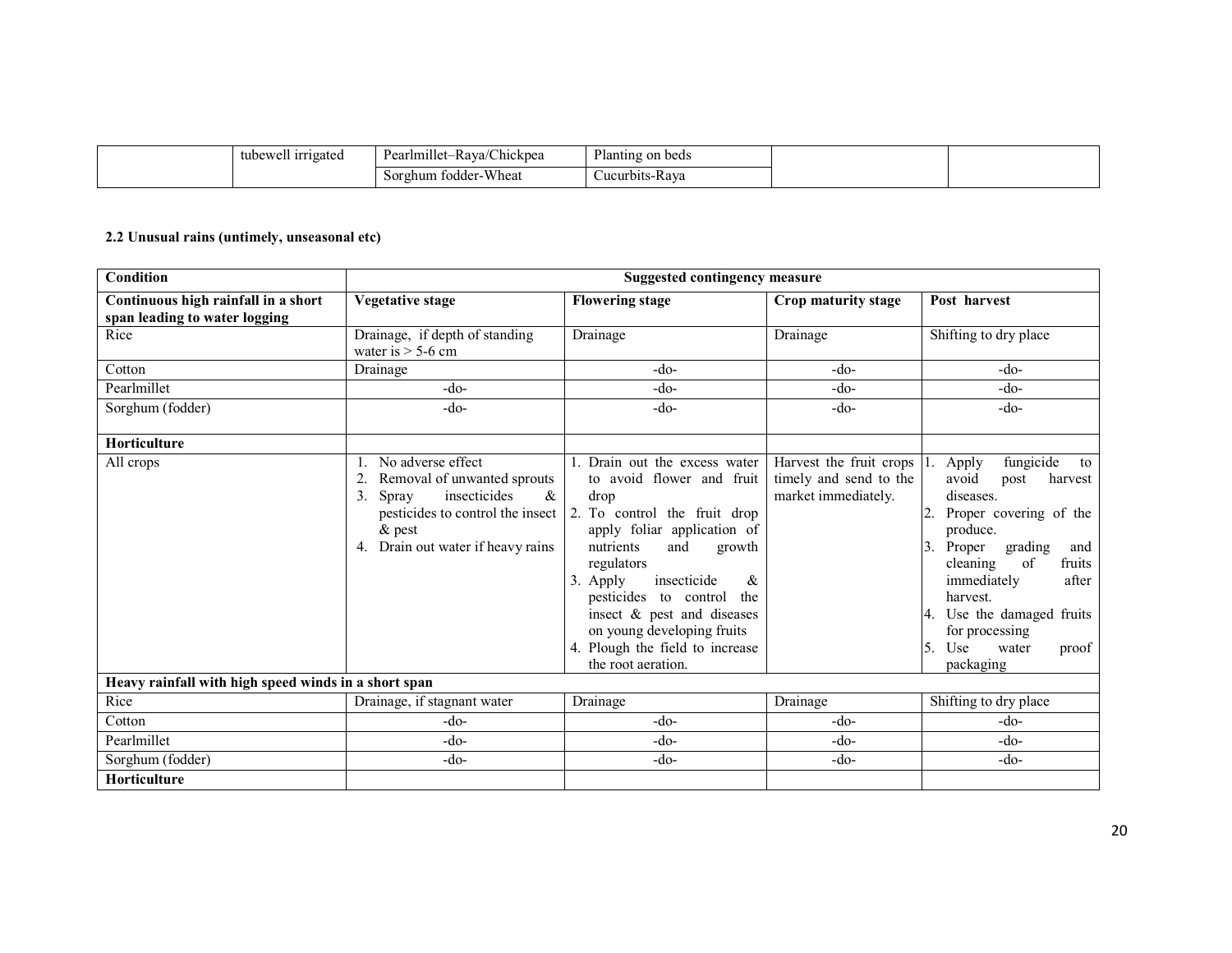| 11.<br>tubewell irrigated | $\cdots$<br>$\sim$ $\sim$<br>$\sqrt{2}$<br>-Rava/Chickpea<br>Pearlmillet- | Planting on beds |
|---------------------------|---------------------------------------------------------------------------|------------------|
|                           | <b>Wheat</b><br>Sorghum fodder                                            | ∪ucurbits-Rava   |

#### 2.2 Unusual rains (untimely, unseasonal etc)

| Condition                                                            |                                                                                                                                                                               | <b>Suggested contingency measure</b>                                                                                                                                                                                                                                                                                                                               |                                                                          |                                                                                                                                                                                                                                                                                                         |
|----------------------------------------------------------------------|-------------------------------------------------------------------------------------------------------------------------------------------------------------------------------|--------------------------------------------------------------------------------------------------------------------------------------------------------------------------------------------------------------------------------------------------------------------------------------------------------------------------------------------------------------------|--------------------------------------------------------------------------|---------------------------------------------------------------------------------------------------------------------------------------------------------------------------------------------------------------------------------------------------------------------------------------------------------|
| Continuous high rainfall in a short<br>span leading to water logging | <b>Vegetative stage</b>                                                                                                                                                       | <b>Flowering stage</b>                                                                                                                                                                                                                                                                                                                                             | Crop maturity stage                                                      | Post harvest                                                                                                                                                                                                                                                                                            |
| Rice                                                                 | Drainage, if depth of standing<br>water is $>$ 5-6 cm                                                                                                                         | Drainage                                                                                                                                                                                                                                                                                                                                                           | Drainage                                                                 | Shifting to dry place                                                                                                                                                                                                                                                                                   |
| Cotton                                                               | Drainage                                                                                                                                                                      | -do-                                                                                                                                                                                                                                                                                                                                                               | $-do-$                                                                   | $-do-$                                                                                                                                                                                                                                                                                                  |
| Pearlmillet                                                          | $-do-$                                                                                                                                                                        | -do-                                                                                                                                                                                                                                                                                                                                                               | $-do-$                                                                   | $-do-$                                                                                                                                                                                                                                                                                                  |
| Sorghum (fodder)                                                     | $-do-$                                                                                                                                                                        | $-do-$                                                                                                                                                                                                                                                                                                                                                             | $-do-$                                                                   | $-do-$                                                                                                                                                                                                                                                                                                  |
| <b>Horticulture</b>                                                  |                                                                                                                                                                               |                                                                                                                                                                                                                                                                                                                                                                    |                                                                          |                                                                                                                                                                                                                                                                                                         |
| All crops                                                            | No adverse effect<br>Removal of unwanted sprouts<br>insecticides<br>$\&$<br>3.<br>Spray<br>pesticides to control the insect<br>$\&$ pest<br>4. Drain out water if heavy rains | Drain out the excess water<br>to avoid flower and fruit<br>drop<br>2. To control the fruit drop<br>apply foliar application of<br>nutrients<br>and<br>growth<br>regulators<br>3.<br>Apply<br>insecticide<br>&<br>pesticides to control<br>the<br>insect & pest and diseases<br>on young developing fruits<br>4. Plough the field to increase<br>the root aeration. | Harvest the fruit crops<br>timely and send to the<br>market immediately. | fungicide<br>Apply<br>to<br>avoid<br>harvest<br>post<br>diseases.<br>Proper covering of the<br>2.<br>produce.<br>3.<br>grading<br>Proper<br>and<br>cleaning<br>of<br>fruits<br>immediately<br>after<br>harvest.<br>4. Use the damaged fruits<br>for processing<br>5. Use<br>water<br>proof<br>packaging |
| Heavy rainfall with high speed winds in a short span                 |                                                                                                                                                                               |                                                                                                                                                                                                                                                                                                                                                                    |                                                                          |                                                                                                                                                                                                                                                                                                         |
| Rice                                                                 | Drainage, if stagnant water                                                                                                                                                   | Drainage                                                                                                                                                                                                                                                                                                                                                           | Drainage                                                                 | Shifting to dry place                                                                                                                                                                                                                                                                                   |
| Cotton                                                               | $-do-$                                                                                                                                                                        | $-do-$                                                                                                                                                                                                                                                                                                                                                             | -do-                                                                     | $-do-$                                                                                                                                                                                                                                                                                                  |
| Pearlmillet                                                          | $-do-$                                                                                                                                                                        | $-do-$                                                                                                                                                                                                                                                                                                                                                             | $-do-$                                                                   | $-do-$                                                                                                                                                                                                                                                                                                  |
| Sorghum (fodder)                                                     | $-do-$                                                                                                                                                                        | $-do-$                                                                                                                                                                                                                                                                                                                                                             | $-do-$                                                                   | -do-                                                                                                                                                                                                                                                                                                    |
| <b>Horticulture</b>                                                  |                                                                                                                                                                               |                                                                                                                                                                                                                                                                                                                                                                    |                                                                          |                                                                                                                                                                                                                                                                                                         |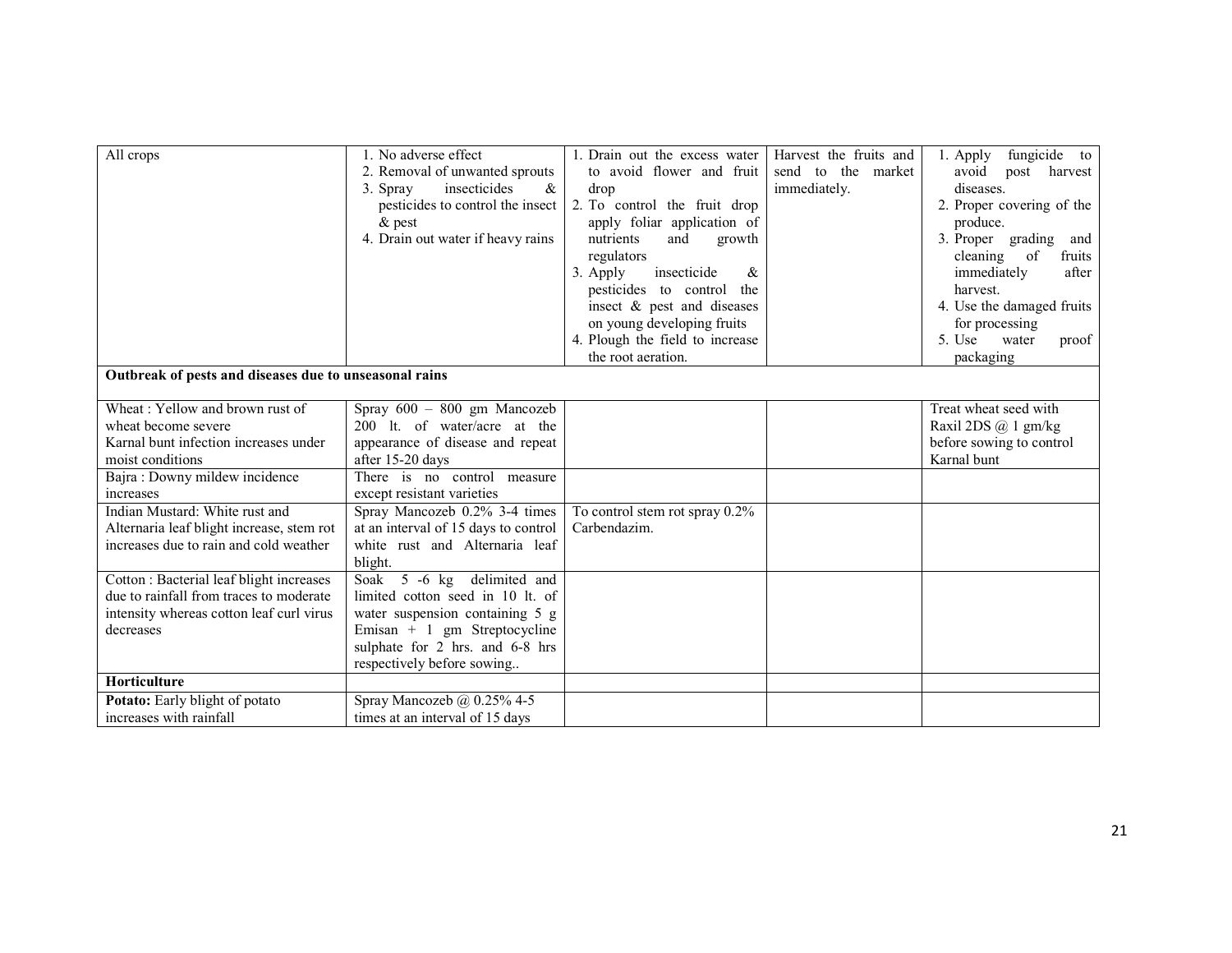| All crops                                                                                                                       | 1. No adverse effect<br>2. Removal of unwanted sprouts<br>insecticides<br>&<br>3. Spray<br>pesticides to control the insect<br>$\&$ pest | 1. Drain out the excess water<br>to avoid flower and fruit<br>drop<br>2. To control the fruit drop<br>apply foliar application of                                    | Harvest the fruits and<br>send to the market<br>immediately. | fungicide to<br>1. Apply<br>avoid post harvest<br>diseases.<br>2. Proper covering of the<br>produce.                              |
|---------------------------------------------------------------------------------------------------------------------------------|------------------------------------------------------------------------------------------------------------------------------------------|----------------------------------------------------------------------------------------------------------------------------------------------------------------------|--------------------------------------------------------------|-----------------------------------------------------------------------------------------------------------------------------------|
|                                                                                                                                 | 4. Drain out water if heavy rains                                                                                                        | nutrients<br>and<br>growth<br>regulators<br>insecticide<br>3. Apply<br>$\&$<br>pesticides to control the<br>insect & pest and diseases<br>on young developing fruits |                                                              | 3. Proper grading and<br>cleaning of<br>fruits<br>immediately<br>after<br>harvest.<br>4. Use the damaged fruits<br>for processing |
|                                                                                                                                 |                                                                                                                                          | 4. Plough the field to increase<br>the root aeration.                                                                                                                |                                                              | 5. Use<br>water<br>proof<br>packaging                                                                                             |
| Outbreak of pests and diseases due to unseasonal rains                                                                          |                                                                                                                                          |                                                                                                                                                                      |                                                              |                                                                                                                                   |
|                                                                                                                                 |                                                                                                                                          |                                                                                                                                                                      |                                                              |                                                                                                                                   |
| Wheat: Yellow and brown rust of                                                                                                 | Spray 600 - 800 gm Mancozeb                                                                                                              |                                                                                                                                                                      |                                                              | Treat wheat seed with                                                                                                             |
| wheat become severe                                                                                                             | 200 lt. of water/acre at the                                                                                                             |                                                                                                                                                                      |                                                              | Raxil 2DS $@$ 1 gm/kg                                                                                                             |
| Karnal bunt infection increases under                                                                                           | appearance of disease and repeat                                                                                                         |                                                                                                                                                                      |                                                              | before sowing to control                                                                                                          |
| moist conditions                                                                                                                | after 15-20 days                                                                                                                         |                                                                                                                                                                      |                                                              | Karnal bunt                                                                                                                       |
| Bajra: Downy mildew incidence<br>increases                                                                                      | There is no control measure<br>except resistant varieties                                                                                |                                                                                                                                                                      |                                                              |                                                                                                                                   |
| Indian Mustard: White rust and<br>Alternaria leaf blight increase, stem rot<br>increases due to rain and cold weather           | Spray Mancozeb 0.2% 3-4 times<br>at an interval of 15 days to control<br>white rust and Alternaria leaf<br>blight.                       | To control stem rot spray 0.2%<br>Carbendazim.                                                                                                                       |                                                              |                                                                                                                                   |
| Cotton : Bacterial leaf blight increases<br>due to rainfall from traces to moderate<br>intensity whereas cotton leaf curl virus | Soak 5 -6 kg delimited and<br>limited cotton seed in 10 lt. of<br>water suspension containing 5 g                                        |                                                                                                                                                                      |                                                              |                                                                                                                                   |
| decreases                                                                                                                       | Emisan + 1 gm Streptocycline<br>sulphate for 2 hrs. and 6-8 hrs<br>respectively before sowing                                            |                                                                                                                                                                      |                                                              |                                                                                                                                   |
| Horticulture                                                                                                                    |                                                                                                                                          |                                                                                                                                                                      |                                                              |                                                                                                                                   |
| Potato: Early blight of potato                                                                                                  | Spray Mancozeb @ 0.25% 4-5                                                                                                               |                                                                                                                                                                      |                                                              |                                                                                                                                   |
| increases with rainfall                                                                                                         | times at an interval of 15 days                                                                                                          |                                                                                                                                                                      |                                                              |                                                                                                                                   |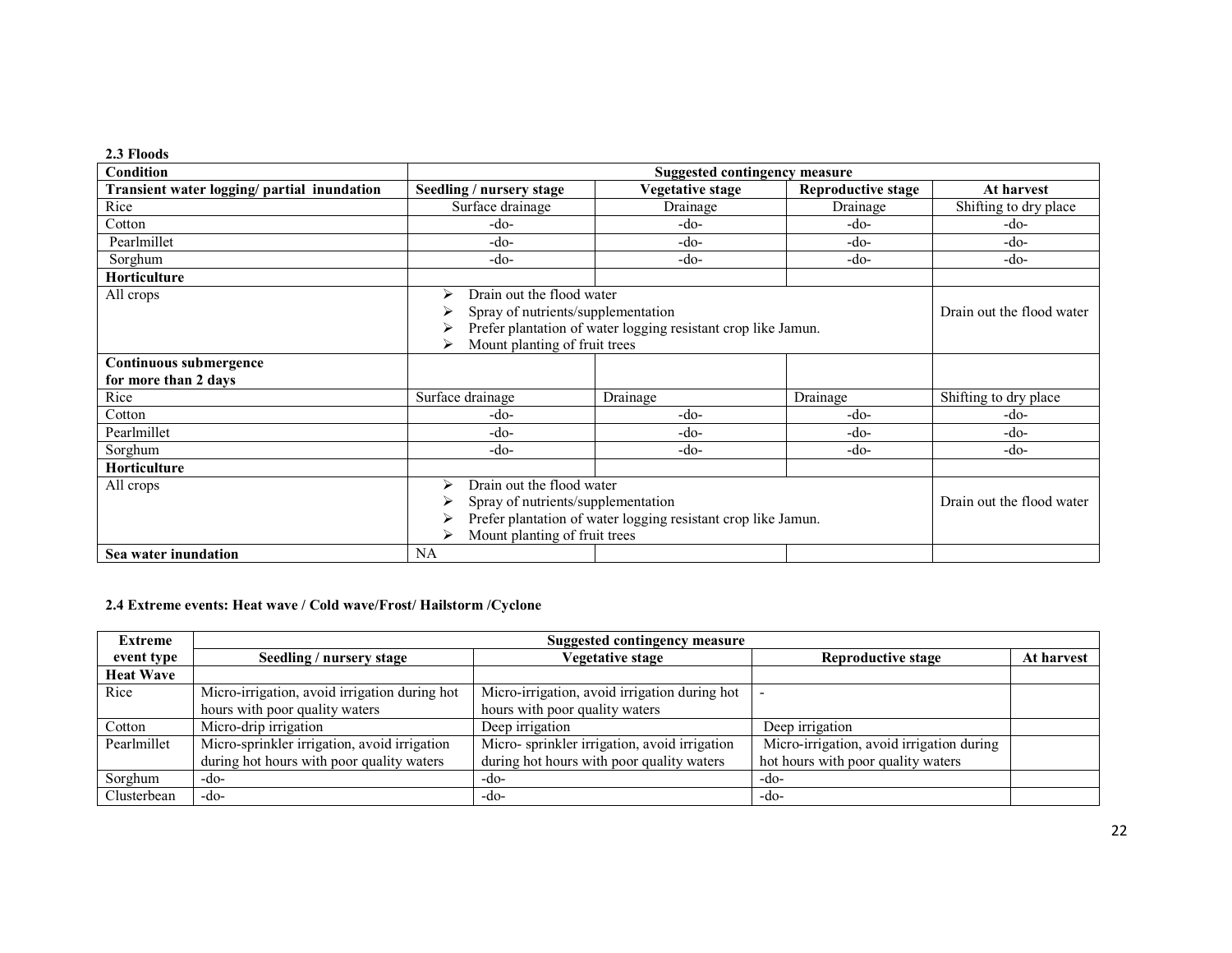| 2.3 Floods                                     |                                                                                                                                                                                                 |                         |                           |                           |  |
|------------------------------------------------|-------------------------------------------------------------------------------------------------------------------------------------------------------------------------------------------------|-------------------------|---------------------------|---------------------------|--|
| Condition                                      | <b>Suggested contingency measure</b>                                                                                                                                                            |                         |                           |                           |  |
| Transient water logging/ partial inundation    | Seedling / nursery stage                                                                                                                                                                        | <b>Vegetative stage</b> | <b>Reproductive stage</b> | At harvest                |  |
| Rice                                           | Surface drainage                                                                                                                                                                                | Drainage                | Drainage                  | Shifting to dry place     |  |
| Cotton                                         | -do-                                                                                                                                                                                            | -do-                    | $-do-$                    | $-do-$                    |  |
| Pearlmillet                                    | $-do-$                                                                                                                                                                                          | -do-                    | $-do-$                    | $-do-$                    |  |
| Sorghum                                        | -do-                                                                                                                                                                                            | -do-                    | -do-                      | -do-                      |  |
| <b>Horticulture</b>                            |                                                                                                                                                                                                 |                         |                           |                           |  |
| All crops                                      | Drain out the flood water<br>⋗<br>Spray of nutrients/supplementation<br>Prefer plantation of water logging resistant crop like Jamun.<br>Mount planting of fruit trees<br>⋗                     |                         |                           | Drain out the flood water |  |
| Continuous submergence<br>for more than 2 days |                                                                                                                                                                                                 |                         |                           |                           |  |
| Rice                                           | Surface drainage                                                                                                                                                                                | Drainage                | Drainage                  | Shifting to dry place     |  |
| Cotton                                         | -do-                                                                                                                                                                                            | -do-                    | $-do-$                    | $-do-$                    |  |
| Pearlmillet                                    | -do-                                                                                                                                                                                            | -do-                    | $-do-$                    | $-do-$                    |  |
| Sorghum                                        | $-do-$                                                                                                                                                                                          | -do-                    | $-do-$                    | $-do-$                    |  |
| <b>Horticulture</b>                            |                                                                                                                                                                                                 |                         |                           |                           |  |
| All crops                                      | Drain out the flood water<br>$\triangleright$<br>Spray of nutrients/supplementation<br>Prefer plantation of water logging resistant crop like Jamun.<br>⋗<br>Mount planting of fruit trees<br>⋗ |                         |                           | Drain out the flood water |  |
| Sea water inundation                           | NA                                                                                                                                                                                              |                         |                           |                           |  |

# 2.4 Extreme events: Heat wave / Cold wave/Frost/ Hailstorm /Cyclone

| <b>Extreme</b>   | Suggested contingency measure                 |                                               |                                           |            |  |
|------------------|-----------------------------------------------|-----------------------------------------------|-------------------------------------------|------------|--|
| event type       | Seedling / nursery stage                      | Vegetative stage                              | <b>Reproductive stage</b>                 | At harvest |  |
| <b>Heat Wave</b> |                                               |                                               |                                           |            |  |
| Rice             | Micro-irrigation, avoid irrigation during hot | Micro-irrigation, avoid irrigation during hot |                                           |            |  |
|                  | hours with poor quality waters                | hours with poor quality waters                |                                           |            |  |
| Cotton           | Micro-drip irrigation                         | Deep irrigation                               | Deep irrigation                           |            |  |
| Pearlmillet      | Micro-sprinkler irrigation, avoid irrigation  | Micro-sprinkler irrigation, avoid irrigation  | Micro-irrigation, avoid irrigation during |            |  |
|                  | during hot hours with poor quality waters     | during hot hours with poor quality waters     | hot hours with poor quality waters        |            |  |
| Sorghum          | -do-                                          | -do-                                          | -do-                                      |            |  |
| Clusterbean      | $-do-$                                        | -do-                                          | -do-                                      |            |  |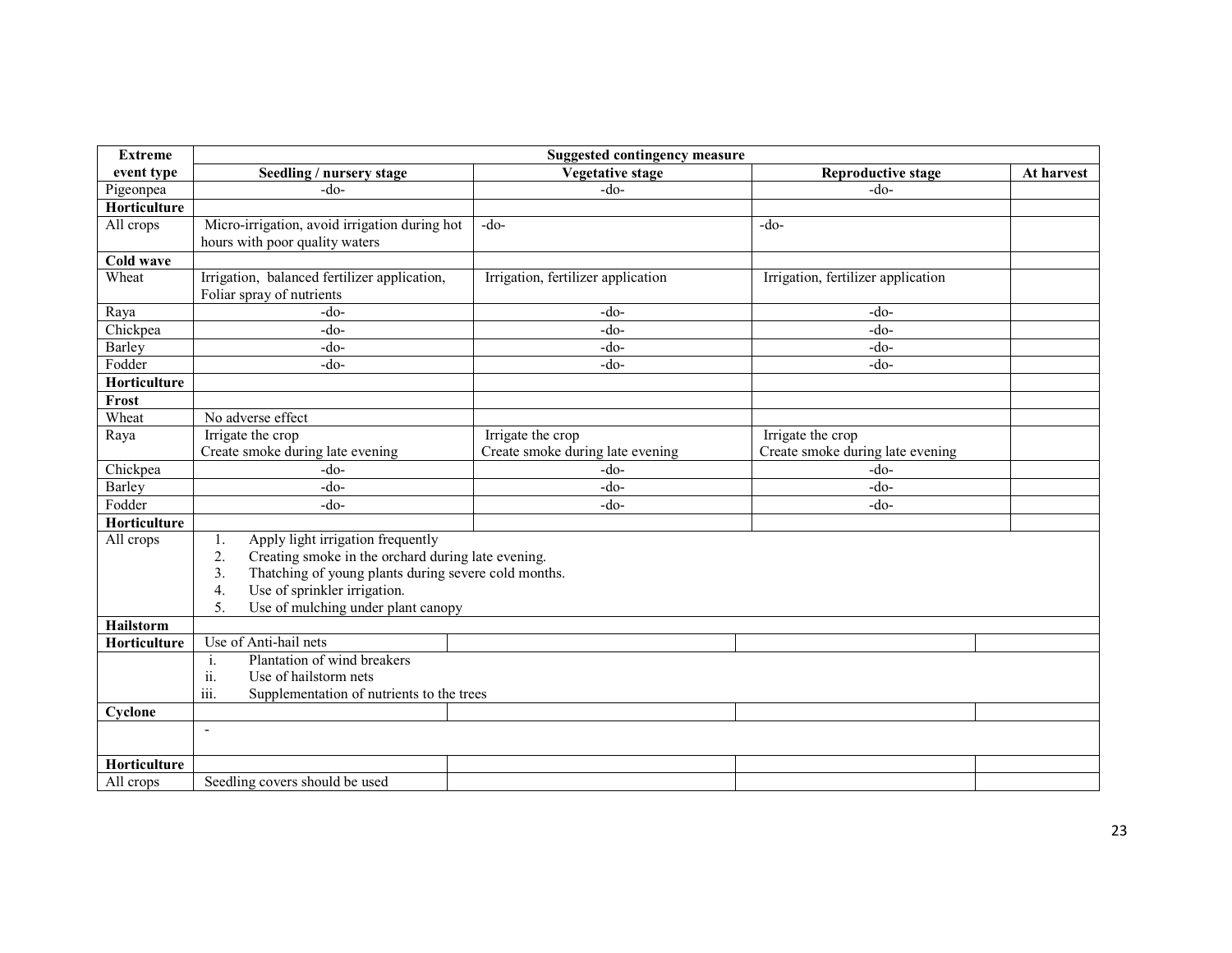| <b>Extreme</b>   | <b>Suggested contingency measure</b>                                                                                                                                                                                                                              |                                                       |                                                       |            |  |
|------------------|-------------------------------------------------------------------------------------------------------------------------------------------------------------------------------------------------------------------------------------------------------------------|-------------------------------------------------------|-------------------------------------------------------|------------|--|
| event type       | Seedling / nursery stage                                                                                                                                                                                                                                          | <b>Vegetative stage</b>                               | <b>Reproductive stage</b>                             | At harvest |  |
| Pigeonpea        | $-do-$                                                                                                                                                                                                                                                            | $-do-$                                                | $-do-$                                                |            |  |
| Horticulture     |                                                                                                                                                                                                                                                                   |                                                       |                                                       |            |  |
| All crops        | Micro-irrigation, avoid irrigation during hot<br>hours with poor quality waters                                                                                                                                                                                   | $-do-$                                                | $-do-$                                                |            |  |
| Cold wave        |                                                                                                                                                                                                                                                                   |                                                       |                                                       |            |  |
| Wheat            | Irrigation, balanced fertilizer application,<br>Foliar spray of nutrients                                                                                                                                                                                         | Irrigation, fertilizer application                    | Irrigation, fertilizer application                    |            |  |
| Raya             | $-do-$                                                                                                                                                                                                                                                            | $-do-$                                                | $-do-$                                                |            |  |
| Chickpea         | $-do-$                                                                                                                                                                                                                                                            | $-do-$                                                | $-do-$                                                |            |  |
| Barley           | $-do-$                                                                                                                                                                                                                                                            | $-do-$                                                | $-do-$                                                |            |  |
| Fodder           | $-do-$                                                                                                                                                                                                                                                            | $-do-$                                                | $-do-$                                                |            |  |
| Horticulture     |                                                                                                                                                                                                                                                                   |                                                       |                                                       |            |  |
| Frost            |                                                                                                                                                                                                                                                                   |                                                       |                                                       |            |  |
| Wheat            | No adverse effect                                                                                                                                                                                                                                                 |                                                       |                                                       |            |  |
| Raya             | Irrigate the crop<br>Create smoke during late evening                                                                                                                                                                                                             | Irrigate the crop<br>Create smoke during late evening | Irrigate the crop<br>Create smoke during late evening |            |  |
| Chickpea         | $-do-$                                                                                                                                                                                                                                                            | $-do-$                                                | $-do-$                                                |            |  |
| Barley           | $-do-$                                                                                                                                                                                                                                                            | $-do-$                                                | $-do-$                                                |            |  |
| Fodder           | $-do-$                                                                                                                                                                                                                                                            | $-do-$                                                | $-do-$                                                |            |  |
| Horticulture     |                                                                                                                                                                                                                                                                   |                                                       |                                                       |            |  |
| All crops        | Apply light irrigation frequently<br>1.<br>Creating smoke in the orchard during late evening.<br>2.<br>Thatching of young plants during severe cold months.<br>3.<br>Use of sprinkler irrigation.<br>$\overline{4}$ .<br>Use of mulching under plant canopy<br>5. |                                                       |                                                       |            |  |
| <b>Hailstorm</b> |                                                                                                                                                                                                                                                                   |                                                       |                                                       |            |  |
| Horticulture     | Use of Anti-hail nets                                                                                                                                                                                                                                             |                                                       |                                                       |            |  |
|                  | Plantation of wind breakers<br>i.<br>$\ddot{\mathbf{u}}$ .<br>Use of hailstorm nets<br>iii.<br>Supplementation of nutrients to the trees                                                                                                                          |                                                       |                                                       |            |  |
| Cyclone          |                                                                                                                                                                                                                                                                   |                                                       |                                                       |            |  |
|                  | $\blacksquare$                                                                                                                                                                                                                                                    |                                                       |                                                       |            |  |
| Horticulture     |                                                                                                                                                                                                                                                                   |                                                       |                                                       |            |  |
| All crops        | Seedling covers should be used                                                                                                                                                                                                                                    |                                                       |                                                       |            |  |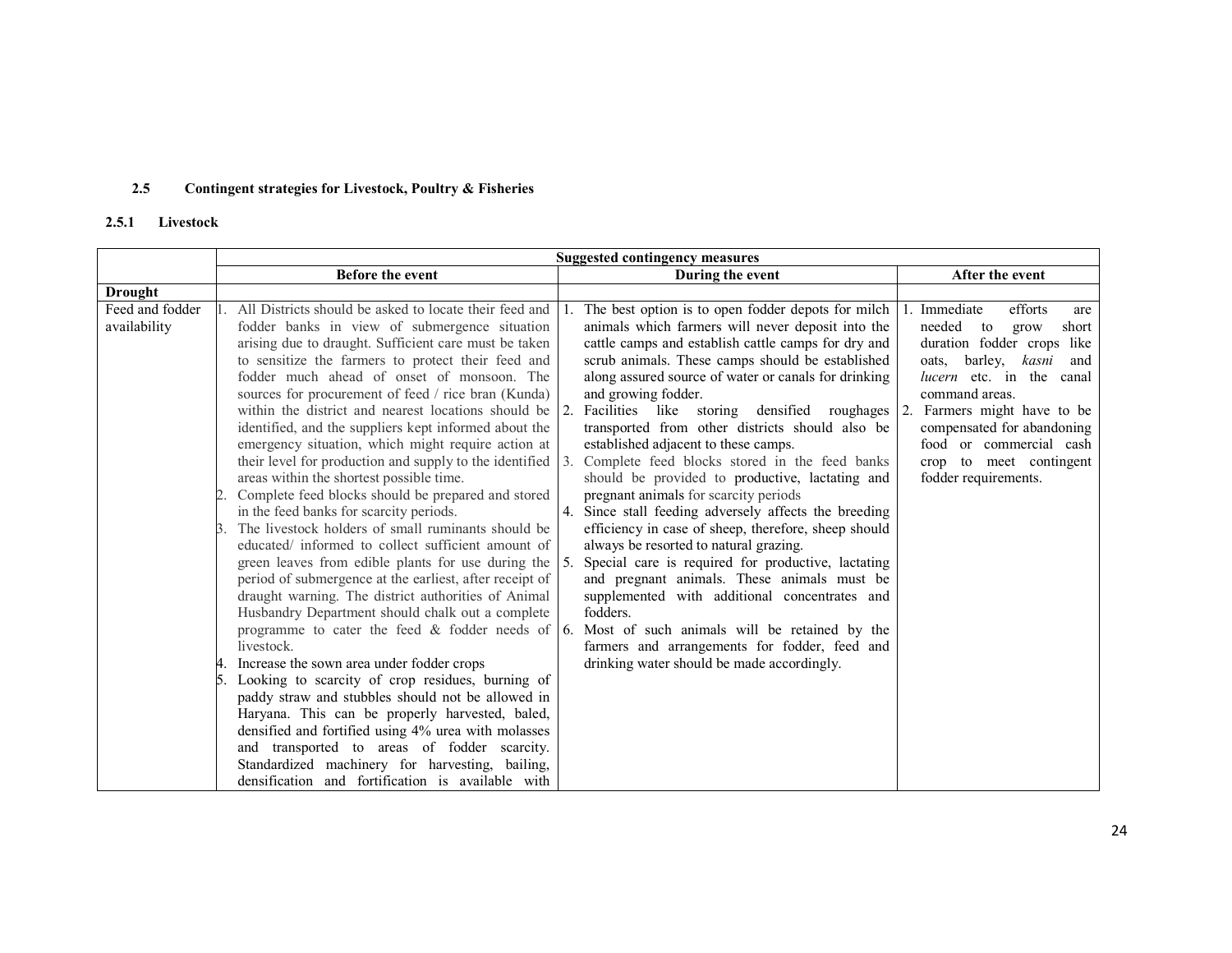#### 2.5Contingent strategies for Livestock, Poultry & Fisheries

# 2.5.1 Livestock

|                                 | <b>Suggested contingency measures</b>                                                                                                                                                                                                                                                                                                                                                                                                                                                                                                                                                                                                                                                                                                                                                                                                                                                                                                                                                                                                                                                                                                                                                                                                                                                                                                                                                                                                                                                   |                                                                                                                                                                                                                                                                                                                                                                                                                                                                                                                                                                                                                                                                                                                                                                                                                                                                                                                                                                                                                                                                                                                             |                                                                                                                                                                                                                                                                                                                       |  |  |
|---------------------------------|-----------------------------------------------------------------------------------------------------------------------------------------------------------------------------------------------------------------------------------------------------------------------------------------------------------------------------------------------------------------------------------------------------------------------------------------------------------------------------------------------------------------------------------------------------------------------------------------------------------------------------------------------------------------------------------------------------------------------------------------------------------------------------------------------------------------------------------------------------------------------------------------------------------------------------------------------------------------------------------------------------------------------------------------------------------------------------------------------------------------------------------------------------------------------------------------------------------------------------------------------------------------------------------------------------------------------------------------------------------------------------------------------------------------------------------------------------------------------------------------|-----------------------------------------------------------------------------------------------------------------------------------------------------------------------------------------------------------------------------------------------------------------------------------------------------------------------------------------------------------------------------------------------------------------------------------------------------------------------------------------------------------------------------------------------------------------------------------------------------------------------------------------------------------------------------------------------------------------------------------------------------------------------------------------------------------------------------------------------------------------------------------------------------------------------------------------------------------------------------------------------------------------------------------------------------------------------------------------------------------------------------|-----------------------------------------------------------------------------------------------------------------------------------------------------------------------------------------------------------------------------------------------------------------------------------------------------------------------|--|--|
|                                 | Before the event                                                                                                                                                                                                                                                                                                                                                                                                                                                                                                                                                                                                                                                                                                                                                                                                                                                                                                                                                                                                                                                                                                                                                                                                                                                                                                                                                                                                                                                                        | During the event                                                                                                                                                                                                                                                                                                                                                                                                                                                                                                                                                                                                                                                                                                                                                                                                                                                                                                                                                                                                                                                                                                            | After the event                                                                                                                                                                                                                                                                                                       |  |  |
| <b>Drought</b>                  |                                                                                                                                                                                                                                                                                                                                                                                                                                                                                                                                                                                                                                                                                                                                                                                                                                                                                                                                                                                                                                                                                                                                                                                                                                                                                                                                                                                                                                                                                         |                                                                                                                                                                                                                                                                                                                                                                                                                                                                                                                                                                                                                                                                                                                                                                                                                                                                                                                                                                                                                                                                                                                             |                                                                                                                                                                                                                                                                                                                       |  |  |
| Feed and fodder<br>availability | All Districts should be asked to locate their feed and<br>fodder banks in view of submergence situation<br>arising due to draught. Sufficient care must be taken<br>to sensitize the farmers to protect their feed and<br>fodder much ahead of onset of monsoon. The<br>sources for procurement of feed / rice bran (Kunda)<br>within the district and nearest locations should be<br>identified, and the suppliers kept informed about the<br>emergency situation, which might require action at<br>their level for production and supply to the identified<br>areas within the shortest possible time.<br>Complete feed blocks should be prepared and stored<br>in the feed banks for scarcity periods.<br>The livestock holders of small ruminants should be<br>educated/ informed to collect sufficient amount of<br>green leaves from edible plants for use during the<br>period of submergence at the earliest, after receipt of<br>draught warning. The district authorities of Animal<br>Husbandry Department should chalk out a complete<br>livestock.<br>Increase the sown area under fodder crops<br>Looking to scarcity of crop residues, burning of<br>paddy straw and stubbles should not be allowed in<br>Haryana. This can be properly harvested, baled,<br>densified and fortified using 4% urea with molasses<br>and transported to areas of fodder scarcity.<br>Standardized machinery for harvesting, bailing,<br>densification and fortification is available with | The best option is to open fodder depots for milch<br>animals which farmers will never deposit into the<br>cattle camps and establish cattle camps for dry and<br>scrub animals. These camps should be established<br>along assured source of water or canals for drinking<br>and growing fodder.<br>2. Facilities like storing densified roughages 2.<br>transported from other districts should also be<br>established adjacent to these camps.<br>Complete feed blocks stored in the feed banks<br>should be provided to productive, lactating and<br>pregnant animals for scarcity periods<br>4. Since stall feeding adversely affects the breeding<br>efficiency in case of sheep, therefore, sheep should<br>always be resorted to natural grazing.<br>Special care is required for productive, lactating<br>and pregnant animals. These animals must be<br>supplemented with additional concentrates and<br>fodders.<br>programme to cater the feed & fodder needs of 6. Most of such animals will be retained by the<br>farmers and arrangements for fodder, feed and<br>drinking water should be made accordingly. | Immediate<br>efforts<br>are<br>needed<br>short<br>to<br>grow<br>duration fodder crops like<br>oats, barley, kasni<br>and<br><i>lucern</i> etc. in the canal<br>command areas.<br>Farmers might have to be<br>compensated for abandoning<br>food or commercial cash<br>crop to meet contingent<br>fodder requirements. |  |  |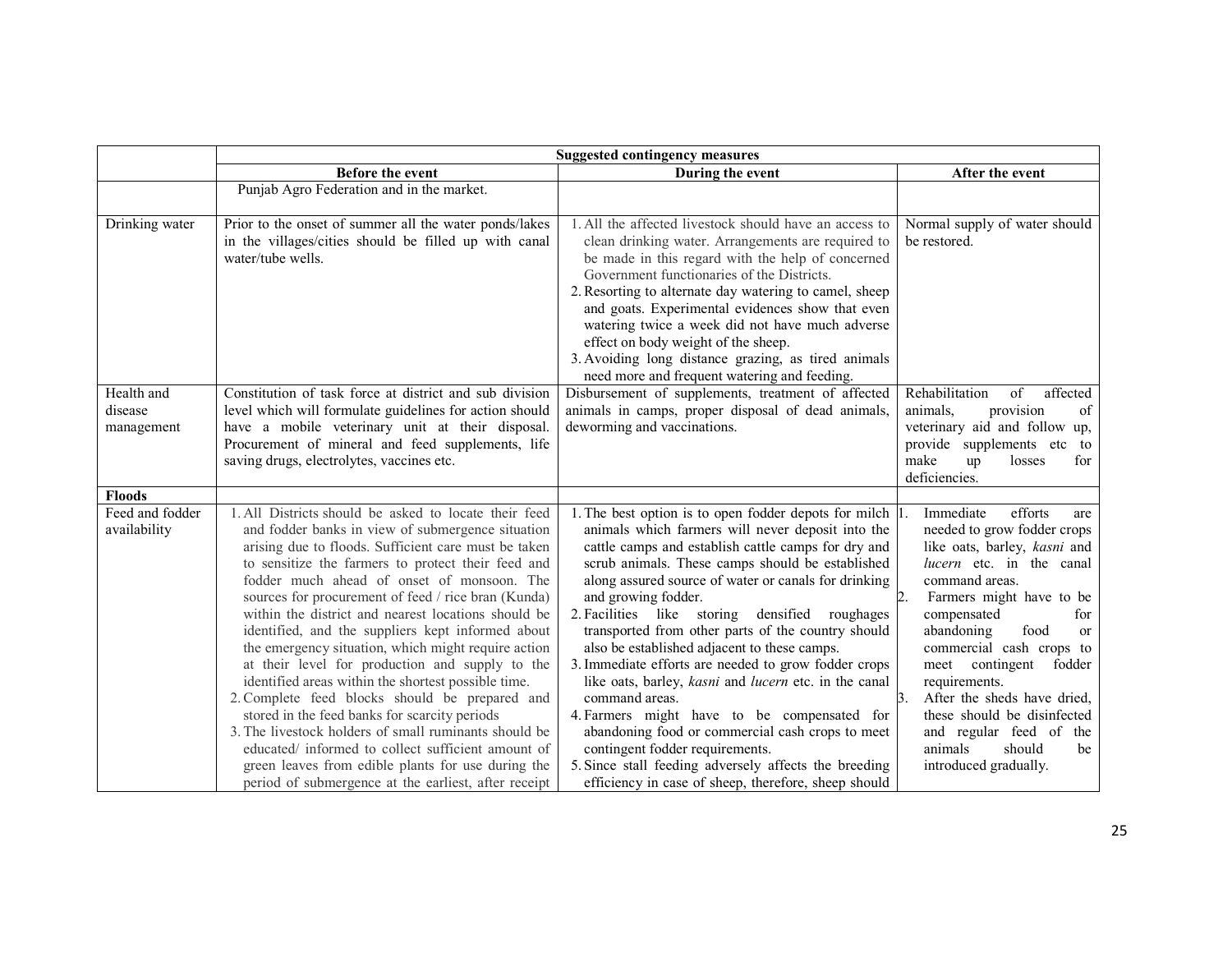|                                                  | <b>Suggested contingency measures</b>                                                                                                                                                                                                                                                                                                                                                                                                                                                                                                                                                                                                                                                                                                                                                                                                                                                                                                      |                                                                                                                                                                                                                                                                                                                                                                                                                                                                                                                                                                                                                                                                                                                                                                                                                                                           |                                                                                                                                                                                                                                                                                                                                                                                                                                                        |  |
|--------------------------------------------------|--------------------------------------------------------------------------------------------------------------------------------------------------------------------------------------------------------------------------------------------------------------------------------------------------------------------------------------------------------------------------------------------------------------------------------------------------------------------------------------------------------------------------------------------------------------------------------------------------------------------------------------------------------------------------------------------------------------------------------------------------------------------------------------------------------------------------------------------------------------------------------------------------------------------------------------------|-----------------------------------------------------------------------------------------------------------------------------------------------------------------------------------------------------------------------------------------------------------------------------------------------------------------------------------------------------------------------------------------------------------------------------------------------------------------------------------------------------------------------------------------------------------------------------------------------------------------------------------------------------------------------------------------------------------------------------------------------------------------------------------------------------------------------------------------------------------|--------------------------------------------------------------------------------------------------------------------------------------------------------------------------------------------------------------------------------------------------------------------------------------------------------------------------------------------------------------------------------------------------------------------------------------------------------|--|
|                                                  | <b>Before the event</b>                                                                                                                                                                                                                                                                                                                                                                                                                                                                                                                                                                                                                                                                                                                                                                                                                                                                                                                    | During the event                                                                                                                                                                                                                                                                                                                                                                                                                                                                                                                                                                                                                                                                                                                                                                                                                                          | After the event                                                                                                                                                                                                                                                                                                                                                                                                                                        |  |
|                                                  | Punjab Agro Federation and in the market.                                                                                                                                                                                                                                                                                                                                                                                                                                                                                                                                                                                                                                                                                                                                                                                                                                                                                                  |                                                                                                                                                                                                                                                                                                                                                                                                                                                                                                                                                                                                                                                                                                                                                                                                                                                           |                                                                                                                                                                                                                                                                                                                                                                                                                                                        |  |
| Drinking water                                   | Prior to the onset of summer all the water ponds/lakes<br>in the villages/cities should be filled up with canal<br>water/tube wells.                                                                                                                                                                                                                                                                                                                                                                                                                                                                                                                                                                                                                                                                                                                                                                                                       | 1. All the affected livestock should have an access to<br>clean drinking water. Arrangements are required to<br>be made in this regard with the help of concerned<br>Government functionaries of the Districts.<br>2. Resorting to alternate day watering to camel, sheep<br>and goats. Experimental evidences show that even<br>watering twice a week did not have much adverse<br>effect on body weight of the sheep.<br>3. Avoiding long distance grazing, as tired animals<br>need more and frequent watering and feeding.                                                                                                                                                                                                                                                                                                                            | Normal supply of water should<br>be restored.                                                                                                                                                                                                                                                                                                                                                                                                          |  |
| Health and<br>disease<br>management              | Constitution of task force at district and sub division<br>level which will formulate guidelines for action should<br>have a mobile veterinary unit at their disposal.<br>Procurement of mineral and feed supplements, life<br>saving drugs, electrolytes, vaccines etc.                                                                                                                                                                                                                                                                                                                                                                                                                                                                                                                                                                                                                                                                   | Disbursement of supplements, treatment of affected<br>animals in camps, proper disposal of dead animals,<br>deworming and vaccinations.                                                                                                                                                                                                                                                                                                                                                                                                                                                                                                                                                                                                                                                                                                                   | Rehabilitation<br>affected<br>of<br>provision<br>animals,<br>of<br>veterinary aid and follow up,<br>provide supplements etc to<br>make<br>losses<br>for<br>up<br>deficiencies.                                                                                                                                                                                                                                                                         |  |
| <b>Floods</b><br>Feed and fodder<br>availability | 1. All Districts should be asked to locate their feed<br>and fodder banks in view of submergence situation<br>arising due to floods. Sufficient care must be taken<br>to sensitize the farmers to protect their feed and<br>fodder much ahead of onset of monsoon. The<br>sources for procurement of feed / rice bran (Kunda)<br>within the district and nearest locations should be<br>identified, and the suppliers kept informed about<br>the emergency situation, which might require action<br>at their level for production and supply to the<br>identified areas within the shortest possible time.<br>2. Complete feed blocks should be prepared and<br>stored in the feed banks for scarcity periods<br>3. The livestock holders of small ruminants should be<br>educated/ informed to collect sufficient amount of<br>green leaves from edible plants for use during the<br>period of submergence at the earliest, after receipt | 1. The best option is to open fodder depots for milch 1.<br>animals which farmers will never deposit into the<br>cattle camps and establish cattle camps for dry and<br>scrub animals. These camps should be established<br>along assured source of water or canals for drinking<br>and growing fodder.<br>2. Facilities like storing densified roughages<br>transported from other parts of the country should<br>also be established adjacent to these camps.<br>3. Immediate efforts are needed to grow fodder crops<br>like oats, barley, kasni and lucern etc. in the canal<br>command areas.<br>4. Farmers might have to be compensated for<br>abandoning food or commercial cash crops to meet<br>contingent fodder requirements.<br>5. Since stall feeding adversely affects the breeding<br>efficiency in case of sheep, therefore, sheep should | efforts<br>Immediate<br>are<br>needed to grow fodder crops<br>like oats, barley, kasni and<br>lucern etc. in the canal<br>command areas.<br>Farmers might have to be<br>compensated<br>for<br>abandoning<br>food<br>or<br>commercial cash crops to<br>meet<br>contingent<br>fodder<br>requirements.<br>3.<br>After the sheds have dried,<br>these should be disinfected<br>and regular feed of the<br>animals<br>should<br>be<br>introduced gradually. |  |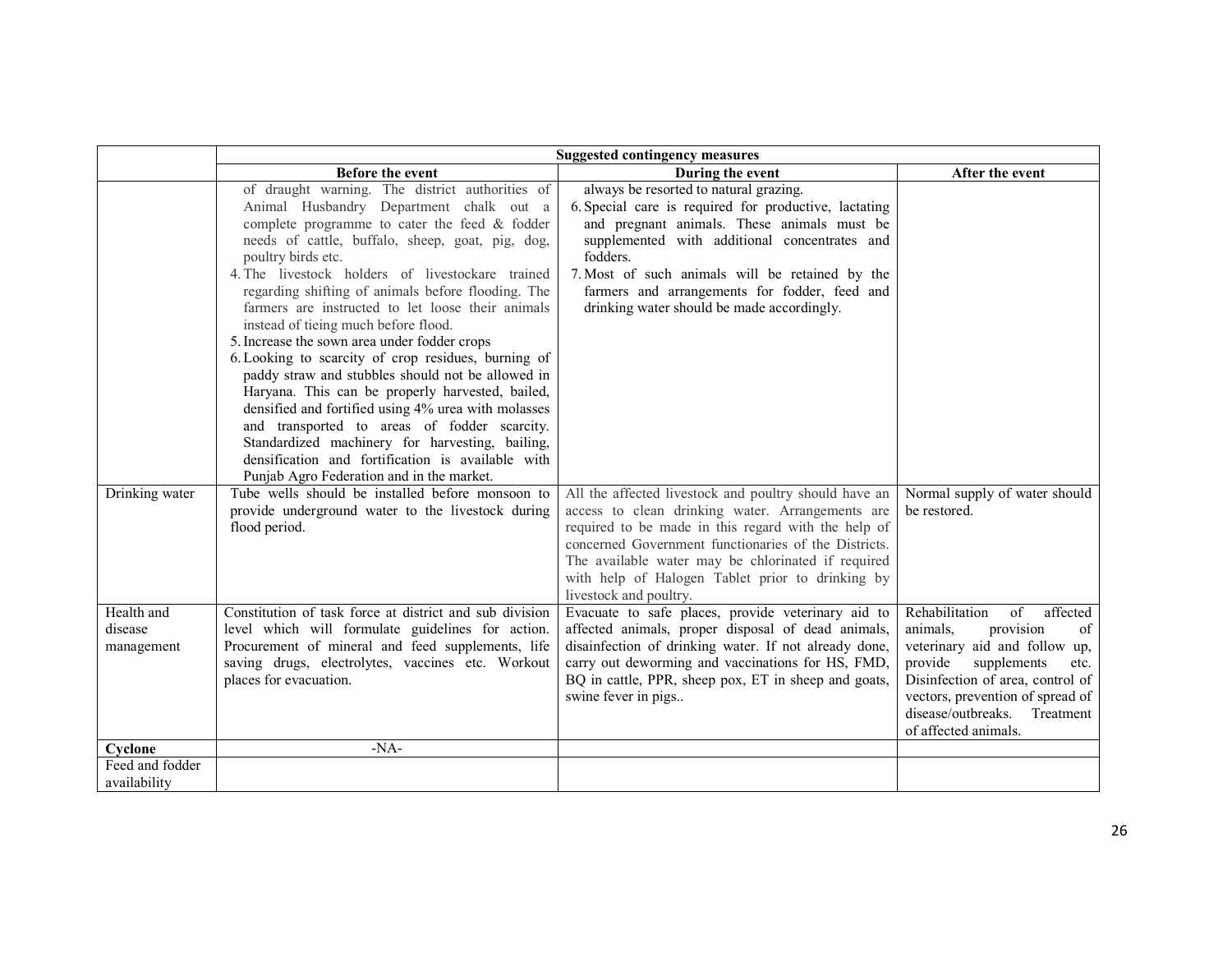|                                 | <b>Suggested contingency measures</b>                                                                                                                                                                                                                                                                                                                                                                                                                                                                                                                                                                                                                                                                                                                                                                                                                                                                      |                                                                                                                                                                                                                                                                                                                                                                                                                    |                                                                                                                                                                                                                                   |  |
|---------------------------------|------------------------------------------------------------------------------------------------------------------------------------------------------------------------------------------------------------------------------------------------------------------------------------------------------------------------------------------------------------------------------------------------------------------------------------------------------------------------------------------------------------------------------------------------------------------------------------------------------------------------------------------------------------------------------------------------------------------------------------------------------------------------------------------------------------------------------------------------------------------------------------------------------------|--------------------------------------------------------------------------------------------------------------------------------------------------------------------------------------------------------------------------------------------------------------------------------------------------------------------------------------------------------------------------------------------------------------------|-----------------------------------------------------------------------------------------------------------------------------------------------------------------------------------------------------------------------------------|--|
|                                 | <b>Before the event</b>                                                                                                                                                                                                                                                                                                                                                                                                                                                                                                                                                                                                                                                                                                                                                                                                                                                                                    | During the event                                                                                                                                                                                                                                                                                                                                                                                                   | After the event                                                                                                                                                                                                                   |  |
|                                 | of draught warning. The district authorities of<br>Animal Husbandry Department chalk out a<br>complete programme to cater the feed $&$ fodder<br>needs of cattle, buffalo, sheep, goat, pig, dog,<br>poultry birds etc.<br>4. The livestock holders of livestockare trained<br>regarding shifting of animals before flooding. The<br>farmers are instructed to let loose their animals<br>instead of tieing much before flood.<br>5. Increase the sown area under fodder crops<br>6. Looking to scarcity of crop residues, burning of<br>paddy straw and stubbles should not be allowed in<br>Haryana. This can be properly harvested, bailed,<br>densified and fortified using 4% urea with molasses<br>and transported to areas of fodder scarcity.<br>Standardized machinery for harvesting, bailing,<br>densification and fortification is available with<br>Punjab Agro Federation and in the market. | always be resorted to natural grazing.<br>6. Special care is required for productive, lactating<br>and pregnant animals. These animals must be<br>supplemented with additional concentrates and<br>fodders.<br>7. Most of such animals will be retained by the<br>farmers and arrangements for fodder, feed and<br>drinking water should be made accordingly.                                                      |                                                                                                                                                                                                                                   |  |
| Drinking water<br>Health and    | Tube wells should be installed before monsoon to<br>provide underground water to the livestock during<br>flood period.<br>Constitution of task force at district and sub division                                                                                                                                                                                                                                                                                                                                                                                                                                                                                                                                                                                                                                                                                                                          | All the affected livestock and poultry should have an<br>access to clean drinking water. Arrangements are<br>required to be made in this regard with the help of<br>concerned Government functionaries of the Districts.<br>The available water may be chlorinated if required<br>with help of Halogen Tablet prior to drinking by<br>livestock and poultry.<br>Evacuate to safe places, provide veterinary aid to | Normal supply of water should<br>be restored.<br>Rehabilitation<br>$\sigma$ f<br>affected                                                                                                                                         |  |
| disease<br>management           | level which will formulate guidelines for action.<br>Procurement of mineral and feed supplements, life<br>saving drugs, electrolytes, vaccines etc. Workout<br>places for evacuation.                                                                                                                                                                                                                                                                                                                                                                                                                                                                                                                                                                                                                                                                                                                      | affected animals, proper disposal of dead animals,<br>disainfection of drinking water. If not already done,<br>carry out deworming and vaccinations for HS, FMD,<br>BQ in cattle, PPR, sheep pox, ET in sheep and goats,<br>swine fever in pigs                                                                                                                                                                    | provision<br>animals,<br>of<br>veterinary aid and follow up,<br>provide<br>supplements<br>etc.<br>Disinfection of area, control of<br>vectors, prevention of spread of<br>disease/outbreaks.<br>Treatment<br>of affected animals. |  |
| Cyclone                         | $-NA-$                                                                                                                                                                                                                                                                                                                                                                                                                                                                                                                                                                                                                                                                                                                                                                                                                                                                                                     |                                                                                                                                                                                                                                                                                                                                                                                                                    |                                                                                                                                                                                                                                   |  |
| Feed and fodder<br>availability |                                                                                                                                                                                                                                                                                                                                                                                                                                                                                                                                                                                                                                                                                                                                                                                                                                                                                                            |                                                                                                                                                                                                                                                                                                                                                                                                                    |                                                                                                                                                                                                                                   |  |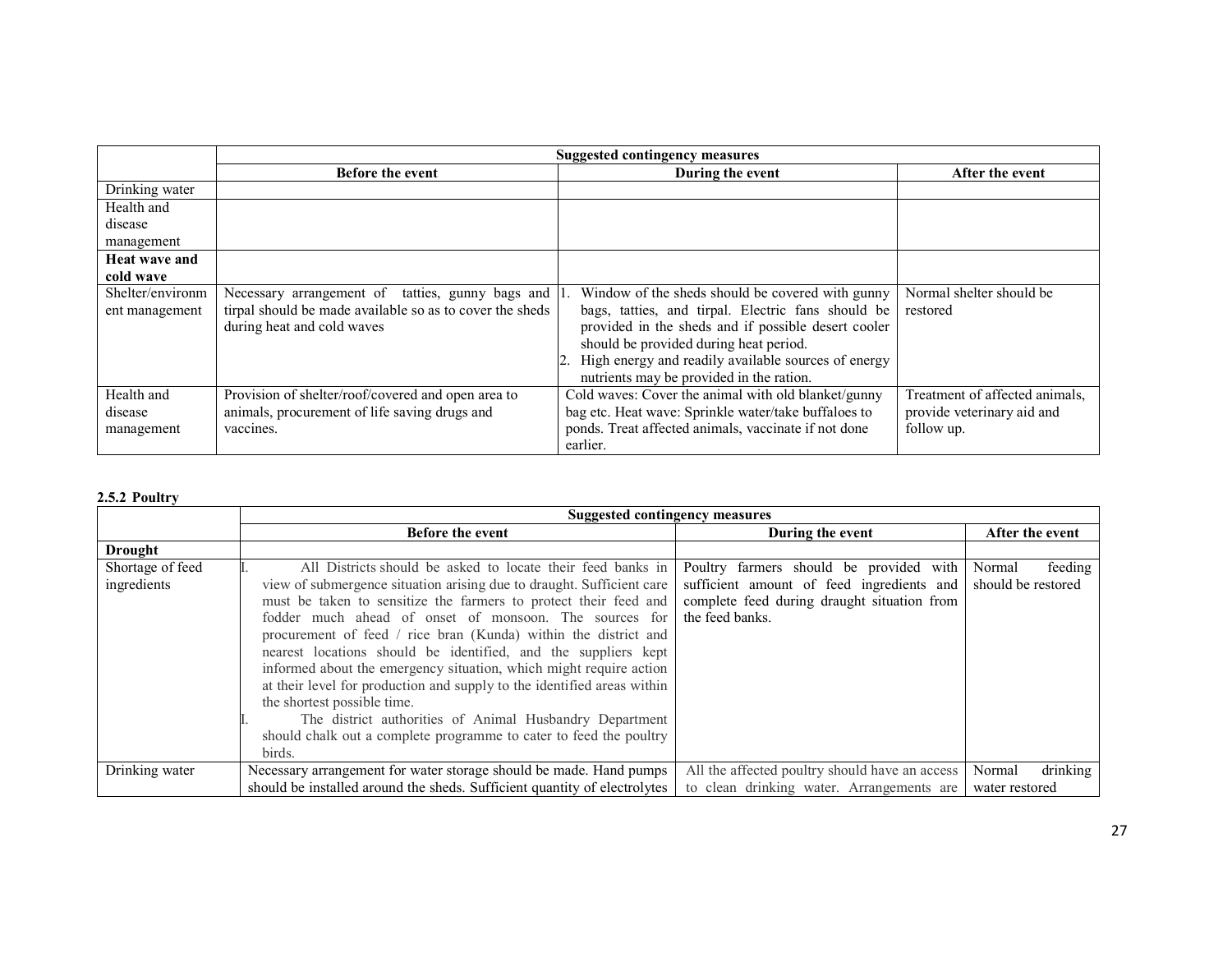|                                     | <b>Suggested contingency measures</b>                                                                                                      |                                                                                                                                                                                                                                                                                                               |                                                                            |
|-------------------------------------|--------------------------------------------------------------------------------------------------------------------------------------------|---------------------------------------------------------------------------------------------------------------------------------------------------------------------------------------------------------------------------------------------------------------------------------------------------------------|----------------------------------------------------------------------------|
|                                     | <b>Before the event</b>                                                                                                                    | During the event                                                                                                                                                                                                                                                                                              | After the event                                                            |
| Drinking water                      |                                                                                                                                            |                                                                                                                                                                                                                                                                                                               |                                                                            |
| Health and                          |                                                                                                                                            |                                                                                                                                                                                                                                                                                                               |                                                                            |
| disease                             |                                                                                                                                            |                                                                                                                                                                                                                                                                                                               |                                                                            |
| management                          |                                                                                                                                            |                                                                                                                                                                                                                                                                                                               |                                                                            |
| <b>Heat wave and</b>                |                                                                                                                                            |                                                                                                                                                                                                                                                                                                               |                                                                            |
| cold wave                           |                                                                                                                                            |                                                                                                                                                                                                                                                                                                               |                                                                            |
| Shelter/environm<br>ent management  | Necessary arrangement of tatties, gunny bags and<br>tirpal should be made available so as to cover the sheds<br>during heat and cold waves | Window of the sheds should be covered with gunny<br>bags, tatties, and tirpal. Electric fans should be<br>provided in the sheds and if possible desert cooler<br>should be provided during heat period.<br>2. High energy and readily available sources of energy<br>nutrients may be provided in the ration. | Normal shelter should be<br>restored                                       |
| Health and<br>disease<br>management | Provision of shelter/roof/covered and open area to<br>animals, procurement of life saving drugs and<br>vaccines.                           | Cold waves: Cover the animal with old blanket/gunny<br>bag etc. Heat wave: Sprinkle water/take buffaloes to<br>ponds. Treat affected animals, vaccinate if not done<br>earlier.                                                                                                                               | Treatment of affected animals,<br>provide veterinary aid and<br>follow up. |

# 2.5.2 Poultry

|                  | <b>Suggested contingency measures</b>                                     |                                                |                    |
|------------------|---------------------------------------------------------------------------|------------------------------------------------|--------------------|
|                  | <b>Before the event</b>                                                   | During the event                               | After the event    |
| <b>Drought</b>   |                                                                           |                                                |                    |
| Shortage of feed | All Districts should be asked to locate their feed banks in               | Poultry farmers should be provided with        | Normal<br>feeding  |
| ingredients      | view of submergence situation arising due to draught. Sufficient care     | sufficient amount of feed ingredients and      | should be restored |
|                  | must be taken to sensitize the farmers to protect their feed and          | complete feed during draught situation from    |                    |
|                  | fodder much ahead of onset of monsoon. The sources for                    | the feed banks.                                |                    |
|                  | procurement of feed / rice bran (Kunda) within the district and           |                                                |                    |
|                  | nearest locations should be identified, and the suppliers kept            |                                                |                    |
|                  | informed about the emergency situation, which might require action        |                                                |                    |
|                  | at their level for production and supply to the identified areas within   |                                                |                    |
|                  | the shortest possible time.                                               |                                                |                    |
|                  | The district authorities of Animal Husbandry Department                   |                                                |                    |
|                  | should chalk out a complete programme to cater to feed the poultry        |                                                |                    |
|                  | birds.                                                                    |                                                |                    |
| Drinking water   | Necessary arrangement for water storage should be made. Hand pumps        | All the affected poultry should have an access | drinking<br>Normal |
|                  | should be installed around the sheds. Sufficient quantity of electrolytes | to clean drinking water. Arrangements are      | water restored     |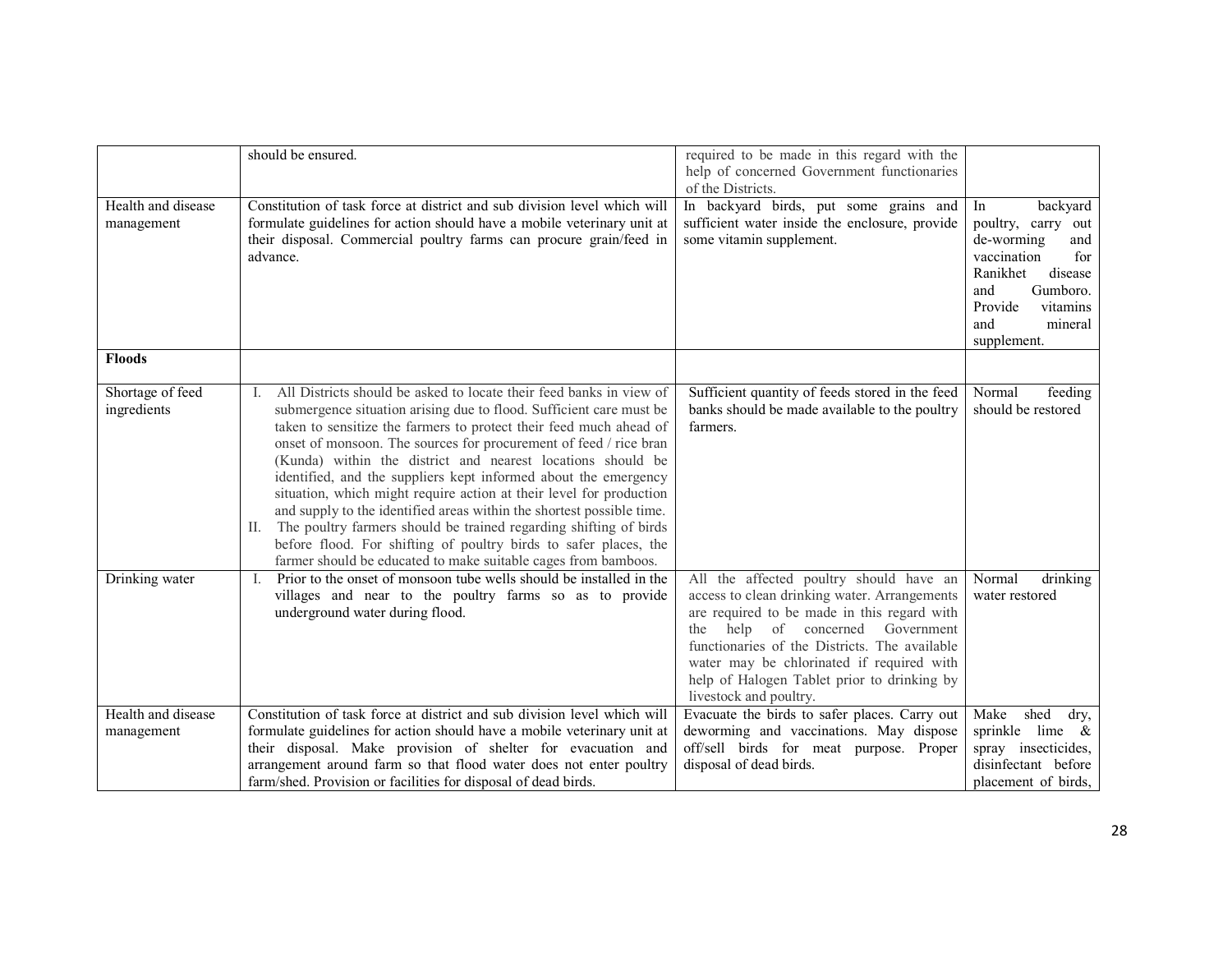|                                  | should be ensured.                                                                                                                                                                                                                                                                                                                                                                                                                                                                                                                                                                                                                                                                                                                                                                           | required to be made in this regard with the<br>help of concerned Government functionaries                                                                                                                                                                                                                                                                  |                                                                                                                                                                                   |
|----------------------------------|----------------------------------------------------------------------------------------------------------------------------------------------------------------------------------------------------------------------------------------------------------------------------------------------------------------------------------------------------------------------------------------------------------------------------------------------------------------------------------------------------------------------------------------------------------------------------------------------------------------------------------------------------------------------------------------------------------------------------------------------------------------------------------------------|------------------------------------------------------------------------------------------------------------------------------------------------------------------------------------------------------------------------------------------------------------------------------------------------------------------------------------------------------------|-----------------------------------------------------------------------------------------------------------------------------------------------------------------------------------|
|                                  |                                                                                                                                                                                                                                                                                                                                                                                                                                                                                                                                                                                                                                                                                                                                                                                              | of the Districts.                                                                                                                                                                                                                                                                                                                                          |                                                                                                                                                                                   |
| Health and disease<br>management | Constitution of task force at district and sub division level which will<br>formulate guidelines for action should have a mobile veterinary unit at<br>their disposal. Commercial poultry farms can procure grain/feed in<br>advance.                                                                                                                                                                                                                                                                                                                                                                                                                                                                                                                                                        | In backyard birds, put some grains and<br>sufficient water inside the enclosure, provide<br>some vitamin supplement.                                                                                                                                                                                                                                       | backyard<br>In<br>poultry, carry out<br>de-worming<br>and<br>vaccination<br>for<br>Ranikhet<br>disease<br>Gumboro.<br>and<br>Provide<br>vitamins<br>mineral<br>and<br>supplement. |
| <b>Floods</b>                    |                                                                                                                                                                                                                                                                                                                                                                                                                                                                                                                                                                                                                                                                                                                                                                                              |                                                                                                                                                                                                                                                                                                                                                            |                                                                                                                                                                                   |
| Shortage of feed<br>ingredients  | All Districts should be asked to locate their feed banks in view of<br>I.<br>submergence situation arising due to flood. Sufficient care must be<br>taken to sensitize the farmers to protect their feed much ahead of<br>onset of monsoon. The sources for procurement of feed / rice bran<br>(Kunda) within the district and nearest locations should be<br>identified, and the suppliers kept informed about the emergency<br>situation, which might require action at their level for production<br>and supply to the identified areas within the shortest possible time.<br>II. The poultry farmers should be trained regarding shifting of birds<br>before flood. For shifting of poultry birds to safer places, the<br>farmer should be educated to make suitable cages from bamboos. | Sufficient quantity of feeds stored in the feed<br>banks should be made available to the poultry<br>farmers.                                                                                                                                                                                                                                               | Normal<br>feeding<br>should be restored                                                                                                                                           |
| Drinking water                   | Prior to the onset of monsoon tube wells should be installed in the<br>$\mathbf{I}$ .<br>villages and near to the poultry farms so as to provide<br>underground water during flood.                                                                                                                                                                                                                                                                                                                                                                                                                                                                                                                                                                                                          | All the affected poultry should have an<br>access to clean drinking water. Arrangements<br>are required to be made in this regard with<br>help<br>of concerned<br>Government<br>the<br>functionaries of the Districts. The available<br>water may be chlorinated if required with<br>help of Halogen Tablet prior to drinking by<br>livestock and poultry. | Normal<br>drinking<br>water restored                                                                                                                                              |
| Health and disease<br>management | Constitution of task force at district and sub division level which will<br>formulate guidelines for action should have a mobile veterinary unit at<br>their disposal. Make provision of shelter for evacuation and<br>arrangement around farm so that flood water does not enter poultry<br>farm/shed. Provision or facilities for disposal of dead birds.                                                                                                                                                                                                                                                                                                                                                                                                                                  | Evacuate the birds to safer places. Carry out<br>deworming and vaccinations. May dispose<br>off/sell birds for meat purpose. Proper<br>disposal of dead birds.                                                                                                                                                                                             | shed<br>Make<br>dry,<br>sprinkle lime &<br>spray insecticides,<br>disinfectant before<br>placement of birds,                                                                      |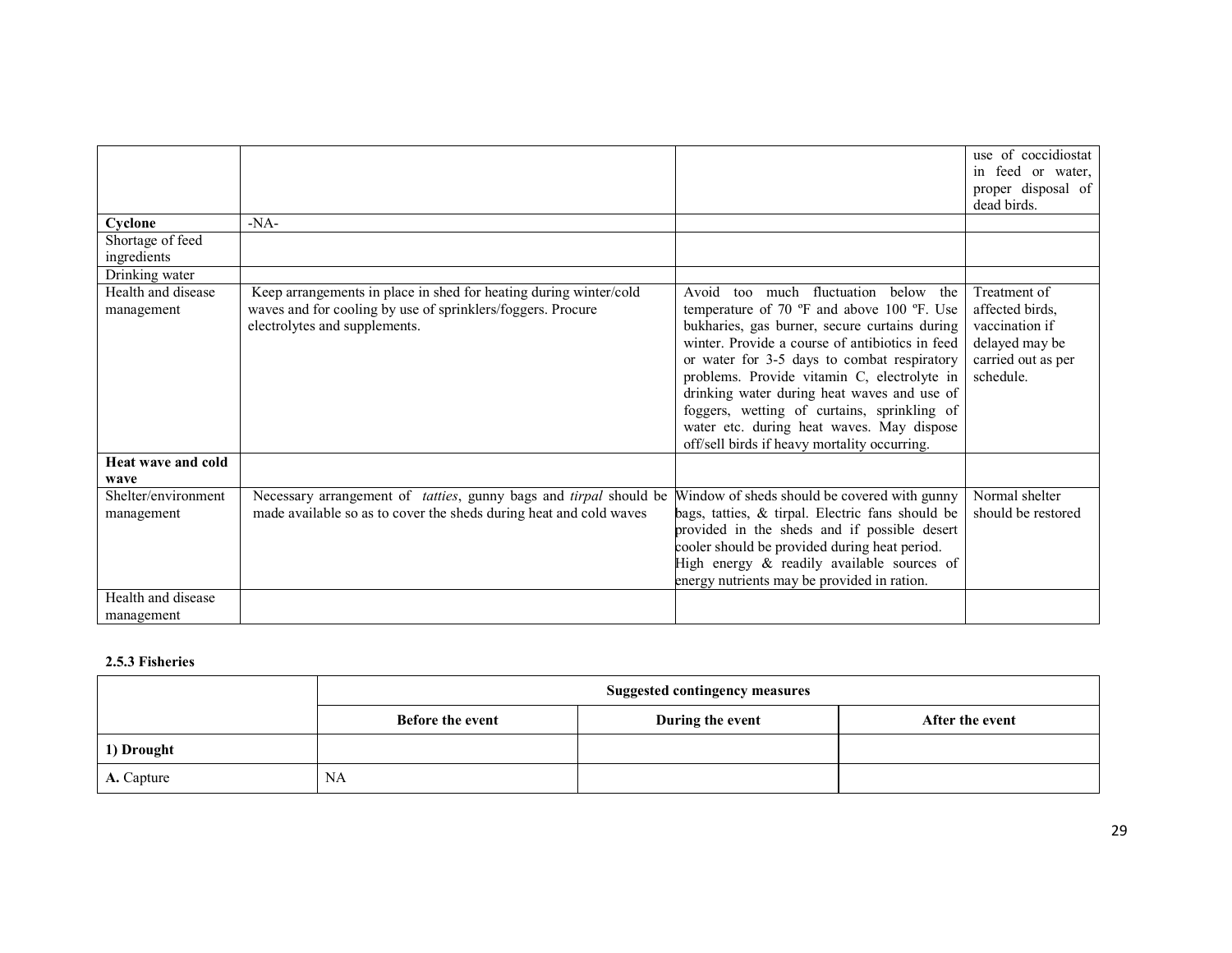|                                   |                                                                                                                                                                   |                                                                                                                                                                                                                                                                                                                                                                                                                                                                                 | use of coccidiostat<br>in feed or water,<br>proper disposal of<br>dead birds.                          |
|-----------------------------------|-------------------------------------------------------------------------------------------------------------------------------------------------------------------|---------------------------------------------------------------------------------------------------------------------------------------------------------------------------------------------------------------------------------------------------------------------------------------------------------------------------------------------------------------------------------------------------------------------------------------------------------------------------------|--------------------------------------------------------------------------------------------------------|
| Cyclone                           | $-NA-$                                                                                                                                                            |                                                                                                                                                                                                                                                                                                                                                                                                                                                                                 |                                                                                                        |
| Shortage of feed<br>ingredients   |                                                                                                                                                                   |                                                                                                                                                                                                                                                                                                                                                                                                                                                                                 |                                                                                                        |
| Drinking water                    |                                                                                                                                                                   |                                                                                                                                                                                                                                                                                                                                                                                                                                                                                 |                                                                                                        |
| Health and disease<br>management  | Keep arrangements in place in shed for heating during winter/cold<br>waves and for cooling by use of sprinklers/foggers. Procure<br>electrolytes and supplements. | Avoid too much fluctuation below the<br>temperature of 70 °F and above 100 °F. Use<br>bukharies, gas burner, secure curtains during<br>winter. Provide a course of antibiotics in feed<br>or water for 3-5 days to combat respiratory<br>problems. Provide vitamin C, electrolyte in<br>drinking water during heat waves and use of<br>foggers, wetting of curtains, sprinkling of<br>water etc. during heat waves. May dispose<br>off/sell birds if heavy mortality occurring. | Treatment of<br>affected birds,<br>vaccination if<br>delayed may be<br>carried out as per<br>schedule. |
| Heat wave and cold<br>wave        |                                                                                                                                                                   |                                                                                                                                                                                                                                                                                                                                                                                                                                                                                 |                                                                                                        |
| Shelter/environment<br>management | Necessary arrangement of <i>tatties</i> , gunny bags and <i>tirpal</i> should be<br>made available so as to cover the sheds during heat and cold waves            | Window of sheds should be covered with gunny<br>bags, tatties, & tirpal. Electric fans should be<br>provided in the sheds and if possible desert<br>cooler should be provided during heat period.<br>High energy & readily available sources of<br>energy nutrients may be provided in ration.                                                                                                                                                                                  | Normal shelter<br>should be restored                                                                   |
| Health and disease<br>management  |                                                                                                                                                                   |                                                                                                                                                                                                                                                                                                                                                                                                                                                                                 |                                                                                                        |

# 2.5.3 Fisheries

|            | <b>Suggested contingency measures</b> |                  |                 |
|------------|---------------------------------------|------------------|-----------------|
|            | <b>Before the event</b>               | During the event | After the event |
| 1) Drought |                                       |                  |                 |
| A. Capture | <b>NA</b>                             |                  |                 |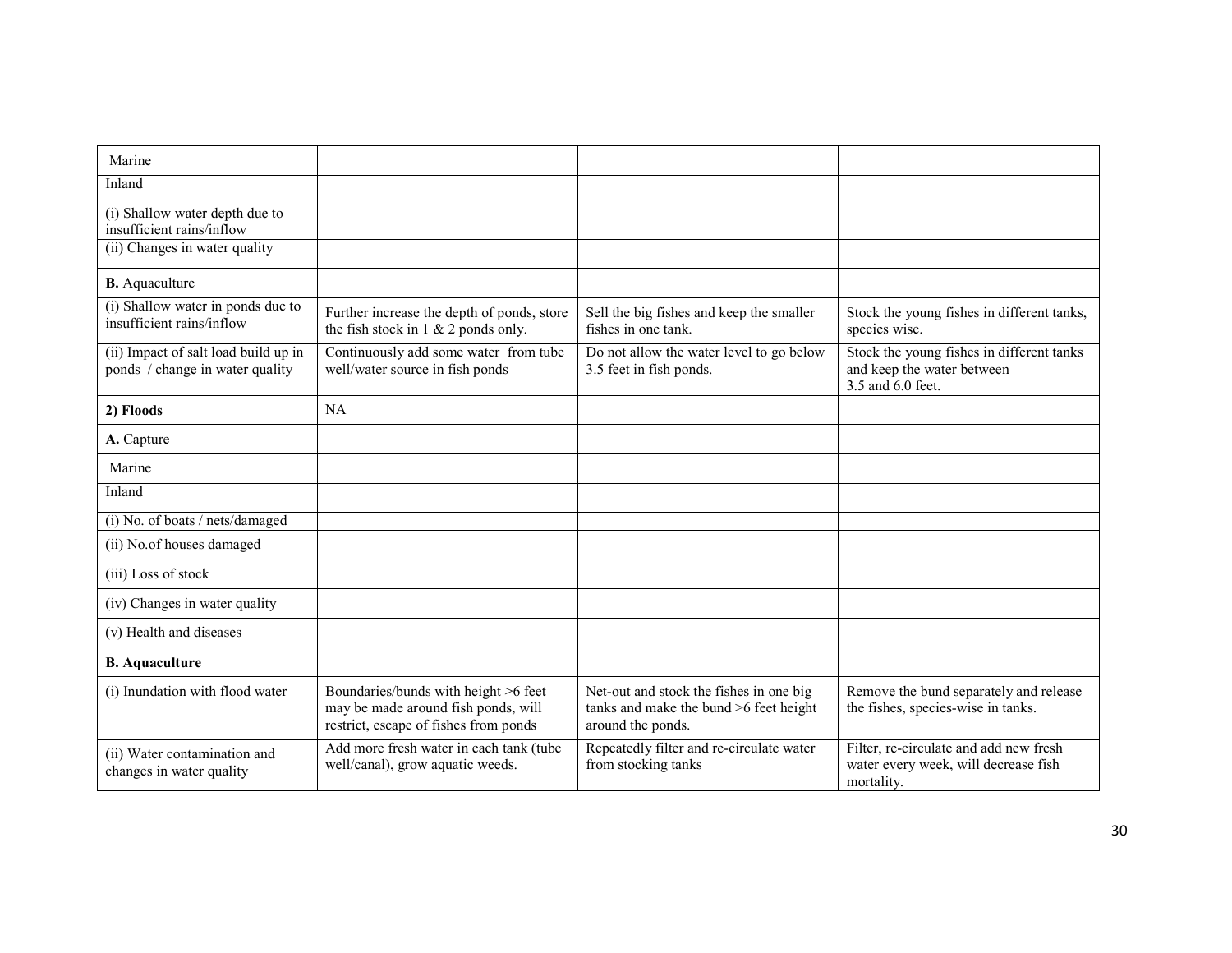| Marine                                                                  |                                                                                                                      |                                                                                                        |                                                                                              |
|-------------------------------------------------------------------------|----------------------------------------------------------------------------------------------------------------------|--------------------------------------------------------------------------------------------------------|----------------------------------------------------------------------------------------------|
| Inland                                                                  |                                                                                                                      |                                                                                                        |                                                                                              |
| (i) Shallow water depth due to<br>insufficient rains/inflow             |                                                                                                                      |                                                                                                        |                                                                                              |
| (ii) Changes in water quality                                           |                                                                                                                      |                                                                                                        |                                                                                              |
| <b>B.</b> Aquaculture                                                   |                                                                                                                      |                                                                                                        |                                                                                              |
| (i) Shallow water in ponds due to<br>insufficient rains/inflow          | Further increase the depth of ponds, store<br>the fish stock in $1 \& 2$ ponds only.                                 | Sell the big fishes and keep the smaller<br>fishes in one tank.                                        | Stock the young fishes in different tanks,<br>species wise.                                  |
| (ii) Impact of salt load build up in<br>ponds / change in water quality | Continuously add some water from tube<br>well/water source in fish ponds                                             | Do not allow the water level to go below<br>3.5 feet in fish ponds.                                    | Stock the young fishes in different tanks<br>and keep the water between<br>3.5 and 6.0 feet. |
| 2) Floods                                                               | NA                                                                                                                   |                                                                                                        |                                                                                              |
| A. Capture                                                              |                                                                                                                      |                                                                                                        |                                                                                              |
| Marine                                                                  |                                                                                                                      |                                                                                                        |                                                                                              |
| Inland                                                                  |                                                                                                                      |                                                                                                        |                                                                                              |
| (i) No. of boats / nets/damaged                                         |                                                                                                                      |                                                                                                        |                                                                                              |
| (ii) No.of houses damaged                                               |                                                                                                                      |                                                                                                        |                                                                                              |
| (iii) Loss of stock                                                     |                                                                                                                      |                                                                                                        |                                                                                              |
| (iv) Changes in water quality                                           |                                                                                                                      |                                                                                                        |                                                                                              |
| (v) Health and diseases                                                 |                                                                                                                      |                                                                                                        |                                                                                              |
| <b>B.</b> Aquaculture                                                   |                                                                                                                      |                                                                                                        |                                                                                              |
| (i) Inundation with flood water                                         | Boundaries/bunds with height >6 feet<br>may be made around fish ponds, will<br>restrict, escape of fishes from ponds | Net-out and stock the fishes in one big<br>tanks and make the bund >6 feet height<br>around the ponds. | Remove the bund separately and release<br>the fishes, species-wise in tanks.                 |
| (ii) Water contamination and<br>changes in water quality                | Add more fresh water in each tank (tube<br>well/canal), grow aquatic weeds.                                          | Repeatedly filter and re-circulate water<br>from stocking tanks                                        | Filter, re-circulate and add new fresh<br>water every week, will decrease fish<br>mortality. |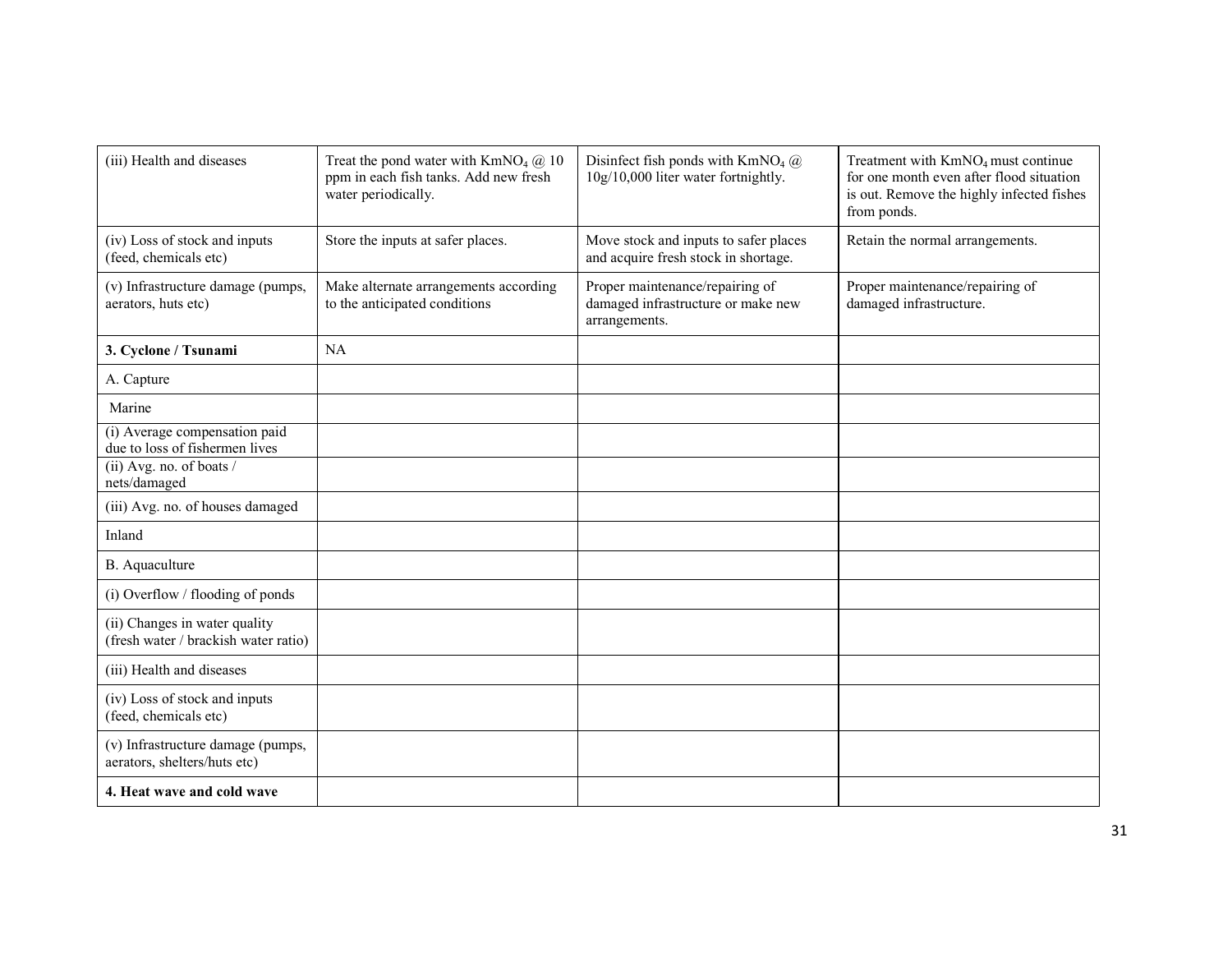| (iii) Health and diseases                                             | Treat the pond water with $KmNO4$ ( $\ddot{a}$ ) 10<br>ppm in each fish tanks. Add new fresh<br>water periodically. | Disinfect fish ponds with $KmNO4$ ( $\widehat{a}$ )<br>10g/10,000 liter water fortnightly. | Treatment with KmNO <sub>4</sub> must continue<br>for one month even after flood situation<br>is out. Remove the highly infected fishes<br>from ponds. |
|-----------------------------------------------------------------------|---------------------------------------------------------------------------------------------------------------------|--------------------------------------------------------------------------------------------|--------------------------------------------------------------------------------------------------------------------------------------------------------|
| (iv) Loss of stock and inputs<br>(feed, chemicals etc)                | Store the inputs at safer places.                                                                                   | Move stock and inputs to safer places<br>and acquire fresh stock in shortage.              | Retain the normal arrangements.                                                                                                                        |
| (v) Infrastructure damage (pumps,<br>aerators, huts etc)              | Make alternate arrangements according<br>to the anticipated conditions                                              | Proper maintenance/repairing of<br>damaged infrastructure or make new<br>arrangements.     | Proper maintenance/repairing of<br>damaged infrastructure.                                                                                             |
| 3. Cyclone / Tsunami                                                  | <b>NA</b>                                                                                                           |                                                                                            |                                                                                                                                                        |
| A. Capture                                                            |                                                                                                                     |                                                                                            |                                                                                                                                                        |
| Marine                                                                |                                                                                                                     |                                                                                            |                                                                                                                                                        |
| (i) Average compensation paid<br>due to loss of fishermen lives       |                                                                                                                     |                                                                                            |                                                                                                                                                        |
| (ii) Avg. no. of boats /<br>nets/damaged                              |                                                                                                                     |                                                                                            |                                                                                                                                                        |
| (iii) Avg. no. of houses damaged                                      |                                                                                                                     |                                                                                            |                                                                                                                                                        |
| Inland                                                                |                                                                                                                     |                                                                                            |                                                                                                                                                        |
| B. Aquaculture                                                        |                                                                                                                     |                                                                                            |                                                                                                                                                        |
| (i) Overflow / flooding of ponds                                      |                                                                                                                     |                                                                                            |                                                                                                                                                        |
| (ii) Changes in water quality<br>(fresh water / brackish water ratio) |                                                                                                                     |                                                                                            |                                                                                                                                                        |
| (iii) Health and diseases                                             |                                                                                                                     |                                                                                            |                                                                                                                                                        |
| (iv) Loss of stock and inputs<br>(feed, chemicals etc)                |                                                                                                                     |                                                                                            |                                                                                                                                                        |
| (v) Infrastructure damage (pumps,<br>aerators, shelters/huts etc)     |                                                                                                                     |                                                                                            |                                                                                                                                                        |
| 4. Heat wave and cold wave                                            |                                                                                                                     |                                                                                            |                                                                                                                                                        |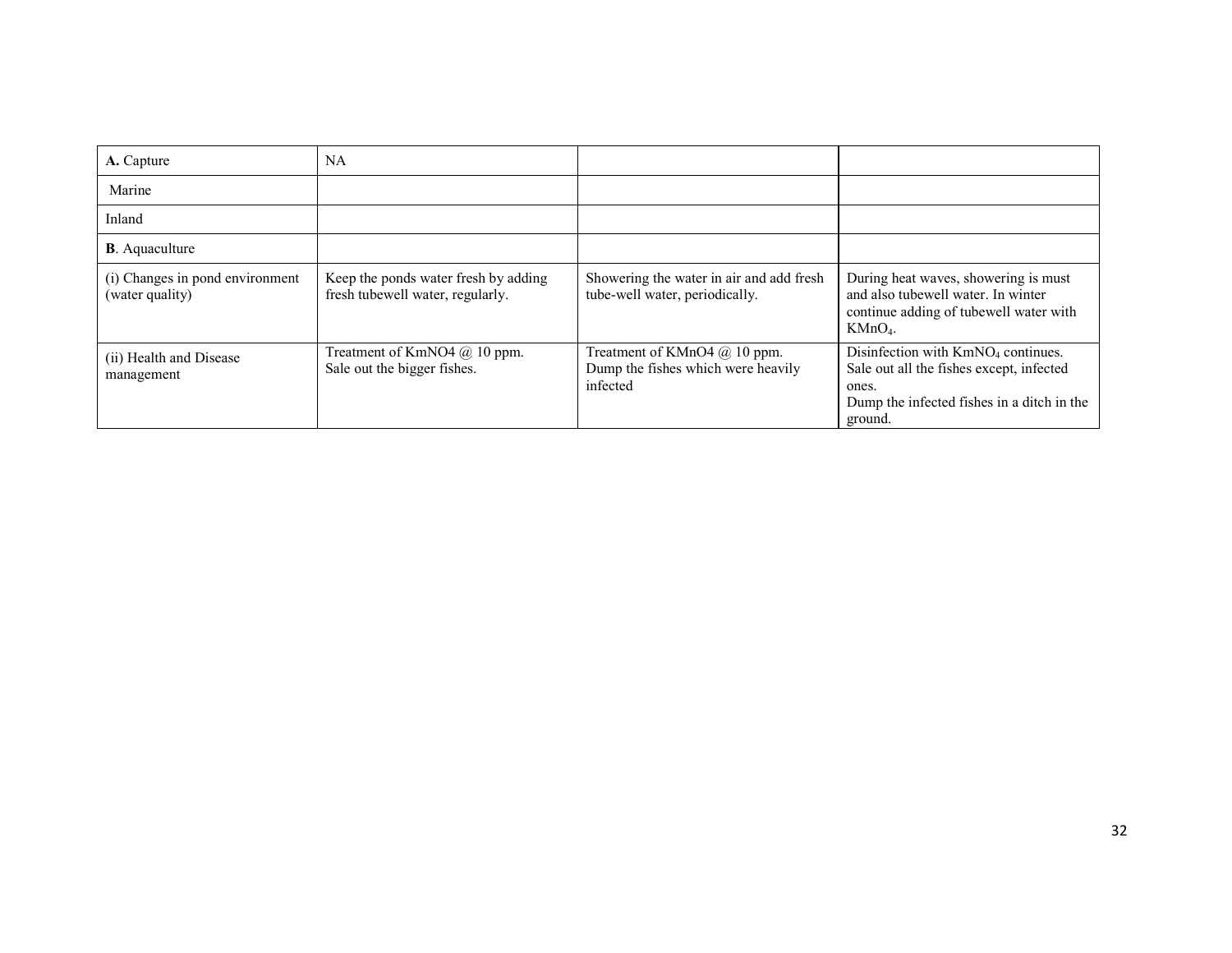| A. Capture                                         | NA                                                                       |                                                                                  |                                                                                                                                                              |
|----------------------------------------------------|--------------------------------------------------------------------------|----------------------------------------------------------------------------------|--------------------------------------------------------------------------------------------------------------------------------------------------------------|
| Marine                                             |                                                                          |                                                                                  |                                                                                                                                                              |
| Inland                                             |                                                                          |                                                                                  |                                                                                                                                                              |
| <b>B</b> . Aquaculture                             |                                                                          |                                                                                  |                                                                                                                                                              |
| (i) Changes in pond environment<br>(water quality) | Keep the ponds water fresh by adding<br>fresh tubewell water, regularly. | Showering the water in air and add fresh<br>tube-well water, periodically.       | During heat waves, showering is must<br>and also tubewell water. In winter<br>continue adding of tubewell water with<br>$KMnO4$ .                            |
| (ii) Health and Disease<br>management              | Treatment of KmNO4 $@$ 10 ppm.<br>Sale out the bigger fishes.            | Treatment of KMnO4 $@$ 10 ppm.<br>Dump the fishes which were heavily<br>infected | Disinfection with KmNO <sub>4</sub> continues.<br>Sale out all the fishes except, infected<br>ones.<br>Dump the infected fishes in a ditch in the<br>ground. |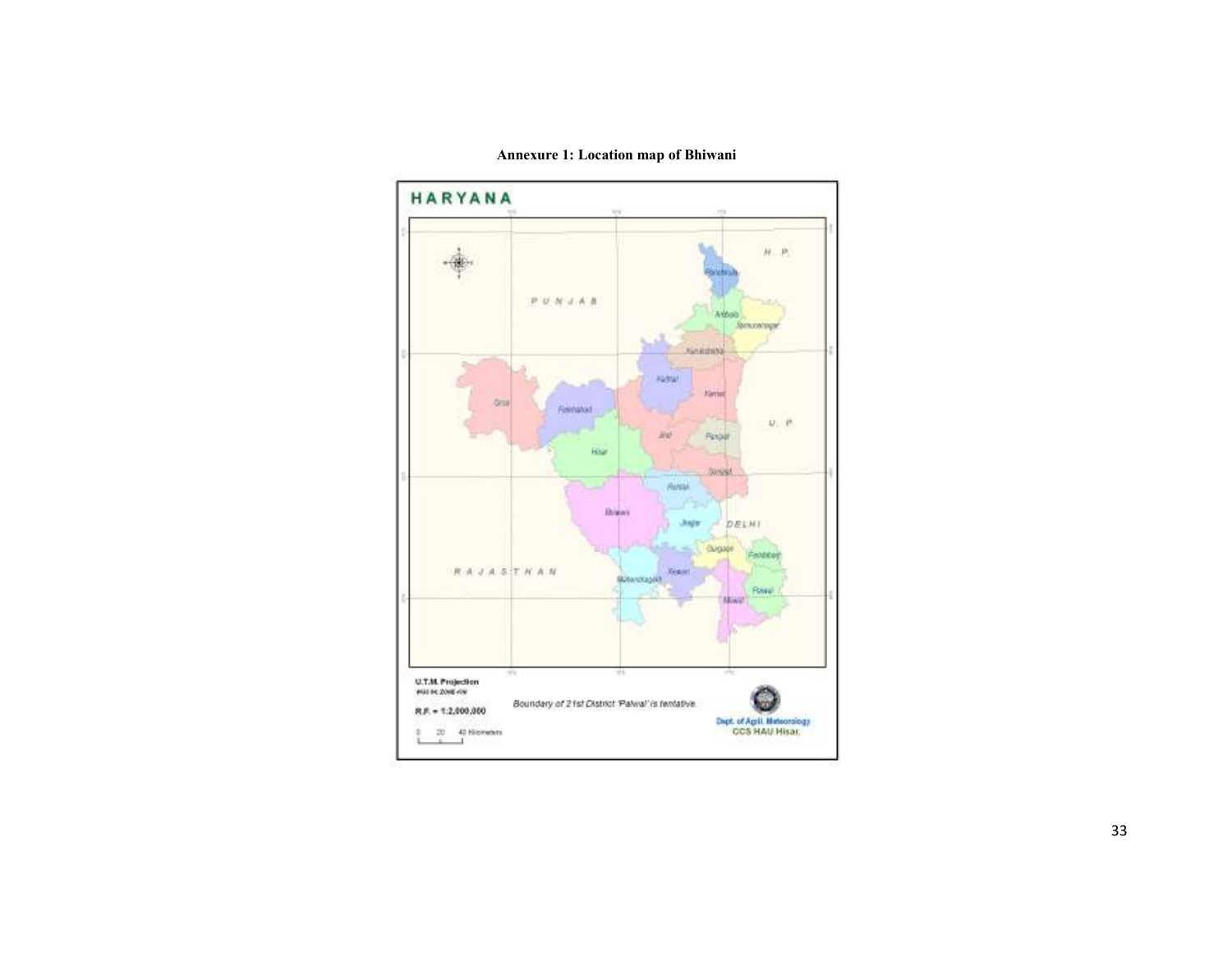

Annexure 1: Location map of Bhiwani